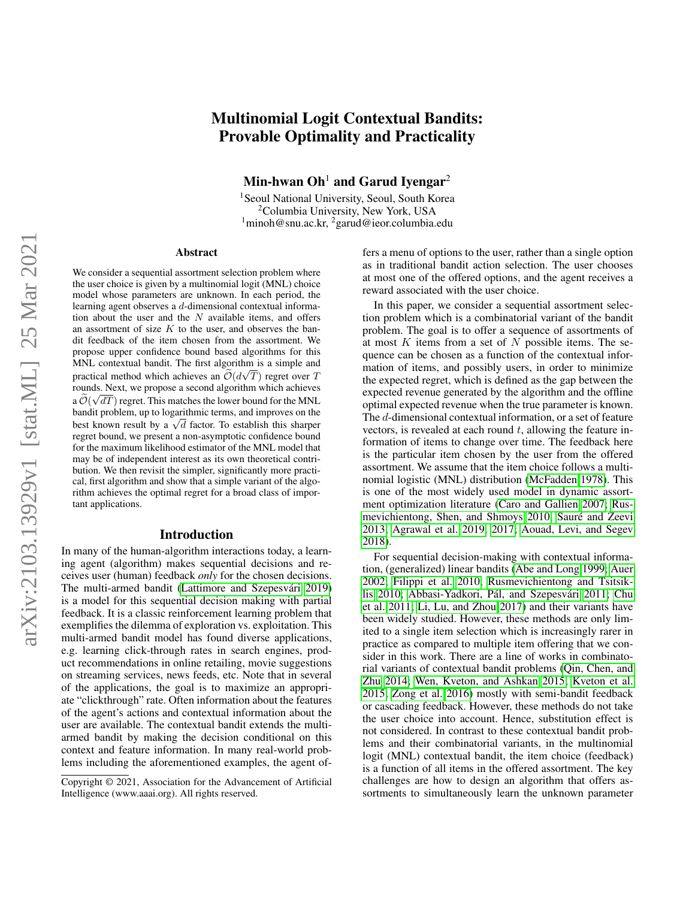# arXiv:2103.13929v1 [stat.ML] 25 Mar 2021 arXiv:2103.13929v1 [stat.ML] 25 Mar 2021

# Multinomial Logit Contextual Bandits: Provable Optimality and Practicality

Min-hwan  $Oh<sup>1</sup>$  and Garud Ivengar<sup>2</sup>

<sup>1</sup> Seoul National University, Seoul, South Korea <sup>2</sup>Columbia University, New York, USA  $1$ minoh@snu.ac.kr,  $2$ garud@ieor.columbia.edu

### **Abstract**

We consider a sequential assortment selection problem where the user choice is given by a multinomial logit (MNL) choice model whose parameters are unknown. In each period, the learning agent observes a d-dimensional contextual information about the user and the  $N$  available items, and offers an assortment of size  $K$  to the user, and observes the bandit feedback of the item chosen from the assortment. We propose upper confidence bound based algorithms for this MNL contextual bandit. The first algorithm is a simple and practical method which achieves an  $\mathcal{O}(d\sqrt{T})$  regret over T rounds. Next, we propose a second algorithm which achieves a  $\mathcal{O}(\sqrt{dT})$  regret. This matches the lower bound for the MNL bandit problem, up to logarithmic terms, and improves on the bandu problem, up to logarithmic terms, and improves on the best known result by a  $\sqrt{d}$  factor. To establish this sharper regret bound, we present a non-asymptotic confidence bound for the maximum likelihood estimator of the MNL model that may be of independent interest as its own theoretical contribution. We then revisit the simpler, significantly more practical, first algorithm and show that a simple variant of the algorithm achieves the optimal regret for a broad class of important applications.

### Introduction

In many of the human-algorithm interactions today, a learning agent (algorithm) makes sequential decisions and receives user (human) feedback *only* for the chosen decisions. The multi-armed bandit (Lattimore and Szepesvári 2019) is a model for this sequential decision making with partial feedback. It is a classic reinforcement learning problem that exemplifies the dilemma of exploration vs. exploitation. This multi-armed bandit model has found diverse applications, e.g. learning click-through rates in search engines, product recommendations in online retailing, movie suggestions on streaming services, news feeds, etc. Note that in several of the applications, the goal is to maximize an appropriate "clickthrough" rate. Often information about the features of the agent's actions and contextual information about the user are available. The contextual bandit extends the multiarmed bandit by making the decision conditional on this context and feature information. In many real-world problems including the aforementioned examples, the agent offers a menu of options to the user, rather than a single option as in traditional bandit action selection. The user chooses at most one of the offered options, and the agent receives a reward associated with the user choice.

In this paper, we consider a sequential assortment selection problem which is a combinatorial variant of the bandit problem. The goal is to offer a sequence of assortments of at most  $K$  items from a set of  $N$  possible items. The sequence can be chosen as a function of the contextual information of items, and possibly users, in order to minimize the expected regret, which is defined as the gap between the expected revenue generated by the algorithm and the offline optimal expected revenue when the true parameter is known. The d-dimensional contextual information, or a set of feature vectors, is revealed at each round  $t$ , allowing the feature information of items to change over time. The feedback here is the particular item chosen by the user from the offered assortment. We assume that the item choice follows a multinomial logistic (MNL) distribution [\(McFadden 1978\)](#page-7-1). This is one of the most widely used model in dynamic assortment optimization literature [\(Caro and Gallien 2007;](#page-7-2) [Rus](#page-8-0)[mevichientong, Shen, and Shmoys 2010;](#page-8-0) Sauré and Zeevi [2013;](#page-8-1) [Agrawal et al. 2019,](#page-7-3) [2017;](#page-7-4) [Aouad, Levi, and Segev](#page-7-5) [2018\)](#page-7-5).

For sequential decision-making with contextual information, (generalized) linear bandits [\(Abe and Long 1999;](#page-7-6) [Auer](#page-7-7) [2002;](#page-7-7) [Filippi et al. 2010;](#page-7-8) [Rusmevichientong and Tsitsik](#page-8-2)[lis 2010;](#page-8-2) Abbasi-Yadkori, Pál, and Szepesvári [2011;](#page-7-9) [Chu](#page-7-10) [et al. 2011;](#page-7-10) [Li, Lu, and Zhou 2017\)](#page-7-11) and their variants have been widely studied. However, these methods are only limited to a single item selection which is increasingly rarer in practice as compared to multiple item offering that we consider in this work. There are a line of works in combinatorial variants of contextual bandit problems [\(Qin, Chen, and](#page-8-3) [Zhu 2014;](#page-8-3) [Wen, Kveton, and Ashkan 2015;](#page-8-4) [Kveton et al.](#page-7-12) [2015;](#page-7-12) [Zong et al. 2016\)](#page-8-5) mostly with semi-bandit feedback or cascading feedback. However, these methods do not take the user choice into account. Hence, substitution effect is not considered. In contrast to these contextual bandit problems and their combinatorial variants, in the multinomial logit (MNL) contextual bandit, the item choice (feedback) is a function of all items in the offered assortment. The key challenges are how to design an algorithm that offers assortments to simultaneously learn the unknown parameter

Copyright © 2021, Association for the Advancement of Artificial Intelligence (www.aaai.org). All rights reserved.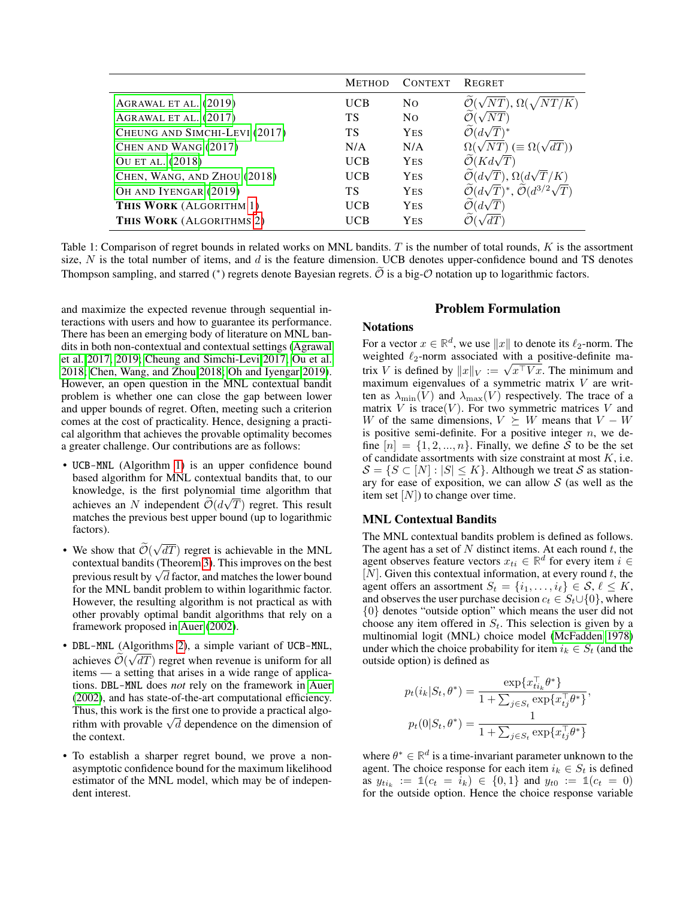<span id="page-1-0"></span>

|                               | <b>METHOD</b> | <b>CONTEXT</b> | <b>REGRET</b>                                  |
|-------------------------------|---------------|----------------|------------------------------------------------|
| AGRAWAL ET AL. (2019)         | UCB           | N <sub>O</sub> | $\sqrt{NT}$ , $\Omega($                        |
| AGRAWAL ET AL. (2017)         | TS            | N <sub>O</sub> |                                                |
| CHEUNG AND SIMCHI-LEVI (2017) | ТS            | <b>YES</b>     | $\mathcal{O}(d\sqrt{T})^*$                     |
| CHEN AND WANG (2017)          | N/A           | N/A            | $\Omega(\sqrt{NT}) \ (\equiv \Omega(\sqrt{N})$ |
| OU ET AL. (2018)              | <b>UCB</b>    | <b>YES</b>     | $\mathcal{O}(Kd\sqrt{T})$                      |
| CHEN, WANG, AND ZHOU (2018)   | UCB           | <b>YES</b>     | $\mathcal{O}(d\sqrt{T}), \Omega(d\sqrt{T/K})$  |
| OH AND IYENGAR (2019)         | ТS            | <b>YES</b>     | $(d\sqrt{T})^*$ .                              |
| THIS WORK (ALGORITHM 1)       | UCB           | <b>YES</b>     |                                                |
| THIS WORK (ALGORITHMS 2)      | UCB           | <b>YES</b>     |                                                |

Table 1: Comparison of regret bounds in related works on MNL bandits.  $T$  is the number of total rounds,  $K$  is the assortment size,  $N$  is the total number of items, and  $d$  is the feature dimension. UCB denotes upper-confidence bound and TS denotes Thompson sampling, and starred (\*) regrets denote Bayesian regrets.  $\tilde{O}$  is a big- $O$  notation up to logarithmic factors.

and maximize the expected revenue through sequential interactions with users and how to guarantee its performance. There has been an emerging body of literature on MNL bandits in both non-contextual and contextual settings [\(Agrawal](#page-7-4) [et al. 2017,](#page-7-4) [2019;](#page-7-3) [Cheung and Simchi-Levi 2017;](#page-7-13) [Ou et al.](#page-7-15) [2018;](#page-7-15) [Chen, Wang, and Zhou 2018;](#page-7-16) [Oh and Iyengar 2019\)](#page-7-17). However, an open question in the MNL contextual bandit problem is whether one can close the gap between lower and upper bounds of regret. Often, meeting such a criterion comes at the cost of practicality. Hence, designing a practical algorithm that achieves the provable optimality becomes a greater challenge. Our contributions are as follows:

- UCB-MNL (Algorithm [1\)](#page-3-0) is an upper confidence bound based algorithm for MNL contextual bandits that, to our knowledge, is the first polynomial time algorithm that achieves an N independent  $\mathcal{O}(d\sqrt{T})$  regret. This result matches the previous best upper bound (up to logarithmic factors).
- We show that  $\mathcal{O}(\frac{1}{2})$ √  $dT$ ) regret is achievable in the MNL contextual bandits (Theorem [3\)](#page-4-1). This improves on the best contextual bandits (Theorem 3). This improves on the best<br>previous result by  $\sqrt{d}$  factor, and matches the lower bound for the MNL bandit problem to within logarithmic factor. However, the resulting algorithm is not practical as with other provably optimal bandit algorithms that rely on a framework proposed in [Auer](#page-7-7) [\(2002\)](#page-7-7).
- DBL-MNL (Algorithms [2\)](#page-4-0), a simple variant of UCB-MNL, achieves  $\mathcal{O}(\sqrt{dT})$  regret when revenue is uniform for all<br>items items — a setting that arises in a wide range of applications. DBL-MNL does *not* rely on the framework in [Auer](#page-7-7) [\(2002\)](#page-7-7), and has state-of-the-art computational efficiency. Thus, this work is the first one to provide a practical algo-Thus, this work is the first one to provide a practical algorithm with provable  $\sqrt{d}$  dependence on the dimension of the context.
- To establish a sharper regret bound, we prove a nonasymptotic confidence bound for the maximum likelihood estimator of the MNL model, which may be of independent interest.

# Problem Formulation

### **Notations**

For a vector  $x \in \mathbb{R}^d$ , we use  $||x||$  to denote its  $\ell_2$ -norm. The weighted  $\ell_2$ -norm associated with a positive-definite maweighted  $\ell_2$ -norm associated with a positive-definite matrix V is defined by  $||x||_V := \sqrt{x^T V x}$ . The minimum and maximum eigenvalues of a symmetric matrix  $V$  are written as  $\lambda_{\min}(V)$  and  $\lambda_{\max}(V)$  respectively. The trace of a matrix  $V$  is trace( $V$ ). For two symmetric matrices  $V$  and W of the same dimensions,  $V \succeq W$  means that  $V - W$ is positive semi-definite. For a positive integer  $n$ , we define  $[n] = \{1, 2, ..., n\}$ . Finally, we define S to be the set of candidate assortments with size constraint at most  $K$ , i.e.  $S = \{S \subset [N] : |S| \leq K\}$ . Although we treat S as stationary for ease of exposition, we can allow  $S$  (as well as the item set  $[N]$ ) to change over time.

# MNL Contextual Bandits

The MNL contextual bandits problem is defined as follows. The agent has a set of  $N$  distinct items. At each round  $t$ , the agent observes feature vectors  $x_{ti} \in \mathbb{R}^d$  for every item  $i \in$  $[N]$ . Given this contextual information, at every round t, the agent offers an assortment  $S_t = \{i_1, \ldots, i_\ell\} \in S, \ell \leq K$ , and observes the user purchase decision  $c_t \in S_t \cup \{0\}$ , where {0} denotes "outside option" which means the user did not choose any item offered in  $S_t$ . This selection is given by a multinomial logit (MNL) choice model [\(McFadden 1978\)](#page-7-1) under which the choice probability for item  $i_k \in S_t$  (and the outside option) is defined as

$$
p_t(i_k|S_t, \theta^*) = \frac{\exp\{x_{ti_k}^\top \theta^*\}}{1 + \sum_{j \in S_t} \exp\{x_{tj}^\top \theta^*\}},
$$

$$
p_t(0|S_t, \theta^*) = \frac{1}{1 + \sum_{j \in S_t} \exp\{x_{tj}^\top \theta^*\}}.
$$

where  $\theta^* \in \mathbb{R}^d$  is a time-invariant parameter unknown to the agent. The choice response for each item  $i_k \in S_t$  is defined as  $y_{ti_k} := \mathbb{1}(c_t = i_k) \in \{0, 1\}$  and  $y_{t0} := \mathbb{1}(c_t = 0)$ for the outside option. Hence the choice response variable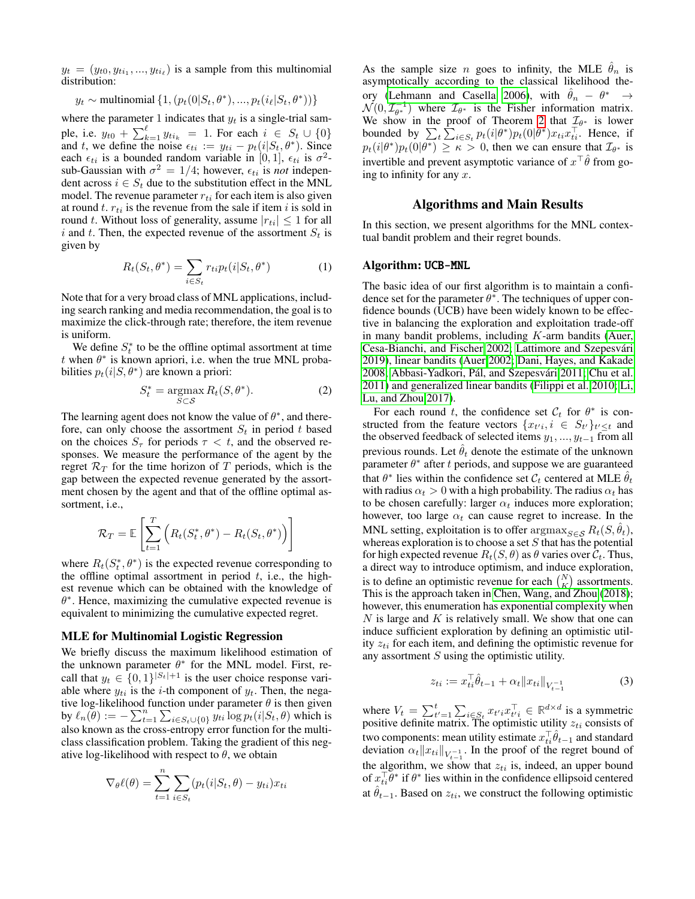$y_t = (y_{t0}, y_{t i_1}, ..., y_{t i_\ell})$  is a sample from this multinomial distribution:

$$
y_t \sim \text{multinomial} \{ 1, (p_t(0|S_t, \theta^*), ..., p_t(i_\ell|S_t, \theta^*)) \}
$$

where the parameter 1 indicates that  $y_t$  is a single-trial sample, i.e.  $y_{t0} + \sum_{k=1}^{\ell} y_{t i_k} = 1$ . For each  $i \in S_t \cup \{0\}$ and t, we define the noise  $\epsilon_{ti} := y_{ti} - p_t(i|S_t, \theta^*)$ . Since each  $\epsilon_{ti}$  is a bounded random variable in [0, 1],  $\epsilon_{ti}$  is  $\sigma^2$ sub-Gaussian with  $\sigma^2 = 1/4$ ; however,  $\epsilon_{ti}$  is *not* independent across  $i \in S_t$  due to the substitution effect in the MNL model. The revenue parameter  $r_{ti}$  for each item is also given at round t.  $r_{ti}$  is the revenue from the sale if item i is sold in round t. Without loss of generality, assume  $|r_{ti}| \leq 1$  for all i and t. Then, the expected revenue of the assortment  $S_t$  is given by

<span id="page-2-1"></span>
$$
R_t(S_t, \theta^*) = \sum_{i \in S_t} r_{ti} p_t(i|S_t, \theta^*)
$$
 (1)

Note that for a very broad class of MNL applications, including search ranking and media recommendation, the goal is to maximize the click-through rate; therefore, the item revenue is uniform.

We define  $S_t^*$  to be the offline optimal assortment at time t when  $\theta^*$  is known apriori, i.e. when the true MNL probabilities  $p_t(i|S, \theta^*)$  are known a priori:

<span id="page-2-0"></span>
$$
S_t^* = \underset{S \subset \mathcal{S}}{\operatorname{argmax}} R_t(S, \theta^*). \tag{2}
$$

The learning agent does not know the value of  $\theta^*$ , and therefore, can only choose the assortment  $S_t$  in period t based on the choices  $S_{\tau}$  for periods  $\tau < t$ , and the observed responses. We measure the performance of the agent by the regret  $\mathcal{R}_T$  for the time horizon of T periods, which is the gap between the expected revenue generated by the assortment chosen by the agent and that of the offline optimal assortment, i.e.,

$$
\mathcal{R}_T = \mathbb{E}\left[\sum_{t=1}^T \left(R_t(S_t^*, \theta^*) - R_t(S_t, \theta^*)\right)\right]
$$

where  $R_t(S_t^*, \theta^*)$  is the expected revenue corresponding to the offline optimal assortment in period  $t$ , i.e., the highest revenue which can be obtained with the knowledge of  $\theta^*$ . Hence, maximizing the cumulative expected revenue is equivalent to minimizing the cumulative expected regret.

### MLE for Multinomial Logistic Regression

We briefly discuss the maximum likelihood estimation of the unknown parameter  $\theta^*$  for the MNL model. First, recall that  $y_t \in \{0,1\}^{|S_t|+1}$  is the user choice response variable where  $y_{ti}$  is the *i*-th component of  $y_t$ . Then, the negative log-likelihood function under parameter  $\theta$  is then given by  $\ell_n(\theta) := -\sum_{t=1}^n \sum_{i \in S_t \cup \{0\}} y_{ti} \log p_t(i|S_t, \theta)$  which is also known as the cross-entropy error function for the multiclass classification problem. Taking the gradient of this negative log-likelihood with respect to  $\theta$ , we obtain

$$
\nabla_{\theta} \ell(\theta) = \sum_{t=1}^{n} \sum_{i \in S_t} (p_t(i|S_t, \theta) - y_{ti}) x_{ti}
$$

As the sample size n goes to infinity, the MLE  $\hat{\theta}_n$  is asymptotically according to the classical likelihood the-ory [\(Lehmann and Casella 2006\)](#page-7-18), with  $\hat{\theta}_n - \theta^* \rightarrow$  $\mathcal{N}(0, \mathcal{I}_{\theta^*}^{-1})$  where  $\mathcal{I}_{\theta^*}$  is the Fisher information matrix. We show in the proof of Theorem [2](#page-4-2) that  $\mathcal{I}_{\theta^*}$  is lower bounded by  $\sum_{t} \sum_{i \in S_t} p_t(i|\theta^*) p_t(0|\theta^*) x_{ti} x_{ti}^{\top}$ . Hence, if  $p_t(i|\theta^*)p_t(0|\theta^*) \geq \kappa > 0$ , then we can ensure that  $\mathcal{I}_{\theta^*}$  is invertible and prevent asymptotic variance of  $x^{\top}\hat{\theta}$  from going to infinity for any  $x$ .

### Algorithms and Main Results

In this section, we present algorithms for the MNL contextual bandit problem and their regret bounds.

### Algorithm: UCB-MNL

The basic idea of our first algorithm is to maintain a confidence set for the parameter  $\theta^*$ . The techniques of upper confidence bounds (UCB) have been widely known to be effective in balancing the exploration and exploitation trade-off in many bandit problems, including  $K$ -arm bandits [\(Auer,](#page-7-19) [Cesa-Bianchi, and Fischer 2002;](#page-7-19) Lattimore and Szepesvári [2019\)](#page-7-0), linear bandits [\(Auer 2002;](#page-7-7) [Dani, Hayes, and Kakade](#page-7-20) [2008;](#page-7-20) Abbasi-Yadkori, Pál, and Szepesvári [2011;](#page-7-9) [Chu et al.](#page-7-10) [2011\)](#page-7-10) and generalized linear bandits [\(Filippi et al. 2010;](#page-7-8) [Li,](#page-7-11) [Lu, and Zhou 2017\)](#page-7-11).

For each round t, the confidence set  $\mathcal{C}_t$  for  $\theta^*$  is constructed from the feature vectors  $\{x_{t'i}, i \in S_{t'}\}_{t' \leq t}$  and the observed feedback of selected items  $y_1, ..., y_{t-1}$  from all previous rounds. Let  $\theta_t$  denote the estimate of the unknown parameter  $\theta^*$  after t periods, and suppose we are guaranteed that  $\theta^*$  lies within the confidence set  $\mathcal{C}_t$  centered at MLE  $\hat{\theta}_t$ with radius  $\alpha_t > 0$  with a high probability. The radius  $\alpha_t$  has to be chosen carefully: larger  $\alpha_t$  induces more exploration; however, too large  $\alpha_t$  can cause regret to increase. In the MNL setting, exploitation is to offer  $\argmax_{S \in \mathcal{S}} R_t(S, \hat{\theta}_t)$ , whereas exploration is to choose a set  $S$  that has the potential for high expected revenue  $R_t(S, \theta)$  as  $\theta$  varies over  $\mathcal{C}_t$ . Thus, a direct way to introduce optimism, and induce exploration, is to define an optimistic revenue for each  $\binom{N}{K}$  assortments. This is the approach taken in [Chen, Wang, and Zhou](#page-7-16) [\(2018\)](#page-7-16); however, this enumeration has exponential complexity when  $N$  is large and  $K$  is relatively small. We show that one can induce sufficient exploration by defining an optimistic utility  $z_{ti}$  for each item, and defining the optimistic revenue for any assortment  $S$  using the optimistic utility.

$$
z_{ti} := x_{ti}^\top \hat{\theta}_{t-1} + \alpha_t \|x_{ti}\|_{V_{t-1}^{-1}}
$$
 (3)

where  $V_t = \sum_{t'=1}^t \sum_{i \in S_t} x_{t'i} x_{t'i}^\top \in \mathbb{R}^{d \times d}$  is a symmetric positive definite matrix. The optimistic utility  $z_{ti}$  consists of two components: mean utility estimate  $x_{ti}^\top \hat{\theta}_{t-1}$  and standard deviation  $\alpha_t ||x_{ti}||_{V_{t-1}^{-1}}$ . In the proof of the regret bound of the algorithm, we show that  $z_{ti}$  is, indeed, an upper bound of  $x_{ti}^{\top} \bar{\theta}^*$  if  $\theta^*$  lies within in the confidence ellipsoid centered at  $\hat{\theta}_{t-1}$ . Based on  $z_{ti}$ , we construct the following optimistic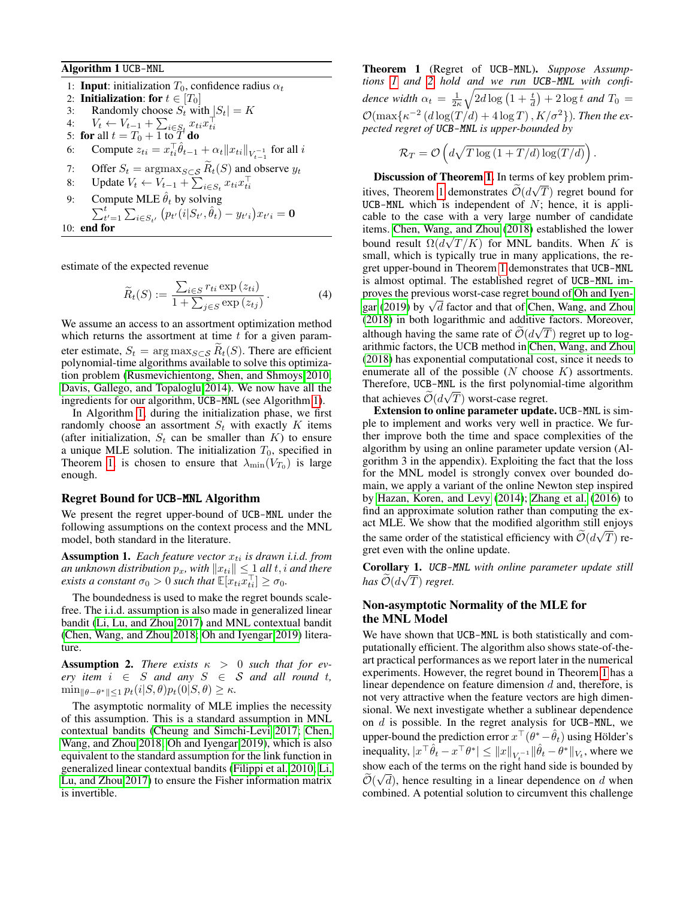Algorithm 1 UCB-MNL

- 1: **Input:** initialization  $T_0$ , confidence radius  $\alpha_t$
- 2: **Initialization: for**  $t \in [T_0]$ <br>3: Randomly choose  $S_t$  wi
- Randomly choose  $S_t$  with  $|S_t| = K$
- 4:  $V_t \leftarrow V_{t-1} + \sum_{i \in S_t} x_{ti} x_{ti}^\top$ <br>5: **for** all  $t = T_0 + 1$  to  $T$  **do**
- 
- 6: Compute  $z_{ti} = x_{ti}^\top \hat{\theta}_{t-1} + \alpha_t \|x_{ti}\|_{V_{t-1}^{-1}}$  for all i
- 7: Offer  $S_t = \arg \max_{S \subset S} \widetilde{R}_t(S)$  and observe  $y_t$ <br>8: Update  $V_t \leftarrow V_{t-1} + \sum_{i \in S} x_{ti} x_{ti}^\top$
- 8: Update  $V_t \leftarrow V_{t-1} + \sum_{i \in S_t} x_{ti} x_{ti}^\top$
- 9: Compute MLE  $\hat{\theta}_t$  by solving  $\sum_{t'=1}^{t} \sum_{i \in S_{t'}} (p_{t'}(i|S_{t'}, \hat{\theta}_{t}) - y_{t'i}) x_{t'i} = \mathbf{0}$
- <span id="page-3-0"></span>10: end for

estimate of the expected revenue

<span id="page-3-5"></span>
$$
\widetilde{R}_t(S) := \frac{\sum_{i \in S} r_{ti} \exp(z_{ti})}{1 + \sum_{j \in S} \exp(z_{tj})}.
$$
\n(4)

We assume an access to an assortment optimization method which returns the assortment at time  $t$  for a given parameter estimate,  $S_t = \arg \max_{S \subset S} R_t(S)$ . There are efficient polynomial-time algorithms available to solve this optimization problem [\(Rusmevichientong, Shen, and Shmoys 2010;](#page-8-0) [Davis, Gallego, and Topaloglu 2014\)](#page-7-21). We now have all the ingredients for our algorithm, UCB-MNL (see Algorithm [1\)](#page-3-0).

In Algorithm [1,](#page-3-0) during the initialization phase, we first randomly choose an assortment  $S_t$  with exactly K items (after initialization,  $S_t$  can be smaller than  $K$ ) to ensure a unique MLE solution. The initialization  $T_0$ , specified in Theorem [1,](#page-3-1) is chosen to ensure that  $\lambda_{\min}(V_{T_0})$  is large enough.

# Regret Bound for UCB-MNL Algorithm

We present the regret upper-bound of UCB-MNL under the following assumptions on the context process and the MNL model, both standard in the literature.

<span id="page-3-2"></span>**Assumption 1.** *Each feature vector*  $x_{ti}$  *is drawn i.i.d. from an unknown distribution*  $p_x$ *, with*  $||x_{ti}|| \leq 1$  *all*  $t$ *, i and there exists a constant*  $\sigma_0 > 0$  *such that*  $\mathbb{E}[x_{ti}x_{ti}^{\top}] \ge \sigma_0$ *.* 

The boundedness is used to make the regret bounds scalefree. The i.i.d. assumption is also made in generalized linear bandit [\(Li, Lu, and Zhou 2017\)](#page-7-11) and MNL contextual bandit [\(Chen, Wang, and Zhou 2018;](#page-7-16) [Oh and Iyengar 2019\)](#page-7-17) literature.

<span id="page-3-3"></span>**Assumption 2.** *There exists*  $\kappa > 0$  *such that for ev-* $\text{erv}$  *item*  $i \in S$  *and any*  $S \in S$  *and all round t,*  $\min_{\|\theta-\theta^*\| \leq 1} p_t(i|S,\theta) p_t(0|S,\theta) \geq \kappa.$ 

The asymptotic normality of MLE implies the necessity of this assumption. This is a standard assumption in MNL contextual bandits [\(Cheung and Simchi-Levi 2017;](#page-7-13) [Chen,](#page-7-16) [Wang, and Zhou 2018;](#page-7-16) [Oh and Iyengar 2019\)](#page-7-17), which is also equivalent to the standard assumption for the link function in generalized linear contextual bandits [\(Filippi et al. 2010;](#page-7-8) [Li,](#page-7-11) [Lu, and Zhou 2017\)](#page-7-11) to ensure the Fisher information matrix is invertible.

<span id="page-3-1"></span>Theorem 1 (Regret of UCB-MNL). *Suppose Assumptions [1](#page-3-2) and [2](#page-3-3) hold and we run* UCB-MNL *with confi*dence width  $\alpha_t = \frac{1}{2\kappa} \sqrt{2d \log\left(1 + \frac{t}{d}\right) + 2\log t}$  and  $T_0 =$  $\mathcal{O}(\max\{\kappa^{-2} \left(d\log(T/d)+4\log T\right),K/\sigma^2\})$ *. Then the expected regret of* UCB-MNL *is upper-bounded by*

$$
\mathcal{R}_T = \mathcal{O}\left(d\sqrt{T\log\left(1 + T/d\right)\log\left(T/d\right)}\right).
$$

**Discussion of Theorem [1.](#page-3-1)** In terms of key problem prim-itives, Theorem [1](#page-3-1) demonstrates  $\mathcal{O}(d\sqrt{T})$  regret bound for UCB-MNL which is independent of  $N$ ; hence, it is applicable to the case with a very large number of candidate items. [Chen, Wang, and Zhou](#page-7-16) [\(2018\)](#page-7-16) established the lower bound result  $\Omega(d\sqrt{T/K})$  for MNL bandits. When K is small, which is typically true in many applications, the regret upper-bound in Theorem [1](#page-3-1) demonstrates that UCB-MNL is almost optimal. The established regret of UCB-MNL improves the previous worst-case regret bound of [Oh and Iyen](#page-7-17)proves the previous worst-case regret bound of On and tyen-<br>[gar](#page-7-17) [\(2019\)](#page-7-17) by  $\sqrt{d}$  factor and that of [Chen, Wang, and Zhou](#page-7-16) [\(2018\)](#page-7-16) in both logarithmic and additive factors. Moreover, although having the same rate of  $\mathcal{O}(d\sqrt{T})$  regret up to log-<br>with right and reflective the UCD model in Class West with The arithmic factors, the UCB method in [Chen, Wang, and Zhou](#page-7-16) [\(2018\)](#page-7-16) has exponential computational cost, since it needs to enumerate all of the possible  $(N \text{ choose } K)$  assortments. Therefore, UCB-MNL is the first polynomial-time algorithm that achieves  $\mathcal{O}(d\sqrt{T})$  worst-case regret.

Extension to online parameter update. UCB-MNL is simple to implement and works very well in practice. We further improve both the time and space complexities of the algorithm by using an online parameter update version (Algorithm 3 in the appendix). Exploiting the fact that the loss for the MNL model is strongly convex over bounded domain, we apply a variant of the online Newton step inspired by [Hazan, Koren, and Levy](#page-7-22) [\(2014\)](#page-7-22); [Zhang et al.](#page-8-6) [\(2016\)](#page-8-6) to find an approximate solution rather than computing the exact MLE. We show that the modified algorithm still enjoys the same order of the statistical efficiency with  $\mathcal{O}(d\sqrt{T})$  regret even with the online update.

<span id="page-3-4"></span>Corollary 1. UCB-MNL *with online parameter update still* √  $has O(d\sqrt{T})$  *regret.* 

# Non-asymptotic Normality of the MLE for the MNL Model

We have shown that UCB-MNL is both statistically and computationally efficient. The algorithm also shows state-of-theart practical performances as we report later in the numerical experiments. However, the regret bound in Theorem [1](#page-3-1) has a linear dependence on feature dimension d and, therefore, is not very attractive when the feature vectors are high dimensional. We next investigate whether a sublinear dependence on  $d$  is possible. In the regret analysis for UCB-MNL, we upper-bound the prediction error  $x^{\top}(\theta^* - \hat{\theta}_t)$  using Hölder's inequality,  $|x^{\top}\hat{\theta}_t - x^{\top}\theta^*| \leq ||x||_{V_t^{-1}} ||\hat{\theta}_t - \theta^*||_{V_t}$ , where we show each of the terms on the right hand side is bounded by  $\widetilde{\gamma}$ .  $\mathcal{O}(\sqrt{d})$ , hence resulting in a linear dependence on d when combined. A potential solution to circumvent this challenge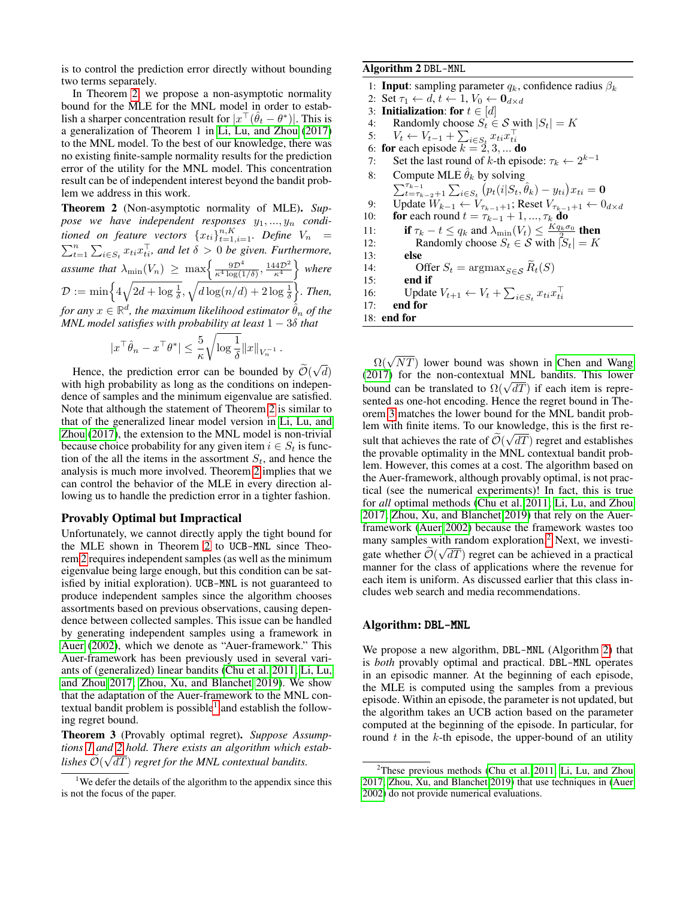is to control the prediction error directly without bounding two terms separately.

In Theorem [2,](#page-4-2) we propose a non-asymptotic normality bound for the MLE for the MNL model in order to establish a sharper concentration result for  $|x^{\top}(\hat{\theta}_t - \theta^*)|$ . This is a generalization of Theorem 1 in [Li, Lu, and Zhou](#page-7-11) [\(2017\)](#page-7-11) to the MNL model. To the best of our knowledge, there was no existing finite-sample normality results for the prediction error of the utility for the MNL model. This concentration result can be of independent interest beyond the bandit problem we address in this work.

<span id="page-4-2"></span>Theorem 2 (Non-asymptotic normality of MLE). *Sup*pose we have independent responses  $y_1, \ldots, y_n$  conditioned on feature vectors  ${x_{ti}}_{t=1,i=1}^{n,K}$ . Define  $V_n$  =  $\sum_{t=1}^{n} \sum_{i \in S_t} x_{ti} x_{ti}^{\top}$ , and let  $\delta > 0$  be given. Furthermore, assume that  $\lambda_{\min}(V_n) \ge \max\left\{\frac{9D^4}{\kappa^4 \log(1/\delta)}, \frac{144D^2}{\kappa^4}\right\}$  where  $\mathcal{D}:=\min\Bigl\{4\sqrt{2d+\log\frac{1}{\delta}},\sqrt{d\log(n/d)+2\log\frac{1}{\delta}}\Bigr\}.$  Then,  $f$ or any  $x \in \mathbb{R}^d$ , the maximum likelihood estimator  $\hat{\theta}_n$  of the *MNL model satisfies with probability at least* 1 − 3δ *that*

$$
|x^{\top}\hat{\theta}_n - x^{\top}\theta^*| \leq \frac{5}{\kappa} \sqrt{\log \frac{1}{\delta}} \|x\|_{V_n^{-1}}
$$

.

Hence, the prediction error can be bounded by  $\mathcal{O}(\mathbf{r})$ √ d) with high probability as long as the conditions on independence of samples and the minimum eigenvalue are satisfied. Note that although the statement of Theorem [2](#page-4-2) is similar to that of the generalized linear model version in [Li, Lu, and](#page-7-11) [Zhou](#page-7-11) [\(2017\)](#page-7-11), the extension to the MNL model is non-trivial because choice probability for any given item  $i \in S_t$  is function of the all the items in the assortment  $S_t$ , and hence the analysis is much more involved. Theorem [2](#page-4-2) implies that we can control the behavior of the MLE in every direction allowing us to handle the prediction error in a tighter fashion.

### Provably Optimal but Impractical

Unfortunately, we cannot directly apply the tight bound for the MLE shown in Theorem [2](#page-4-2) to UCB-MNL since Theorem [2](#page-4-2) requires independent samples (as well as the minimum eigenvalue being large enough, but this condition can be satisfied by initial exploration). UCB-MNL is not guaranteed to produce independent samples since the algorithm chooses assortments based on previous observations, causing dependence between collected samples. This issue can be handled by generating independent samples using a framework in [Auer](#page-7-7) [\(2002\)](#page-7-7), which we denote as "Auer-framework." This Auer-framework has been previously used in several variants of (generalized) linear bandits [\(Chu et al. 2011;](#page-7-10) [Li, Lu,](#page-7-11) [and Zhou 2017;](#page-7-11) [Zhou, Xu, and Blanchet 2019\)](#page-8-7). We show that the adaptation of the Auer-framework to the MNL con-textual bandit problem is possible<sup>[1](#page-4-3)</sup> and establish the following regret bound.

<span id="page-4-1"></span>Theorem 3 (Provably optimal regret). *Suppose Assumptions [1](#page-3-2) and [2](#page-3-3) hold. There exists an algorithm which estab-*√  $\mathcal{O}(\sqrt{dT})$  *regret for the MNL contextual bandits.* 

### Algorithm 2 DBL-MNL

1: **Input**: sampling parameter  $q_k$ , confidence radius  $\beta_k$ 2: Set  $\tau_1 \leftarrow d, t \leftarrow 1, V_0 \leftarrow \mathbf{0}_{d \times d}$ 3: **Initialization:** for  $t \in [d]$ 4: Randomly choose  $S_t \in \mathcal{S}$  with  $|S_t| = K$ 5:  $V_t \leftarrow V_{t-1} + \sum_{i \in S_t} x_{ti} x_{ti}^\top$ <br>6: **for** each episode  $k = 2, 3, ...$  **do** 7: Set the last round of k-th episode:  $\tau_k \leftarrow 2^{k-1}$ 8: Compute MLE  $\hat{\theta}_k$  by solving  $\sum_{t=\tau_{k-2}+1}^{\tau_{k-1}} \sum_{i \in S_t} (p_t(i|S_t, \hat{\theta}_k) - y_{ti}) x_{ti} = \mathbf{0}$ 9: Update  $W_{k-1} \leftarrow V_{\tau_{k-1}+1}$ ; Reset  $V_{\tau_{k-1}+1} \leftarrow 0_{d \times d}$ 

10: **for** each round  $t = \tau_{k-1} + 1, ..., \tau_k$  **do** 11: if  $\tau_k - t \leq q_k$  and  $\lambda_{\min}(V_t) \leq \frac{K q_k \sigma_0}{\lambda_{\min}(V_t)}$  then 12: Randomly choose  $S_t \in \mathcal{S}$  with  $|S_t| = K$ <br>13: **else** else 14: Offer  $S_t = \argmax_{S \in \mathcal{S}} \widetilde{R}_t(S)$ <br>15: **end if** end if

16: Update  $V_{t+1} \leftarrow V_t + \sum_{i \in S_t} x_{ti} x_{ti}^\top$ 

17: end for

<span id="page-4-0"></span>18: end for

 $\Omega(\sqrt{NT})$  lower bound was shown in [Chen and Wang](#page-7-14) [\(2017\)](#page-7-14) for the non-contextual MNL bandits. This lower (2017) for the non-contextual MNL bandits. This lower<br>bound can be translated to  $\Omega(\sqrt{dT})$  if each item is represented as one-hot encoding. Hence the regret bound in Theorem [3](#page-4-1) matches the lower bound for the MNL bandit problem with finite items. To our knowledge, this is the first result that achieves the rate of  $\mathcal{O}(\sqrt{dT})$  regret and establishes the provable optimality in the MNL contextual bandit problem. However, this comes at a cost. The algorithm based on the Auer-framework, although provably optimal, is not practical (see the numerical experiments)! In fact, this is true for *all* optimal methods [\(Chu et al. 2011;](#page-7-10) [Li, Lu, and Zhou](#page-7-11) [2017;](#page-7-11) [Zhou, Xu, and Blanchet 2019\)](#page-8-7) that rely on the Auerframework [\(Auer 2002\)](#page-7-7) because the framework wastes too many samples with random exploration.<sup>[2](#page-4-4)</sup> Next, we investigate whether  $O(\sqrt{dT})$  regret can be achieved in a practical manner for the class of applications where the revenue for each item is uniform. As discussed earlier that this class includes web search and media recommendations.

### Algorithm: DBL-MNL

We propose a new algorithm, DBL-MNL (Algorithm [2\)](#page-4-0) that is *both* provably optimal and practical. DBL-MNL operates in an episodic manner. At the beginning of each episode, the MLE is computed using the samples from a previous episode. Within an episode, the parameter is not updated, but the algorithm takes an UCB action based on the parameter computed at the beginning of the episode. In particular, for round  $t$  in the  $k$ -th episode, the upper-bound of an utility

<span id="page-4-3"></span><sup>&</sup>lt;sup>1</sup>We defer the details of the algorithm to the appendix since this is not the focus of the paper.

<span id="page-4-4"></span><sup>&</sup>lt;sup>2</sup>These previous methods [\(Chu et al. 2011;](#page-7-10) [Li, Lu, and Zhou](#page-7-11) [2017;](#page-7-11) [Zhou, Xu, and Blanchet 2019\)](#page-8-7) that use techniques in [\(Auer](#page-7-7) [2002\)](#page-7-7) do not provide numerical evaluations.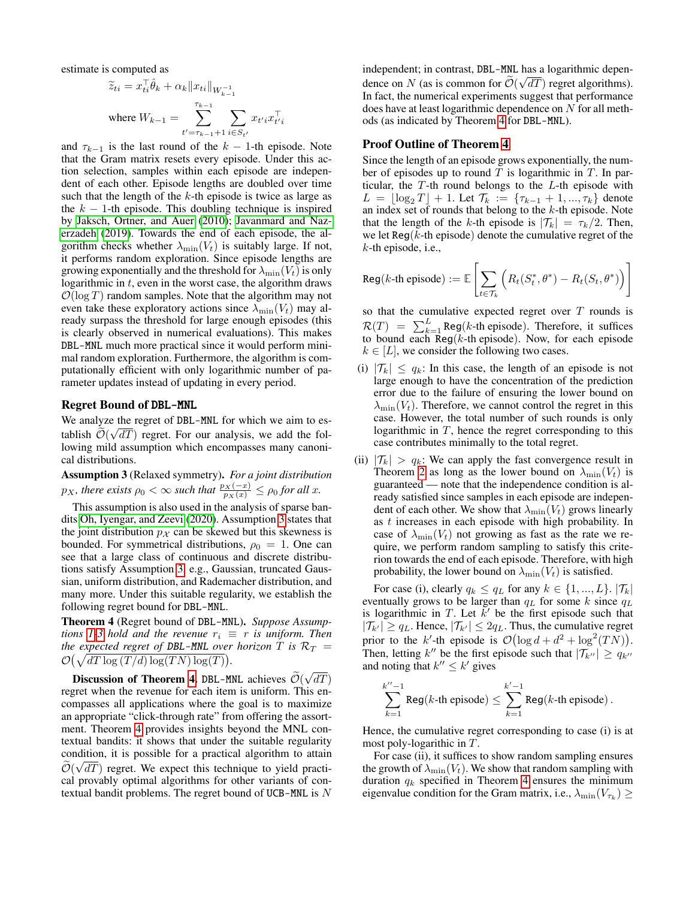estimate is computed as

$$
\widetilde{z}_{ti} = x_{ti}^{\top} \hat{\theta}_k + \alpha_k \| x_{ti} \|_{W_{k-1}^{-1}}
$$
  
where  $W_{k-1} = \sum_{t' = \tau_{k-1} + 1}^{\tau_{k-1}} \sum_{i \in S_{t'}} x_{t'i} x_{t'i}^{\top}$ 

and  $\tau_{k-1}$  is the last round of the  $k-1$ -th episode. Note that the Gram matrix resets every episode. Under this action selection, samples within each episode are independent of each other. Episode lengths are doubled over time such that the length of the  $k$ -th episode is twice as large as the  $k - 1$ -th episode. This doubling technique is inspired by [Jaksch, Ortner, and Auer](#page-7-23) [\(2010\)](#page-7-23); [Javanmard and Naz](#page-7-24)[erzadeh](#page-7-24) [\(2019\)](#page-7-24). Towards the end of each episode, the algorithm checks whether  $\lambda_{\min}(V_t)$  is suitably large. If not, it performs random exploration. Since episode lengths are growing exponentially and the threshold for  $\lambda_{\min}(V_t)$  is only logarithmic in  $t$ , even in the worst case, the algorithm draws  $\mathcal{O}(\log T)$  random samples. Note that the algorithm may not even take these exploratory actions since  $\lambda_{\min}(V_t)$  may already surpass the threshold for large enough episodes (this is clearly observed in numerical evaluations). This makes DBL-MNL much more practical since it would perform minimal random exploration. Furthermore, the algorithm is computationally efficient with only logarithmic number of parameter updates instead of updating in every period.

### Regret Bound of DBL-MNL

We analyze the regret of DBL-MNL for which we aim to establish  $\mathcal{O}(\sqrt{dT})$  regret. For our analysis, we add the following mild assumption which encompasses many canonical distributions.

<span id="page-5-0"></span>Assumption 3 (Relaxed symmetry). *For a joint distribution*  $p_X$ , there exists  $\rho_0 < \infty$  such that  $\frac{p_X(-x)}{p_X(x)} \leq \rho_0$  for all x.

This assumption is also used in the analysis of sparse bandits [Oh, Iyengar, and Zeevi](#page-7-25) [\(2020\)](#page-7-25). Assumption [3](#page-5-0) states that the joint distribution  $p_{\mathcal{X}}$  can be skewed but this skewness is bounded. For symmetrical distributions,  $\rho_0 = 1$ . One can see that a large class of continuous and discrete distributions satisfy Assumption [3,](#page-5-0) e.g., Gaussian, truncated Gaussian, uniform distribution, and Rademacher distribution, and many more. Under this suitable regularity, we establish the following regret bound for DBL-MNL.

<span id="page-5-1"></span>Theorem 4 (Regret bound of DBL-MNL). *Suppose Assumptions* [1-](#page-3-2)[3](#page-5-0) *hold and the revenue*  $r_i \equiv r$  *is uniform. Then the expected regret of DBL-MNL over horizon* T *is*  $\mathcal{R}_T$  =  $\mathcal{O}(\sqrt{dT \log (T/d) \log (TN) \log(T)})$ . √

Discussion of Theorem [4.](#page-5-1) DBL-MNL achieves  $\mathcal{O}(\mathbf{r})$  $dT)$ regret when the revenue for each item is uniform. This encompasses all applications where the goal is to maximize an appropriate "click-through rate" from offering the assortment. Theorem [4](#page-5-1) provides insights beyond the MNL contextual bandits: it shows that under the suitable regularity condition, it is possible for a practical algorithm to attain  $\mathcal{O}(\sqrt{dT})$  regret. We expect this technique to yield practical provably optimal algorithms for other variants of contextual bandit problems. The regret bound of UCB-MNL is  $N$ 

independent; in contrast, DBL-MNL has a logarithmic dependence on N (as is common for  $\mathcal{O}(\sqrt{dT})$  regret algorithms). In fact, the numerical experiments suggest that performance does have at least logarithmic dependence on  $N$  for all methods (as indicated by Theorem [4](#page-5-1) for DBL-MNL).

### Proof Outline of Theorem [4](#page-5-1)

Since the length of an episode grows exponentially, the number of episodes up to round  $T$  is logarithmic in  $T$ . In particular, the T-th round belongs to the L-th episode with  $L = \lfloor \log_2 T \rfloor + 1$ . Let  $\mathcal{T}_k := \{ \tau_{k-1} + 1, ..., \tau_k \}$  denote an index set of rounds that belong to the k-th episode. Note that the length of the k-th episode is  $|\mathcal{T}_k| = \tau_k/2$ . Then, we let  $\text{Reg}(k\text{-th} \text{ episode})$  denote the cumulative regret of the k-th episode, i.e.,

$$
\texttt{Reg}(k\text{-th episode}) := \mathbb{E}\left[\sum_{t \in \mathcal{T}_k} \left( R_t(S^*_t, \theta^*) - R_t(S_t, \theta^*) \right) \right]
$$

so that the cumulative expected regret over  $T$  rounds is  $\mathcal{R}(T) = \sum_{k=1}^{L} \text{Reg}(k\text{-th episode})$ . Therefore, it suffices to bound each Reg( $k$ -th episode). Now, for each episode  $k \in [L]$ , we consider the following two cases.

- (i)  $|\mathcal{T}_k| \leq q_k$ : In this case, the length of an episode is not large enough to have the concentration of the prediction error due to the failure of ensuring the lower bound on  $\lambda_{\min}(V_t)$ . Therefore, we cannot control the regret in this case. However, the total number of such rounds is only logarithmic in  $T$ , hence the regret corresponding to this case contributes minimally to the total regret.
- (ii)  $|\mathcal{T}_k| > q_k$ : We can apply the fast convergence result in Theorem [2](#page-4-2) as long as the lower bound on  $\lambda_{\min}(V_t)$  is guaranteed — note that the independence condition is already satisfied since samples in each episode are independent of each other. We show that  $\lambda_{\min}(V_t)$  grows linearly as t increases in each episode with high probability. In case of  $\lambda_{\min}(V_t)$  not growing as fast as the rate we require, we perform random sampling to satisfy this criterion towards the end of each episode. Therefore, with high probability, the lower bound on  $\lambda_{\min}(V_t)$  is satisfied.

For case (i), clearly  $q_k \le q_L$  for any  $k \in \{1, ..., L\}$ .  $|\mathcal{T}_k|$ eventually grows to be larger than  $q_L$  for some k since  $q_L$ is logarithmic in T. Let  $\vec{k}'$  be the first episode such that  $|\mathcal{T}_{k'}| \ge q_L$ . Hence,  $|\mathcal{T}_{k'}| \le 2q_L$ . Thus, the cumulative regret prior to the k'-th episode is  $\mathcal{O}(\log d + d^2 + \log^2(T N)).$ Then, letting k'' be the first episode such that  $|\mathcal{T}_{k''}| \geq q_{k''}$ and noting that  $k'' \leq k'$  gives

$$
\sum_{k=1}^{k''-1} \text{Reg}(k\text{-th episode}) \le \sum_{k=1}^{k'-1} \text{Reg}(k\text{-th episode}).
$$

Hence, the cumulative regret corresponding to case (i) is at most poly-logarithic in T.

For case (ii), it suffices to show random sampling ensures the growth of  $\lambda_{\min}(V_t)$ . We show that random sampling with duration  $q_k$  specified in Theorem [4](#page-5-1) ensures the minimum eigenvalue condition for the Gram matrix, i.e.,  $\lambda_{\min}(V_{\tau_k}) \geq$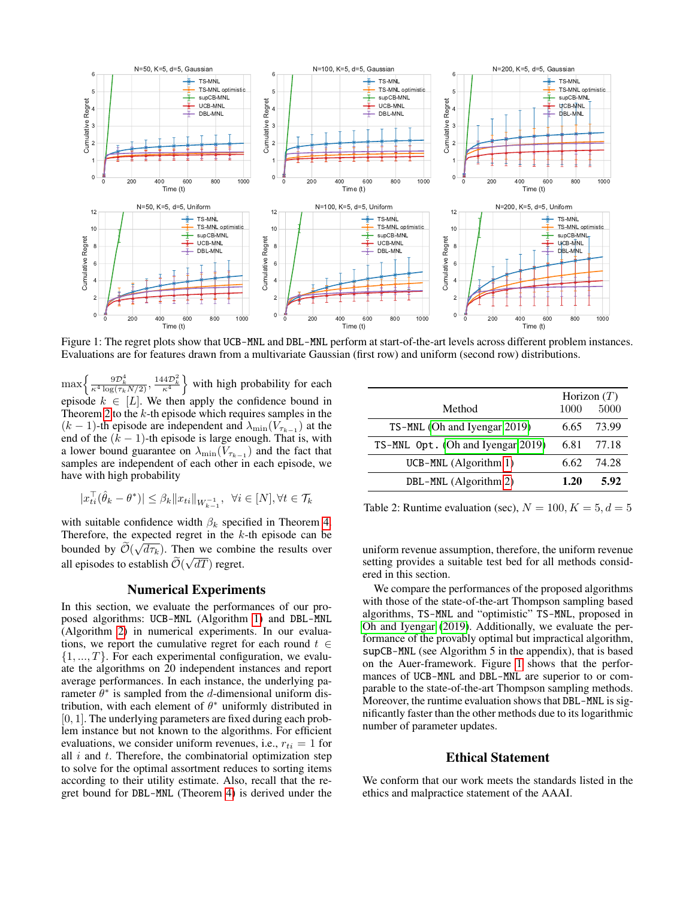<span id="page-6-0"></span>

Figure 1: The regret plots show that UCB-MNL and DBL-MNL perform at start-of-the-art levels across different problem instances. Evaluations are for features drawn from a multivariate Gaussian (first row) and uniform (second row) distributions.

 $\max\left\{\frac{9\mathcal{D}_k^4}{\kappa^4 \log(\tau_k N/2)}, \frac{144\mathcal{D}_k^2}{\kappa^4}\right\}$  with high probability for each episode  $k \in [L]$ . We then apply the confidence bound in Theorem [2](#page-4-2) to the  $k$ -th episode which requires samples in the  $(k-1)$ -th episode are independent and  $\lambda_{\min}(V_{\tau_{k-1}})$  at the end of the  $(k - 1)$ -th episode is large enough. That is, with a lower bound guarantee on  $\lambda_{\min}(V_{\tau_{k-1}})$  and the fact that samples are independent of each other in each episode, we have with high probability

$$
|x_{ti}^{\top}(\hat{\theta}_k - \theta^*)| \leq \beta_k ||x_{ti}||_{W_{k-1}^{-1}}, \ \forall i \in [N], \forall t \in \mathcal{T}_k
$$

with suitable confidence width  $\beta_k$  specified in Theorem [4.](#page-5-1) Therefore, the expected regret in the k-th episode can be bounded by  $\mathcal{O}(\sqrt{d\tau_k})$ . Then we combine the results over all episodes to establish  $\mathcal{O}(\sqrt{dT})$  regret.

### Numerical Experiments

In this section, we evaluate the performances of our proposed algorithms: UCB-MNL (Algorithm [1\)](#page-3-0) and DBL-MNL (Algorithm [2\)](#page-4-0) in numerical experiments. In our evaluations, we report the cumulative regret for each round  $t \in$  $\{1, ..., T\}$ . For each experimental configuration, we evaluate the algorithms on 20 independent instances and report average performances. In each instance, the underlying parameter  $\hat{\theta}^*$  is sampled from the d-dimensional uniform distribution, with each element of  $\theta^*$  uniformly distributed in  $[0, 1]$ . The underlying parameters are fixed during each problem instance but not known to the algorithms. For efficient evaluations, we consider uniform revenues, i.e.,  $r_{ti} = 1$  for all  $i$  and  $t$ . Therefore, the combinatorial optimization step to solve for the optimal assortment reduces to sorting items according to their utility estimate. Also, recall that the regret bound for DBL-MNL (Theorem [4\)](#page-5-1) is derived under the

<span id="page-6-1"></span>

|                                   | Horizon $(T)$ |       |
|-----------------------------------|---------------|-------|
| Method                            | 1000          | 5000  |
| TS-MNL (Oh and Iyengar 2019)      | 6.65          | 73.99 |
| TS-MNL Opt. (Oh and Iyengar 2019) | 6.81          | 77.18 |
| $UCB-MNL$ (Algorithm 1)           | 6.62          | 74.28 |
| DBL-MNL (Algorithm 2)             | 1.20          | 5.92  |

Table 2: Runtime evaluation (sec),  $N = 100, K = 5, d = 5$ 

uniform revenue assumption, therefore, the uniform revenue setting provides a suitable test bed for all methods considered in this section.

We compare the performances of the proposed algorithms with those of the state-of-the-art Thompson sampling based algorithms, TS-MNL and "optimistic" TS-MNL, proposed in [Oh and Iyengar](#page-7-17) [\(2019\)](#page-7-17). Additionally, we evaluate the performance of the provably optimal but impractical algorithm, supCB-MNL (see Algorithm 5 in the appendix), that is based on the Auer-framework. Figure [1](#page-6-0) shows that the performances of UCB-MNL and DBL-MNL are superior to or comparable to the state-of-the-art Thompson sampling methods. Moreover, the runtime evaluation shows that DBL-MNL is significantly faster than the other methods due to its logarithmic number of parameter updates.

# Ethical Statement

We conform that our work meets the standards listed in the ethics and malpractice statement of the AAAI.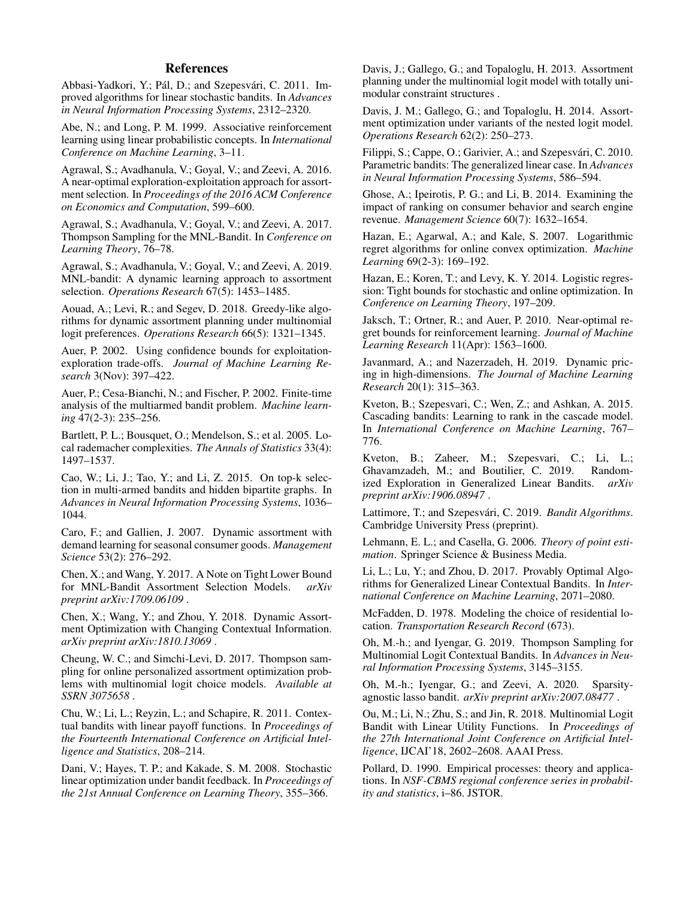# References

<span id="page-7-9"></span>Abbasi-Yadkori, Y.; Pál, D.; and Szepesvári, C. 2011. Improved algorithms for linear stochastic bandits. In *Advances in Neural Information Processing Systems*, 2312–2320.

<span id="page-7-6"></span>Abe, N.; and Long, P. M. 1999. Associative reinforcement learning using linear probabilistic concepts. In *International Conference on Machine Learning*, 3–11.

<span id="page-7-32"></span>Agrawal, S.; Avadhanula, V.; Goyal, V.; and Zeevi, A. 2016. A near-optimal exploration-exploitation approach for assortment selection. In *Proceedings of the 2016 ACM Conference on Economics and Computation*, 599–600.

<span id="page-7-4"></span>Agrawal, S.; Avadhanula, V.; Goyal, V.; and Zeevi, A. 2017. Thompson Sampling for the MNL-Bandit. In *Conference on Learning Theory*, 76–78.

<span id="page-7-3"></span>Agrawal, S.; Avadhanula, V.; Goyal, V.; and Zeevi, A. 2019. MNL-bandit: A dynamic learning approach to assortment selection. *Operations Research* 67(5): 1453–1485.

<span id="page-7-5"></span>Aouad, A.; Levi, R.; and Segev, D. 2018. Greedy-like algorithms for dynamic assortment planning under multinomial logit preferences. *Operations Research* 66(5): 1321–1345.

<span id="page-7-7"></span>Auer, P. 2002. Using confidence bounds for exploitationexploration trade-offs. *Journal of Machine Learning Research* 3(Nov): 397–422.

<span id="page-7-19"></span>Auer, P.; Cesa-Bianchi, N.; and Fischer, P. 2002. Finite-time analysis of the multiarmed bandit problem. *Machine learning* 47(2-3): 235–256.

<span id="page-7-28"></span>Bartlett, P. L.; Bousquet, O.; Mendelson, S.; et al. 2005. Local rademacher complexities. *The Annals of Statistics* 33(4): 1497–1537.

<span id="page-7-33"></span>Cao, W.; Li, J.; Tao, Y.; and Li, Z. 2015. On top-k selection in multi-armed bandits and hidden bipartite graphs. In *Advances in Neural Information Processing Systems*, 1036– 1044.

<span id="page-7-2"></span>Caro, F.; and Gallien, J. 2007. Dynamic assortment with demand learning for seasonal consumer goods. *Management Science* 53(2): 276–292.

<span id="page-7-14"></span>Chen, X.; and Wang, Y. 2017. A Note on Tight Lower Bound for MNL-Bandit Assortment Selection Models. *arXiv preprint arXiv:1709.06109* .

<span id="page-7-16"></span>Chen, X.; Wang, Y.; and Zhou, Y. 2018. Dynamic Assortment Optimization with Changing Contextual Information. *arXiv preprint arXiv:1810.13069* .

<span id="page-7-13"></span>Cheung, W. C.; and Simchi-Levi, D. 2017. Thompson sampling for online personalized assortment optimization problems with multinomial logit choice models. *Available at SSRN 3075658* .

<span id="page-7-10"></span>Chu, W.; Li, L.; Reyzin, L.; and Schapire, R. 2011. Contextual bandits with linear payoff functions. In *Proceedings of the Fourteenth International Conference on Artificial Intelligence and Statistics*, 208–214.

<span id="page-7-20"></span>Dani, V.; Hayes, T. P.; and Kakade, S. M. 2008. Stochastic linear optimization under bandit feedback. In *Proceedings of the 21st Annual Conference on Learning Theory*, 355–366.

<span id="page-7-31"></span>Davis, J.; Gallego, G.; and Topaloglu, H. 2013. Assortment planning under the multinomial logit model with totally unimodular constraint structures .

<span id="page-7-21"></span>Davis, J. M.; Gallego, G.; and Topaloglu, H. 2014. Assortment optimization under variants of the nested logit model. *Operations Research* 62(2): 250–273.

<span id="page-7-8"></span>Filippi, S.; Cappe, O.; Garivier, A.; and Szepesvári, C. 2010. Parametric bandits: The generalized linear case. In *Advances in Neural Information Processing Systems*, 586–594.

<span id="page-7-30"></span>Ghose, A.; Ipeirotis, P. G.; and Li, B. 2014. Examining the impact of ranking on consumer behavior and search engine revenue. *Management Science* 60(7): 1632–1654.

<span id="page-7-27"></span>Hazan, E.; Agarwal, A.; and Kale, S. 2007. Logarithmic regret algorithms for online convex optimization. *Machine Learning* 69(2-3): 169–192.

<span id="page-7-22"></span>Hazan, E.; Koren, T.; and Levy, K. Y. 2014. Logistic regression: Tight bounds for stochastic and online optimization. In *Conference on Learning Theory*, 197–209.

<span id="page-7-23"></span>Jaksch, T.; Ortner, R.; and Auer, P. 2010. Near-optimal regret bounds for reinforcement learning. *Journal of Machine Learning Research* 11(Apr): 1563–1600.

<span id="page-7-24"></span>Javanmard, A.; and Nazerzadeh, H. 2019. Dynamic pricing in high-dimensions. *The Journal of Machine Learning Research* 20(1): 315–363.

<span id="page-7-12"></span>Kveton, B.; Szepesvari, C.; Wen, Z.; and Ashkan, A. 2015. Cascading bandits: Learning to rank in the cascade model. In *International Conference on Machine Learning*, 767– 776.

<span id="page-7-26"></span>Kveton, B.; Zaheer, M.; Szepesvari, C.; Li, L.; Ghavamzadeh, M.; and Boutilier, C. 2019. Randomized Exploration in Generalized Linear Bandits. *arXiv preprint arXiv:1906.08947* .

<span id="page-7-0"></span>Lattimore, T.; and Szepesvári, C. 2019. Bandit Algorithms. Cambridge University Press (preprint).

<span id="page-7-18"></span>Lehmann, E. L.; and Casella, G. 2006. *Theory of point estimation*. Springer Science & Business Media.

<span id="page-7-11"></span>Li, L.; Lu, Y.; and Zhou, D. 2017. Provably Optimal Algorithms for Generalized Linear Contextual Bandits. In *International Conference on Machine Learning*, 2071–2080.

<span id="page-7-1"></span>McFadden, D. 1978. Modeling the choice of residential location. *Transportation Research Record* (673).

<span id="page-7-17"></span>Oh, M.-h.; and Iyengar, G. 2019. Thompson Sampling for Multinomial Logit Contextual Bandits. In *Advances in Neural Information Processing Systems*, 3145–3155.

<span id="page-7-25"></span>Oh, M.-h.; Iyengar, G.; and Zeevi, A. 2020. Sparsityagnostic lasso bandit. *arXiv preprint arXiv:2007.08477* .

<span id="page-7-15"></span>Ou, M.; Li, N.; Zhu, S.; and Jin, R. 2018. Multinomial Logit Bandit with Linear Utility Functions. In *Proceedings of the 27th International Joint Conference on Artificial Intelligence*, IJCAI'18, 2602–2608. AAAI Press.

<span id="page-7-29"></span>Pollard, D. 1990. Empirical processes: theory and applications. In *NSF-CBMS regional conference series in probability and statistics*, i–86. JSTOR.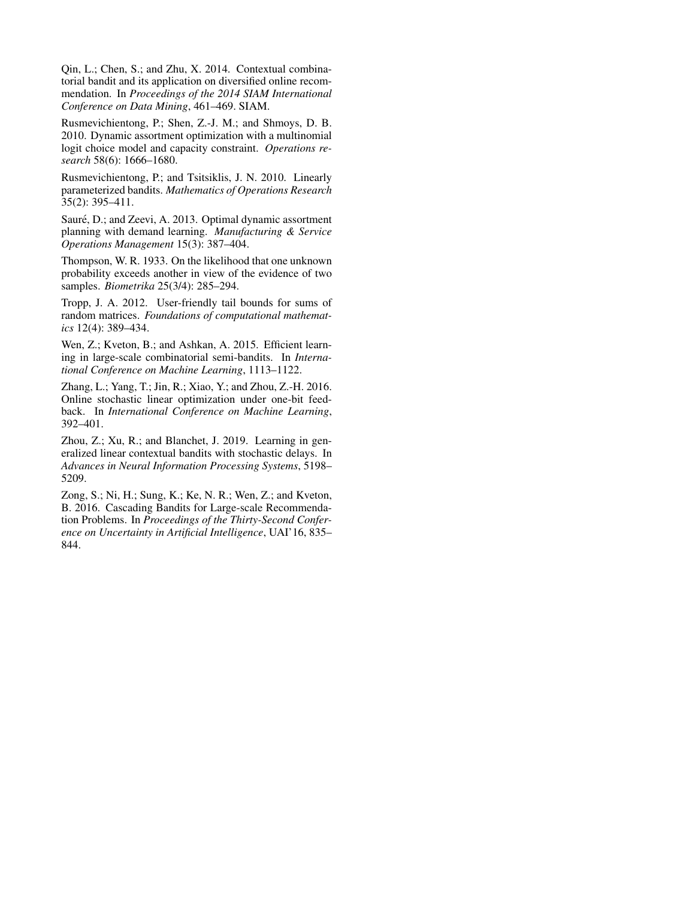<span id="page-8-3"></span>Qin, L.; Chen, S.; and Zhu, X. 2014. Contextual combinatorial bandit and its application on diversified online recommendation. In *Proceedings of the 2014 SIAM International Conference on Data Mining*, 461–469. SIAM.

<span id="page-8-0"></span>Rusmevichientong, P.; Shen, Z.-J. M.; and Shmoys, D. B. 2010. Dynamic assortment optimization with a multinomial logit choice model and capacity constraint. *Operations research* 58(6): 1666–1680.

<span id="page-8-2"></span>Rusmevichientong, P.; and Tsitsiklis, J. N. 2010. Linearly parameterized bandits. *Mathematics of Operations Research* 35(2): 395–411.

<span id="page-8-1"></span>Sauré, D.; and Zeevi, A. 2013. Optimal dynamic assortment planning with demand learning. *Manufacturing & Service Operations Management* 15(3): 387–404.

<span id="page-8-8"></span>Thompson, W. R. 1933. On the likelihood that one unknown probability exceeds another in view of the evidence of two samples. *Biometrika* 25(3/4): 285–294.

<span id="page-8-9"></span>Tropp, J. A. 2012. User-friendly tail bounds for sums of random matrices. *Foundations of computational mathematics* 12(4): 389–434.

<span id="page-8-4"></span>Wen, Z.; Kveton, B.; and Ashkan, A. 2015. Efficient learning in large-scale combinatorial semi-bandits. In *International Conference on Machine Learning*, 1113–1122.

<span id="page-8-6"></span>Zhang, L.; Yang, T.; Jin, R.; Xiao, Y.; and Zhou, Z.-H. 2016. Online stochastic linear optimization under one-bit feedback. In *International Conference on Machine Learning*, 392–401.

<span id="page-8-7"></span>Zhou, Z.; Xu, R.; and Blanchet, J. 2019. Learning in generalized linear contextual bandits with stochastic delays. In *Advances in Neural Information Processing Systems*, 5198– 5209.

<span id="page-8-5"></span>Zong, S.; Ni, H.; Sung, K.; Ke, N. R.; Wen, Z.; and Kveton, B. 2016. Cascading Bandits for Large-scale Recommendation Problems. In *Proceedings of the Thirty-Second Conference on Uncertainty in Artificial Intelligence*, UAI'16, 835– 844.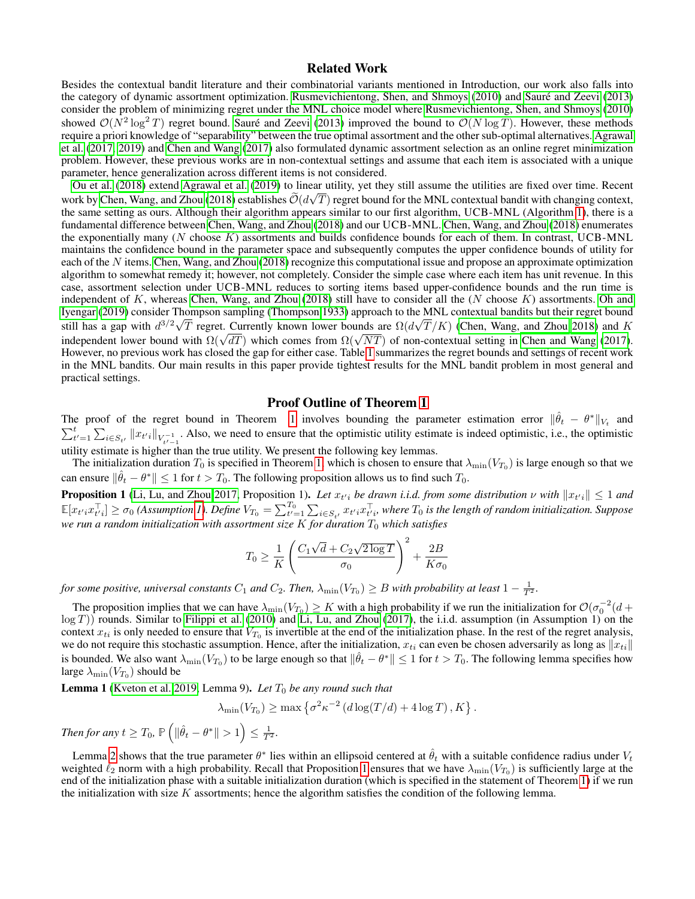# Related Work

Besides the contextual bandit literature and their combinatorial variants mentioned in Introduction, our work also falls into the category of dynamic assortment optimization. [Rusmevichientong, Shen, and Shmoys](#page-8-0) [\(2010\)](#page-8-0) and Sauré and Zeevi [\(2013\)](#page-8-1) consider the problem of minimizing regret under the MNL choice model where [Rusmevichientong, Shen, and Shmoys](#page-8-0) [\(2010\)](#page-8-0) showed  $\mathcal{O}(N^2 \log^2 T)$  regret bound. Sauré and Zeevi [\(2013\)](#page-8-1) improved the bound to  $\mathcal{O}(N \log T)$ . However, these methods require a priori knowledge of "separability" between the true optimal assortment and the other sub-optimal alternatives. [Agrawal](#page-7-4) [et al.](#page-7-4) [\(2017,](#page-7-4) [2019\)](#page-7-3) and [Chen and Wang](#page-7-14) [\(2017\)](#page-7-14) also formulated dynamic assortment selection as an online regret minimization problem. However, these previous works are in non-contextual settings and assume that each item is associated with a unique parameter, hence generalization across different items is not considered.

[Ou et al.](#page-7-15) [\(2018\)](#page-7-15) extend [Agrawal et al.](#page-7-3) [\(2019\)](#page-7-3) to linear utility, yet they still assume the utilities are fixed over time. Recent work by [Chen, Wang, and Zhou](#page-7-16) [\(2018\)](#page-7-16) establishes  $O(d\sqrt{T})$  regret bound for the MNL contextual bandit with changing context, the same setting as ours. Although their algorithm appears similar to our first algorithm, UCB-MNL (Algorithm [1\)](#page-3-0), there is a fundamental difference between [Chen, Wang, and Zhou](#page-7-16) [\(2018\)](#page-7-16) and our UCB-MNL. [Chen, Wang, and Zhou](#page-7-16) [\(2018\)](#page-7-16) enumerates the exponentially many  $(N \text{ choose } K)$  assortments and builds confidence bounds for each of them. In contrast, UCB-MNL maintains the confidence bound in the parameter space and subsequently computes the upper confidence bounds of utility for each of the N items. [Chen, Wang, and Zhou](#page-7-16) [\(2018\)](#page-7-16) recognize this computational issue and propose an approximate optimization algorithm to somewhat remedy it; however, not completely. Consider the simple case where each item has unit revenue. In this case, assortment selection under UCB-MNL reduces to sorting items based upper-confidence bounds and the run time is independent of  $K$ , whereas [Chen, Wang, and Zhou](#page-7-16) [\(2018\)](#page-7-16) still have to consider all the ( $N$  choose  $K$ ) assortments. [Oh and](#page-7-17) [Iyengar](#page-7-17) [\(2019\)](#page-7-17) consider Thompson sampling [\(Thompson 1933\)](#page-8-8) approach to the MNL contextual bandits but their regret bound still has a gap with  $d^{3/2}\sqrt{T}$  regret. Currently known lower bounds are  $\Omega(d\sqrt{T}/K)$  [\(Chen, Wang, and Zhou 2018\)](#page-7-16) and K sun has a gap with  $a^{3/2} \sqrt{I}$  regret. Currently known lower bounds are  $\Omega(a\sqrt{I/N})$  (Chen, wang, and Zhou 2018) and K<br>independent lower bound with  $\Omega(\sqrt{dT})$  which comes from  $\Omega(\sqrt{NT})$  of non-contextual setting in Chen However, no previous work has closed the gap for either case. Table [1](#page-1-0) summarizes the regret bounds and settings of recent work in the MNL bandits. Our main results in this paper provide tightest results for the MNL bandit problem in most general and practical settings.

### Proof Outline of Theorem [1](#page-3-1)

The proof of the regret bound in Theorem [1](#page-3-1) involves bounding the parameter estimation error  $\|\hat{\theta}_t - \theta^*\|_{V_t}$  and  $\sum_{t'=1}^{t} \sum_{i \in S_{t'}} ||x_{t'i}||_{V_{t'-1}^{-1}}$ . Also, we need to ensure that the optimistic utility estimate is indeed optimistic, i.e., the optimistic utility estimate is higher than the true utility. We present the following key lemmas.

The initialization duration  $T_0$  is specified in Theorem [1,](#page-3-1) which is chosen to ensure that  $\lambda_{\min}(V_{T_0})$  is large enough so that we can ensure  $\|\hat{\theta}_t - \theta^*\| \le 1$  for  $t > T_0$ . The following proposition allows us to find such  $T_0$ .

<span id="page-9-0"></span>**Proposition 1** [\(Li, Lu, and Zhou 2017,](#page-7-11) Proposition 1). Let  $x_{t'i}$  be drawn i.i.d. from some distribution  $\nu$  with  $||x_{t'i}|| \le 1$  and  $\mathbb{E}[x_{t'i}x_{t'i}^{\top}] \geq \sigma_0$  (Assumption [1\)](#page-3-2). Define  $V_{T_0} = \sum_{t'=1}^{T_0} \sum_{i \in S_{t'}} x_{t'i}x_{t'i}^{\top}$ , where  $T_0$  is the length of random initialization. Suppose *we run a random initialization with assortment size K for duration*  $T_0$  *which satisfies* 

$$
T_0 \ge \frac{1}{K} \left( \frac{C_1 \sqrt{d} + C_2 \sqrt{2 \log T}}{\sigma_0} \right)^2 + \frac{2B}{K\sigma_0}
$$

*for some positive, universal constants*  $C_1$  *and*  $C_2$ *. Then,*  $\lambda_{\min}(V_{T_0}) \ge B$  *with probability at least*  $1 - \frac{1}{T^2}$ *.* 

The proposition implies that we can have  $\lambda_{\min}(V_{T_0}) \ge K$  with a high probability if we run the initialization for  $\mathcal{O}(\sigma_0^{-2}(d+\delta))$  $log(T)$ ) rounds. Similar to [Filippi et al.](#page-7-8) [\(2010\)](#page-7-8) and [Li, Lu, and Zhou](#page-7-11) [\(2017\)](#page-7-11), the i.i.d. assumption (in Assumption 1) on the context  $x_{ti}$  is only needed to ensure that  $V_{T_0}$  is invertible at the end of the initialization phase. In the rest of the regret analysis, we do not require this stochastic assumption. Hence, after the initialization,  $x_{ti}$  can even be chosen adversarily as long as  $||x_{ti}||$ is bounded. We also want  $\lambda_{\min}(V_{T_0})$  to be large enough so that  $\|\hat{\theta}_t - \theta^*\| \le 1$  for  $t > T_0$ . The following lemma specifies how large  $\lambda_{\min}(V_{T_0})$  should be

<span id="page-9-1"></span>**Lemma 1** [\(Kveton et al. 2019,](#page-7-26) Lemma 9). Let  $T_0$  be any round such that

$$
\lambda_{\min}(V_{T_0}) \ge \max \left\{ \sigma^2 \kappa^{-2} \left( d \log(T/d) + 4 \log T \right), K \right\}.
$$

*Then for any*  $t \geq T_0$ ,  $\mathbb{P}\left( \|\hat{\theta}_t - \theta^*\| > 1 \right) \leq \frac{1}{T^2}.$ 

Lemma [2](#page-10-0) shows that the true parameter  $\theta^*$  lies within an ellipsoid centered at  $\hat{\theta}_t$  with a suitable confidence radius under  $V_t$ weighted  $\ell_2$  norm with a high probability. Recall that Proposition [1](#page-9-0) ensures that we have  $\lambda_{\min}(V_{T_0})$  is sufficiently large at the end of the initialization phase with a suitable initialization duration (which is specified in the statement of Theorem [1\)](#page-3-1) if we run the initialization with size  $K$  assortments; hence the algorithm satisfies the condition of the following lemma.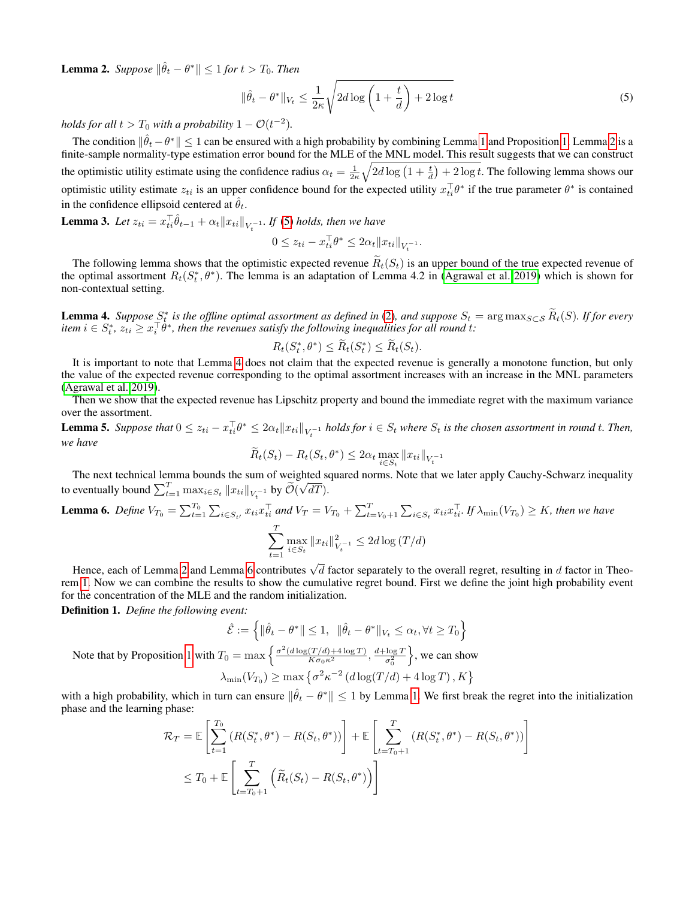<span id="page-10-0"></span>**Lemma 2.** Suppose  $\|\hat{\theta}_t - \theta^*\| \leq 1$  for  $t > T_0$ . Then

<span id="page-10-1"></span>
$$
\|\hat{\theta}_t - \theta^*\|_{V_t} \le \frac{1}{2\kappa} \sqrt{2d \log\left(1 + \frac{t}{d}\right) + 2\log t} \tag{5}
$$

*holds for all*  $t > T_0$  *with a probability*  $1 - \mathcal{O}(t^{-2})$ *.* 

The condition  $\|\hat{\theta}_t-\theta^*\|\leq 1$  $\|\hat{\theta}_t-\theta^*\|\leq 1$  can be ensured with a high probability by combining Lemma 1 and Proposition [1.](#page-9-0) Lemma [2](#page-10-0) is a finite-sample normality-type estimation error bound for the MLE of the MNL model. This result suggests that we can construct the optimistic utility estimate using the confidence radius  $\alpha_t = \frac{1}{2\kappa} \sqrt{2d \log(1+\frac{t}{d}) + 2 \log t}$ . The following lemma shows our optimistic utility estimate  $z_{ti}$  is an upper confidence bound for the expected utility  $x_{ti}^T \theta^*$  if the true parameter  $\theta^*$  is contained in the confidence ellipsoid centered at  $\hat{\theta}_t$ .

<span id="page-10-5"></span>**Lemma 3.** Let  $z_{ti} = x_{ti}^\top \hat{\theta}_{t-1} + \alpha_t \|x_{ti}\|_{V_t^{-1}}$ . If [\(5\)](#page-10-1) holds, then we have

$$
0 \le z_{ti} - x_{ti}^\top \theta^* \le 2\alpha_t \|x_{ti}\|_{V_t^{-1}}.
$$

The following lemma shows that the optimistic expected revenue  $\tilde{R}_t(S_t)$  is an upper bound of the true expected revenue of the optimal assortment  $R_t(S_t^*, \theta^*)$ . The lemma is an adaptation of Lemma 4.2 in [\(Agrawal et al. 2019\)](#page-7-3) which is shown for non-contextual setting.

<span id="page-10-2"></span>**Lemma 4.** Suppose  $S_t^*$  is the offline optimal assortment as defined in [\(2\)](#page-2-0), and suppose  $S_t = \arg \max_{S \subset S} \widetilde{R}_t(S)$ . If for every item  $i \in S_t^*$ ,  $z_{ti} \ge x_i^\top \theta^*$ , then the revenues satisfy the following inequalities for

$$
R_t(S_t^*, \theta^*) \le \widetilde{R}_t(S_t^*) \le \widetilde{R}_t(S_t).
$$

It is important to note that Lemma [4](#page-10-2) does not claim that the expected revenue is generally a monotone function, but only the value of the expected revenue corresponding to the optimal assortment increases with an increase in the MNL parameters [\(Agrawal et al. 2019\)](#page-7-3).

Then we show that the expected revenue has Lipschitz property and bound the immediate regret with the maximum variance over the assortment.

<span id="page-10-4"></span>**Lemma 5.** Suppose that  $0 \leq z_{ti} - x_{ti}^\top \theta^* \leq 2\alpha_t \|x_{ti}\|_{V_t^{-1}}$  holds for  $i \in S_t$  where  $S_t$  is the chosen assortment in round t. Then, *we have*

$$
\widetilde{R}_t(S_t) - R_t(S_t, \theta^*) \le 2\alpha_t \max_{i \in S_t} ||x_{ti}||_{V_t^{-1}}
$$

The next technical lemma bounds the sum of weighted squared norms. Note that we later apply Cauchy-Schwarz inequality to eventually bound  $\sum_{t=1}^T \max_{i \in S_t} ||x_{ti}||_{V_t^{-1}}$  by  $\widetilde{\mathcal{O}}(\sqrt{dT}).$ 

<span id="page-10-3"></span>**Lemma 6.** Define 
$$
V_{T_0} = \sum_{t=1}^{T_0} \sum_{i \in S_{t'}} x_{ti} x_{ti}^\top
$$
 and  $V_T = V_{T_0} + \sum_{t=V_0+1}^T \sum_{i \in S_t} x_{ti} x_{ti}^\top$ . If  $\lambda_{\min}(V_{T_0}) \ge K$ , then we have\n
$$
\sum_{t=1}^T \max_{i \in S_t} ||x_{ti}||_{V_t^{-1}}^2 \le 2d \log(T/d)
$$

Hence, each of Lemma [2](#page-10-0) and Lemma [6](#page-10-3) contributes  $\sqrt{d}$  factor separately to the overall regret, resulting in d factor in Theorem [1.](#page-3-1) Now we can combine the results to show the cumulative regret bound. First we define the joint high probability event for the concentration of the MLE and the random initialization.

Definition 1. *Define the following event:*

$$
\hat{\mathcal{E}} := \left\{ \|\hat{\theta}_t - \theta^*\| \le 1, \ \|\hat{\theta}_t - \theta^*\|_{V_t} \le \alpha_t, \forall t \ge T_0 \right\}
$$

$$
\left\{ \frac{\sigma^2(d\log(T/d) + 4\log T)}{d + \log T} \right\}
$$

Note that by Proposition [1](#page-9-0) with  $T_0 = \max\left\{\frac{\sigma^2(d\log(T/d)+4\log T)}{K\sigma_0\kappa^2},\frac{d+\log T}{\sigma_0^2}\right\}$  $\sigma_0^2$  $\}$ , we can show  $\lambda_{\min}(V_{T_0}) \ge \max \left\{ \sigma^2 \kappa^{-2} \left( d \log(T/d) + 4 \log T \right), K \right\}$ 

with a high probability, which in turn can ensure  $\|\hat{\theta}_t - \theta^*\| \leq 1$  by Lemma [1.](#page-9-1) We first break the regret into the initialization phase and the learning phase:

$$
\mathcal{R}_T = \mathbb{E}\left[\sum_{t=1}^{T_0} \left(R(S_t^*, \theta^*) - R(S_t, \theta^*)\right)\right] + \mathbb{E}\left[\sum_{t=T_0+1}^T \left(R(S_t^*, \theta^*) - R(S_t, \theta^*)\right)\right]
$$
  

$$
\leq T_0 + \mathbb{E}\left[\sum_{t=T_0+1}^T \left(\widetilde{R}_t(S_t) - R(S_t, \theta^*)\right)\right]
$$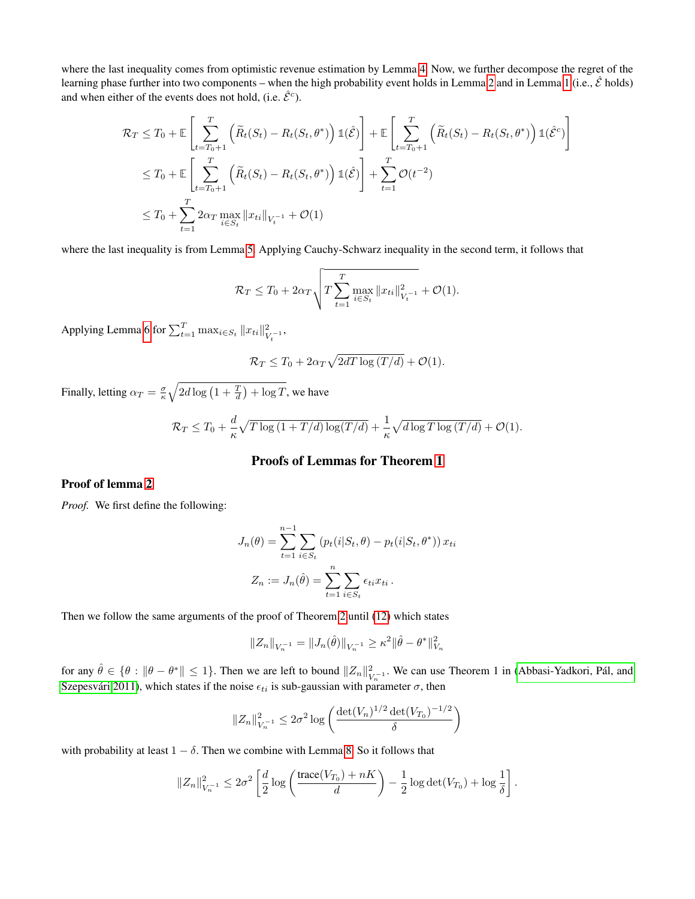where the last inequality comes from optimistic revenue estimation by Lemma [4.](#page-10-2) Now, we further decompose the regret of the learning phase further into two components – when the high probability event holds in Lemma [2](#page-10-0) and in Lemma [1](#page-9-1) (i.e.,  $\hat{\mathcal{E}}$  holds) and when either of the events does not hold, (i.e.  $\hat{\mathcal{E}}^c$ ).

$$
\mathcal{R}_T \leq T_0 + \mathbb{E}\left[\sum_{t=T_0+1}^T \left(\widetilde{R}_t(S_t) - R_t(S_t, \theta^*)\right) \mathbb{1}(\hat{\mathcal{E}})\right] + \mathbb{E}\left[\sum_{t=T_0+1}^T \left(\widetilde{R}_t(S_t) - R_t(S_t, \theta^*)\right) \mathbb{1}(\hat{\mathcal{E}}^c)\right]
$$
  
\n
$$
\leq T_0 + \mathbb{E}\left[\sum_{t=T_0+1}^T \left(\widetilde{R}_t(S_t) - R_t(S_t, \theta^*)\right) \mathbb{1}(\hat{\mathcal{E}})\right] + \sum_{t=1}^T \mathcal{O}(t^{-2})
$$
  
\n
$$
\leq T_0 + \sum_{t=1}^T 2\alpha_T \max_{i \in S_t} ||x_{ti}||_{V_t^{-1}} + \mathcal{O}(1)
$$

where the last inequality is from Lemma [5.](#page-10-4) Applying Cauchy-Schwarz inequality in the second term, it follows that

$$
\mathcal{R}_T \leq T_0 + 2\alpha_T \sqrt{T \sum_{t=1}^T \max_{i \in S_t} ||x_{ti}||_{V_t^{-1}}^2 + \mathcal{O}(1)}.
$$

Applying Lemma [6](#page-10-3) for  $\sum_{t=1}^{T} \max_{i \in S_t} ||x_{ti}||_V^2$  $\frac{2}{V_t^{-1}},$ 

$$
\mathcal{R}_T \leq T_0 + 2\alpha_T \sqrt{2dT \log(T/d)} + \mathcal{O}(1).
$$

Finally, letting  $\alpha_T = \frac{\sigma}{\kappa} \sqrt{2d \log\left(1 + \frac{T}{d}\right) + \log T}$ , we have

$$
\mathcal{R}_T \leq T_0 + \frac{d}{\kappa} \sqrt{T \log \left(1 + T/d\right) \log\left(\frac{T}{d}\right)} + \frac{1}{\kappa} \sqrt{d \log T \log \left(\frac{T}{d}\right)} + \mathcal{O}(1).
$$

# Proofs of Lemmas for Theorem [1](#page-3-1)

# Proof of lemma [2](#page-10-0)

*Proof.* We first define the following:

$$
J_n(\theta) = \sum_{t=1}^{n-1} \sum_{i \in S_t} (p_t(i|S_t, \theta) - p_t(i|S_t, \theta^*)) x_{ti}
$$

$$
Z_n := J_n(\hat{\theta}) = \sum_{t=1}^n \sum_{i \in S_t} \epsilon_{ti} x_{ti}.
$$

Then we follow the same arguments of the proof of Theorem [2](#page-4-2) until [\(12\)](#page-23-0) which states

$$
||Z_n||_{V_n^{-1}} = ||J_n(\hat{\theta})||_{V_n^{-1}} \ge \kappa^2 ||\hat{\theta} - \theta^*||_{V_n}^2
$$

for any  $\hat{\theta} \in \{\theta : \|\theta - \theta^*\| \leq 1\}$ . Then we are left to bound  $\|Z_n\|_{\mathcal{U}}^2$  $V_{N}^{2}$ . We can use Theorem 1 in (Abbasi-Yadkori, Pál, and Szepesvári 2011), which states if the noise  $\epsilon_{ti}$  is sub-gaussian with parameter  $\sigma$ , then

$$
||Z_n||_{V_n^{-1}}^2 \le 2\sigma^2 \log \left( \frac{\det(V_n)^{1/2} \det(V_{T_0})^{-1/2}}{\delta} \right)
$$

with probability at least  $1 - \delta$ . Then we combine with Lemma [8.](#page-13-0) So it follows that

$$
||Z_n||_{V_n^{-1}}^2 \le 2\sigma^2 \left[ \frac{d}{2} \log \left( \frac{\text{trace}(V_{T_0}) + nK}{d} \right) - \frac{1}{2} \log \det(V_{T_0}) + \log \frac{1}{\delta} \right].
$$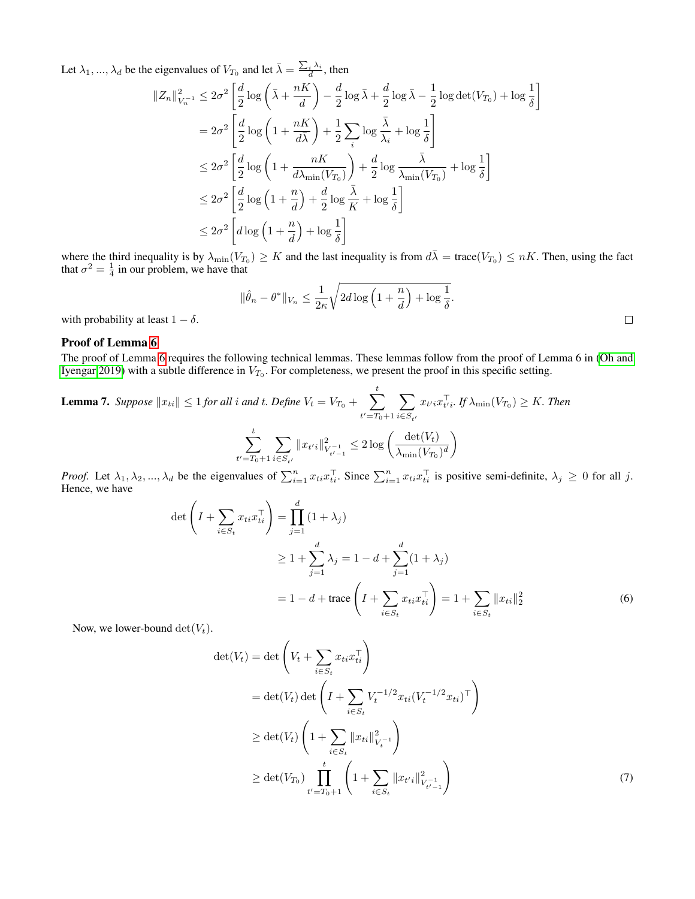Let  $\lambda_1, ..., \lambda_d$  be the eigenvalues of  $V_{T_0}$  and let  $\bar{\lambda} = \frac{\sum_i \lambda_i}{d}$ , then

$$
||Z_n||_{V_n^{-1}}^2 \le 2\sigma^2 \left[ \frac{d}{2} \log \left( \bar{\lambda} + \frac{nK}{d} \right) - \frac{d}{2} \log \bar{\lambda} + \frac{d}{2} \log \bar{\lambda} - \frac{1}{2} \log \det(V_{T_0}) + \log \frac{1}{\delta} \right]
$$
  
\n
$$
= 2\sigma^2 \left[ \frac{d}{2} \log \left( 1 + \frac{nK}{d\bar{\lambda}} \right) + \frac{1}{2} \sum_i \log \frac{\bar{\lambda}}{\lambda_i} + \log \frac{1}{\delta} \right]
$$
  
\n
$$
\le 2\sigma^2 \left[ \frac{d}{2} \log \left( 1 + \frac{nK}{d\lambda_{\min}(V_{T_0})} \right) + \frac{d}{2} \log \frac{\bar{\lambda}}{\lambda_{\min}(V_{T_0})} + \log \frac{1}{\delta} \right]
$$
  
\n
$$
\le 2\sigma^2 \left[ \frac{d}{2} \log \left( 1 + \frac{n}{d} \right) + \frac{d}{2} \log \frac{\bar{\lambda}}{K} + \log \frac{1}{\delta} \right]
$$
  
\n
$$
\le 2\sigma^2 \left[ d \log \left( 1 + \frac{n}{d} \right) + \log \frac{1}{\delta} \right]
$$

where the third inequality is by  $\lambda_{\min}(V_{T_0}) \geq K$  and the last inequality is from  $d\overline{\lambda} = \text{trace}(V_{T_0}) \leq nK$ . Then, using the fact that  $\sigma^2 = \frac{1}{4}$  in our problem, we have that

$$
\|\hat{\theta}_n - \theta^*\|_{V_n} \le \frac{1}{2\kappa} \sqrt{2d \log\left(1 + \frac{n}{d}\right) + \log\frac{1}{\delta}}.
$$

with probability at least  $1 - \delta$ .

# Proof of Lemma [6](#page-10-3)

The proof of Lemma [6](#page-10-3) requires the following technical lemmas. These lemmas follow from the proof of Lemma 6 in [\(Oh and](#page-7-17) [Iyengar 2019\)](#page-7-17) with a subtle difference in  $V_{T_0}$ . For completeness, we present the proof in this specific setting.

<span id="page-12-2"></span>**Lemma 7.** Suppose 
$$
||x_{ti}|| \le 1
$$
 for all *i* and *t*. Define  $V_t = V_{T_0} + \sum_{t'=T_0+1}^t \sum_{i \in S_{t'}} x_{t'i} x_{t'i}^\top$ . If  $\lambda_{\min}(V_{T_0}) \ge K$ . Then  

$$
\sum_{t'=T_0+1}^t \sum_{i \in S_{t'}} ||x_{t'i}||_{V_{t'-1}}^2 \le 2 \log \left( \frac{\det(V_t)}{\lambda_{\min}(V_{T_0})^d} \right)
$$

*Proof.* Let  $\lambda_1, \lambda_2, ..., \lambda_d$  be the eigenvalues of  $\sum_{i=1}^n x_{ti} x_{ti}^\top$ . Since  $\sum_{i=1}^n x_{ti} x_{ti}^\top$  is positive semi-definite,  $\lambda_j \geq 0$  for all j. Hence, we have

$$
\det \left( I + \sum_{i \in S_t} x_{ti} x_{ti}^\top \right) = \prod_{j=1}^d (1 + \lambda_j)
$$
  
\n
$$
\geq 1 + \sum_{j=1}^d \lambda_j = 1 - d + \sum_{j=1}^d (1 + \lambda_j)
$$
  
\n
$$
= 1 - d + \text{trace} \left( I + \sum_{i \in S_t} x_{ti} x_{ti}^\top \right) = 1 + \sum_{i \in S_t} ||x_{ti}||_2^2
$$
 (6)

Now, we lower-bound  $\det(V_t)$ .

<span id="page-12-1"></span><span id="page-12-0"></span>
$$
\det(V_t) = \det \left( V_t + \sum_{i \in S_t} x_{ti} x_{ti}^\top \right)
$$
  
= 
$$
\det(V_t) \det \left( I + \sum_{i \in S_t} V_t^{-1/2} x_{ti} (V_t^{-1/2} x_{ti})^\top \right)
$$
  

$$
\geq \det(V_t) \left( 1 + \sum_{i \in S_t} ||x_{ti}||_{V_t^{-1}}^2 \right)
$$
  

$$
\geq \det(V_{T_0}) \prod_{t'=T_0+1}^t \left( 1 + \sum_{i \in S_t} ||x_{t'i}||_{V_{t'-1}}^2 \right)
$$
 (7)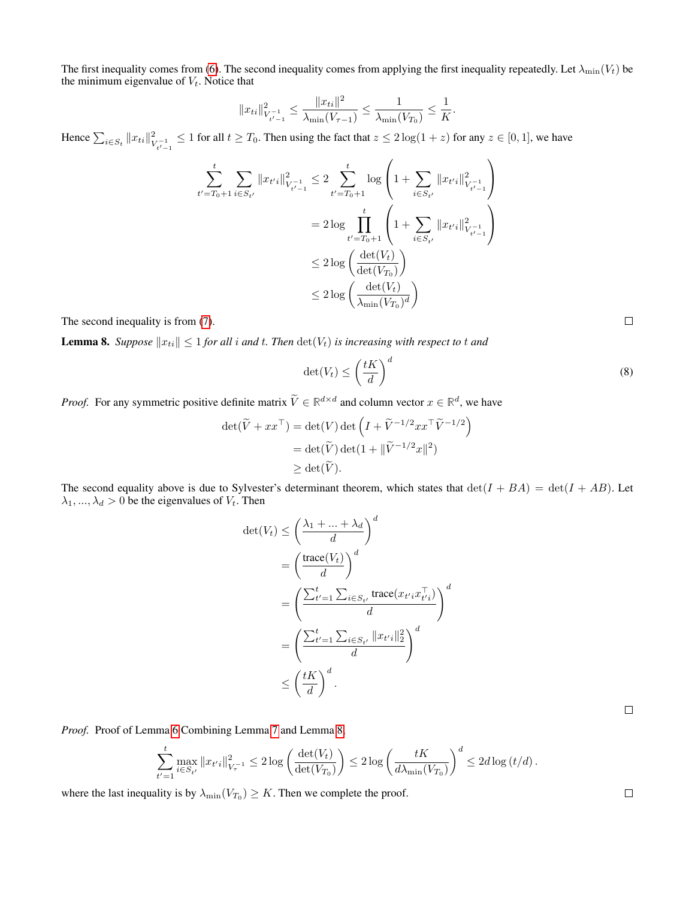The first inequality comes from [\(6\)](#page-12-0). The second inequality comes from applying the first inequality repeatedly. Let  $\lambda_{\min}(V_t)$  be the minimum eigenvalue of  $V_t$ . Notice that

$$
||x_{ti}||_{V_{t'-1}^{-1}}^2 \le \frac{||x_{ti}||^2}{\lambda_{\min}(V_{\tau-1})} \le \frac{1}{\lambda_{\min}(V_{T_0})} \le \frac{1}{K}.
$$

Hence  $\sum_{i \in S_t} ||x_{ti}||_V^2$  $\sum_{t_{t'-1}}^{2} \le 1$  for all  $t \ge T_0$ . Then using the fact that  $z \le 2\log(1+z)$  for any  $z \in [0,1]$ , we have

$$
\sum_{t'=T_0+1}^t \sum_{i \in S_{t'}} \|x_{t'i}\|_{V_{t'-1}}^2 \le 2 \sum_{t'=T_0+1}^t \log \left(1 + \sum_{i \in S_{t'}} \|x_{t'i}\|_{V_{t'-1}}^2\right)
$$
  
= 
$$
2 \log \prod_{t'=T_0+1}^t \left(1 + \sum_{i \in S_{t'}} \|x_{t'i}\|_{V_{t'-1}}^2\right)
$$
  

$$
\le 2 \log \left(\frac{\det(V_t)}{\det(V_{T_0})}\right)
$$
  

$$
\le 2 \log \left(\frac{\det(V_t)}{\lambda_{\min}(V_{T_0})^d}\right)
$$

The second inequality is from [\(7\)](#page-12-1).

<span id="page-13-0"></span>**Lemma 8.** *Suppose*  $||x_{ti}|| \leq 1$  *for all i and t. Then*  $\det(V_t)$  *is increasing with respect to t and* 

$$
\det(V_t) \le \left(\frac{tK}{d}\right)^d\tag{8}
$$

*Proof.* For any symmetric positive definite matrix  $\tilde{V} \in \mathbb{R}^{d \times d}$  and column vector  $x \in \mathbb{R}^d$ , we have

$$
\det(\widetilde{V} + xx^{\top}) = \det(V) \det \left( I + \widetilde{V}^{-1/2} xx^{\top} \widetilde{V}^{-1/2} \right)
$$
  
= 
$$
\det(\widetilde{V}) \det(1 + \|\widetilde{V}^{-1/2} x\|^2)
$$
  

$$
\geq \det(\widetilde{V}).
$$

The second equality above is due to Sylvester's determinant theorem, which states that  $\det(I + BA) = \det(I + AB)$ . Let  $\lambda_1, ..., \lambda_d > 0$  be the eigenvalues of  $V_t$ . Then

$$
\begin{split} \det(V_t) &\leq \left(\frac{\lambda_1 + \ldots + \lambda_d}{d}\right)^d \\ &= \left(\frac{\text{trace}(V_t)}{d}\right)^d \\ &= \left(\frac{\sum_{t'=1}^t \sum_{i \in S_{t'}} \text{trace}(x_{t'i} x_{t'i}^\top)}{d}\right)^d \\ &= \left(\frac{\sum_{t'=1}^t \sum_{i \in S_{t'}} \|x_{t'i}\|_2^2}{d}\right)^d \\ &\leq \left(\frac{tK}{d}\right)^d. \end{split}
$$

*Proof.* Proof of Lemma [6](#page-10-3) Combining Lemma [7](#page-12-2) and Lemma [8,](#page-13-0)

$$
\sum_{t'=1}^t \max_{i \in S_{t'}} \|x_{t'i}\|_{V_{\tau}^{-1}}^2 \leq 2 \log \left( \frac{\det(V_t)}{\det(V_{T_0})} \right) \leq 2 \log \left( \frac{tK}{d\lambda_{\min}(V_{T_0})} \right)^d \leq 2d \log \left( t/d \right).
$$

where the last inequality is by  $\lambda_{\min}(V_{T_0}) \geq K$ . Then we complete the proof.

 $\Box$ 

 $\Box$ 

 $\Box$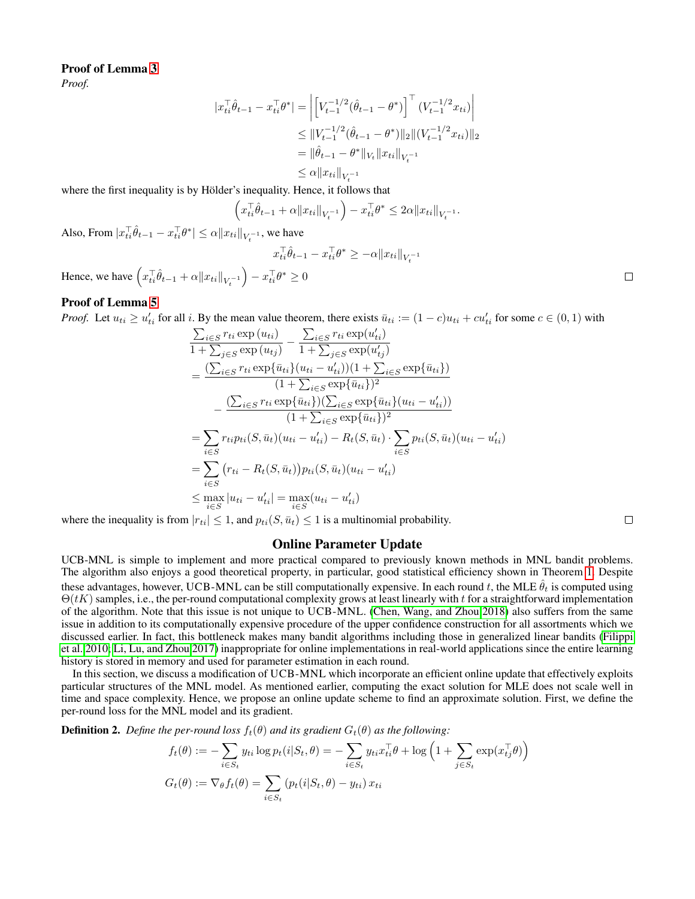# Proof of Lemma [3](#page-10-5)

*Proof.*

$$
|x_{ti}^\top \hat{\theta}_{t-1} - x_{ti}^\top \theta^*| = \left| \left[ V_{t-1}^{-1/2} (\hat{\theta}_{t-1} - \theta^*) \right]^\top (V_{t-1}^{-1/2} x_{ti}) \right|
$$
  
\n
$$
\leq \| V_{t-1}^{-1/2} (\hat{\theta}_{t-1} - \theta^*) \|_2 \| (V_{t-1}^{-1/2} x_{ti}) \|_2
$$
  
\n
$$
= \| \hat{\theta}_{t-1} - \theta^* \|_{V_t} \| x_{ti} \|_{V_t^{-1}}
$$
  
\n
$$
\leq \alpha \| x_{ti} \|_{V_t^{-1}}
$$

where the first inequality is by Hölder's inequality. Hence, it follows that

$$
\left(x_{ti}^\top \hat{\theta}_{t-1} + \alpha \|x_{ti}\|_{V_t^{-1}}\right) - x_{ti}^\top \theta^* \le 2\alpha \|x_{ti}\|_{V_t^{-1}}.
$$

Also, From  $|x_{ti}^\top \hat{\theta}_{t-1} - x_{ti}^\top \theta^*| \leq \alpha ||x_{ti}||_{V_t^{-1}}$ , we have

$$
x_{ti}^\top \hat{\theta}_{t-1} - x_{ti}^\top \theta^* \ge -\alpha \|x_{ti}\|_{V_t^{-1}}
$$

Hence, we have  $\left(x_{ti}^\top \hat{\theta}_{t-1} + \alpha \|x_{ti}\|_{V_t^{-1}}\right) - x_{ti}^\top \theta^* \ge 0$ 

# Proof of Lemma [5](#page-10-4)

*Proof.* Let  $u_{ti} \ge u'_{ti}$  for all i. By the mean value theorem, there exists  $\bar{u}_{ti} := (1 - c)u_{ti} + cu'_{ti}$  for some  $c \in (0, 1)$  with

$$
\frac{\sum_{i \in S} r_{ti} \exp(u_{ti})}{1 + \sum_{j \in S} \exp(u_{tj})} - \frac{\sum_{i \in S} r_{ti} \exp(u'_{ti})}{1 + \sum_{j \in S} \exp(u'_{tj})}
$$
\n
$$
= \frac{(\sum_{i \in S} r_{ti} \exp{\{\bar{u}_{ti}\}(u_{ti} - u'_{ti})})(1 + \sum_{i \in S} \exp{\{\bar{u}_{ti}\})}}{(1 + \sum_{i \in S} \exp{\{\bar{u}_{ti}\}})^2}
$$
\n
$$
- \frac{(\sum_{i \in S} r_{ti} \exp{\{\bar{u}_{ti}\}})(\sum_{i \in S} \exp{\{\bar{u}_{ti}\}(u_{ti} - u'_{ti})})}{(1 + \sum_{i \in S} \exp{\{\bar{u}_{ti}\}})^2}
$$
\n
$$
= \sum_{i \in S} r_{ti} p_{ti} (S, \bar{u}_t) (u_{ti} - u'_{ti}) - R_t (S, \bar{u}_t) \cdot \sum_{i \in S} p_{ti} (S, \bar{u}_t) (u_{ti} - u'_{ti})
$$
\n
$$
= \sum_{i \in S} (r_{ti} - R_t (S, \bar{u}_t)) p_{ti} (S, \bar{u}_t) (u_{ti} - u'_{ti})
$$
\n
$$
\leq \max_{i \in S} |u_{ti} - u'_{ti}| = \max_{i \in S} (u_{ti} - u'_{ti})
$$

where the inequality is from  $|r_{ti}| \leq 1$ , and  $p_{ti}(S, \bar{u}_t) \leq 1$  is a multinomial probability.

# Online Parameter Update

UCB-MNL is simple to implement and more practical compared to previously known methods in MNL bandit problems. The algorithm also enjoys a good theoretical property, in particular, good statistical efficiency shown in Theorem [1.](#page-3-1) Despite these advantages, however, UCB-MNL can be still computationally expensive. In each round t, the MLE  $\hat{\theta}_t$  is computed using  $\Theta(tK)$  samples, i.e., the per-round computational complexity grows at least linearly with t for a straightforward implementation of the algorithm. Note that this issue is not unique to UCB-MNL. [\(Chen, Wang, and Zhou 2018\)](#page-7-16) also suffers from the same issue in addition to its computationally expensive procedure of the upper confidence construction for all assortments which we discussed earlier. In fact, this bottleneck makes many bandit algorithms including those in generalized linear bandits [\(Filippi](#page-7-8) [et al. 2010;](#page-7-8) [Li, Lu, and Zhou 2017\)](#page-7-11) inappropriate for online implementations in real-world applications since the entire learning history is stored in memory and used for parameter estimation in each round.

In this section, we discuss a modification of UCB-MNL which incorporate an efficient online update that effectively exploits particular structures of the MNL model. As mentioned earlier, computing the exact solution for MLE does not scale well in time and space complexity. Hence, we propose an online update scheme to find an approximate solution. First, we define the per-round loss for the MNL model and its gradient.

<span id="page-14-0"></span>**Definition 2.** *Define the per-round loss*  $f_t(\theta)$  *and its gradient*  $G_t(\theta)$  *as the following:* 

$$
f_t(\theta) := -\sum_{i \in S_t} y_{ti} \log p_t(i|S_t, \theta) = -\sum_{i \in S_t} y_{ti} x_{ti}^\top \theta + \log \left( 1 + \sum_{j \in S_t} \exp(x_{tj}^\top \theta) \right)
$$

$$
G_t(\theta) := \nabla_{\theta} f_t(\theta) = \sum_{i \in S_t} \left( p_t(i|S_t, \theta) - y_{ti} \right) x_{ti}
$$

 $\Box$ 

 $\Box$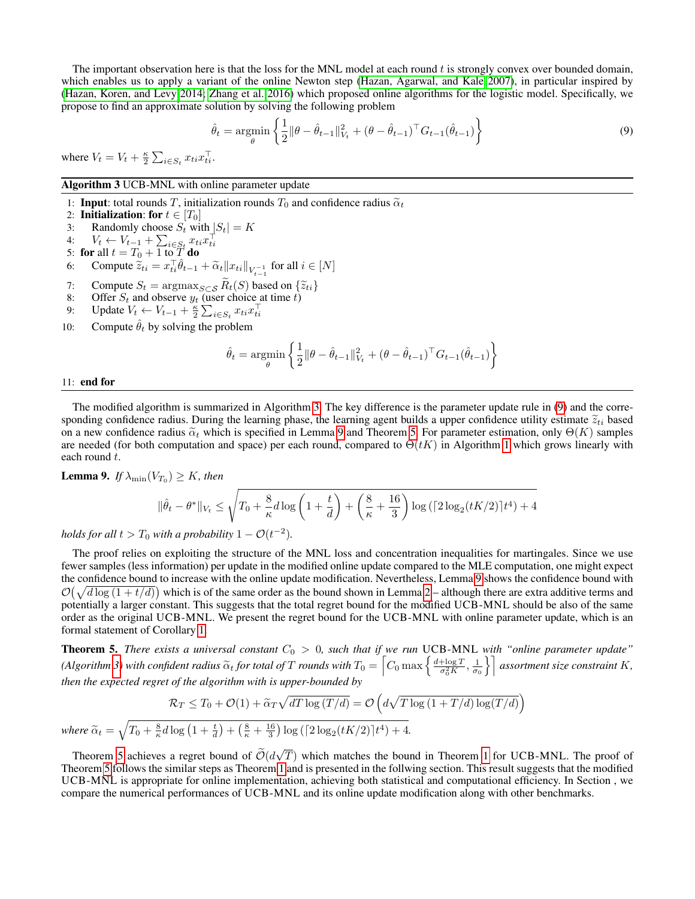The important observation here is that the loss for the MNL model at each round  $t$  is strongly convex over bounded domain, which enables us to apply a variant of the online Newton step [\(Hazan, Agarwal, and Kale 2007\)](#page-7-27), in particular inspired by [\(Hazan, Koren, and Levy 2014;](#page-7-22) [Zhang et al. 2016\)](#page-8-6) which proposed online algorithms for the logistic model. Specifically, we propose to find an approximate solution by solving the following problem

<span id="page-15-1"></span>
$$
\hat{\theta}_t = \underset{\theta}{\text{argmin}} \left\{ \frac{1}{2} ||\theta - \hat{\theta}_{t-1}||_{V_t}^2 + (\theta - \hat{\theta}_{t-1})^\top G_{t-1}(\hat{\theta}_{t-1}) \right\} \tag{9}
$$

where  $V_t = V_t + \frac{\kappa}{2} \sum_{i \in S_t} x_{ti} x_{ti}^\top$ .

Algorithm 3 UCB-MNL with online parameter update

1: **Input**: total rounds T, initialization rounds  $T_0$  and confidence radius  $\tilde{\alpha}_t$ 

- 2: Initialization: for  $t \in [T_0]$
- 3: Randomly choose  $S_t$  with  $|S_t| = K$
- 4:  $V_t \leftarrow V_{t-1} + \sum_{i \in S_t} x_{ti} x_{ti}^\top$ <br>5: **for** all  $t = T_0 + 1$  to  $T$  **do**
- 
- 6: Compute  $\widetilde{z}_{ti} = x_{ti}^\top \widehat{\theta}_{t-1} + \widetilde{\alpha}_t \Vert x_{ti} \Vert_{V_{t-1}^{-1}}$  for all  $i \in [N]$
- 
- 7: Compute  $S_t = \operatorname{argmax}_{S \subset S} R_t(S)$  based on  $\{\tilde{z}_{ti}\}\$ <br>8: Offer  $S_t$  and observe  $y_t$  (user choice at time  $t$ )
- 9: Update  $V_t \leftarrow V_{t-1} + \frac{\kappa}{2} \sum_{i \in S_t} x_{ti} x_{ti}^\top$
- 10: Compute  $\hat{\theta}_t$  by solving the problem

$$
\hat{\theta}_t = \underset{\theta}{\text{argmin}} \left\{ \frac{1}{2} ||\theta - \hat{\theta}_{t-1}||_{V_t}^2 + (\theta - \hat{\theta}_{t-1})^\top G_{t-1}(\hat{\theta}_{t-1}) \right\}
$$

### <span id="page-15-0"></span>11: end for

The modified algorithm is summarized in Algorithm [3.](#page-15-0) The key difference is the parameter update rule in [\(9\)](#page-15-1) and the corresponding confidence radius. During the learning phase, the learning agent builds a upper confidence utility estimate  $\tilde{z}_{ti}$  based on a new confidence radius  $\tilde{\alpha}_t$  which is specified in Lemma [9](#page-15-2) and Theorem [5.](#page-15-3) For parameter estimation, only  $\Theta(K)$  samples are needed (for both computation and space) per each round, compared to  $\Theta(tK)$  in Algorithm [1](#page-3-0) which grows linearly with each round t.

<span id="page-15-2"></span>**Lemma 9.** If  $\lambda_{\min}(V_{T_0}) \geq K$ , then

$$
\|\hat{\theta}_t - \theta^*\|_{V_t} \le \sqrt{T_0 + \frac{8}{\kappa}d\log\left(1 + \frac{t}{d}\right) + \left(\frac{8}{\kappa} + \frac{16}{3}\right)\log\left(\left[2\log_2(tK/2)\right]t^4\right) + 4}
$$

*holds for all*  $t > T_0$  *with a probability*  $1 - \mathcal{O}(t^{-2})$ *.* 

The proof relies on exploiting the structure of the MNL loss and concentration inequalities for martingales. Since we use fewer samples (less information) per update in the modified online update compared to the MLE computation, one might expect the confidence bound to increase with the online update modification. Nevertheless, Lemma [9](#page-15-2) shows the confidence bound with  $\mathcal{O}(\sqrt{d \log(1+t/d)})$  which is of the same order as the bound shown in Lemma [2](#page-10-0) – although there are extra additive terms and potentially a larger constant. This suggests that the total regret bound for the modified UCB-MNL should be also of the same order as the original UCB-MNL. We present the regret bound for the UCB-MNL with online parameter update, which is an formal statement of Corollary [1.](#page-3-4)

<span id="page-15-3"></span>**Theorem 5.** *There exists a universal constant*  $C_0 > 0$ , such that if we run UCB-MNL with "online parameter update" *(Algorithm [3\)](#page-15-0)* with confident radius  $\widetilde{\alpha}_t$  for total of T rounds with  $T_0 = \left[ C_0 \max \left\{ \frac{d + \log T}{\sigma_0^2 K} \right\} \right]$  $\left(\frac{\log T}{\sigma_0^2 K}, \frac{1}{\sigma_0}\right\}$  assortment size constraint K, *then the expected regret of the algorithm with is upper-bounded by*

$$
\mathcal{R}_T \le T_0 + \mathcal{O}(1) + \widetilde{\alpha}_T \sqrt{dT \log(T/d)} = \mathcal{O}\left(d\sqrt{T \log(1 + T/d) \log(T/d)}\right)
$$

*where*  $\widetilde{\alpha}_t = \sqrt{T_0 + \frac{8}{\kappa}d\log\left(1 + \frac{t}{d}\right) + \left(\frac{8}{\kappa} + \frac{16}{3}\right)\log\left(\left[2\log_2(tK/2)\right]t^4\right) + 4}.$ √

Theorem [5](#page-15-3) achieves a regret bound of  $\mathcal{O}(d)$ T) which matches the bound in Theorem [1](#page-3-1) for UCB-MNL. The proof of Theorem [5](#page-15-3) follows the similar steps as Theorem [1](#page-3-1) and is presented in the follwing section. This result suggests that the modified UCB-MNL is appropriate for online implementation, achieving both statistical and computational efficiency. In Section , we compare the numerical performances of UCB-MNL and its online update modification along with other benchmarks.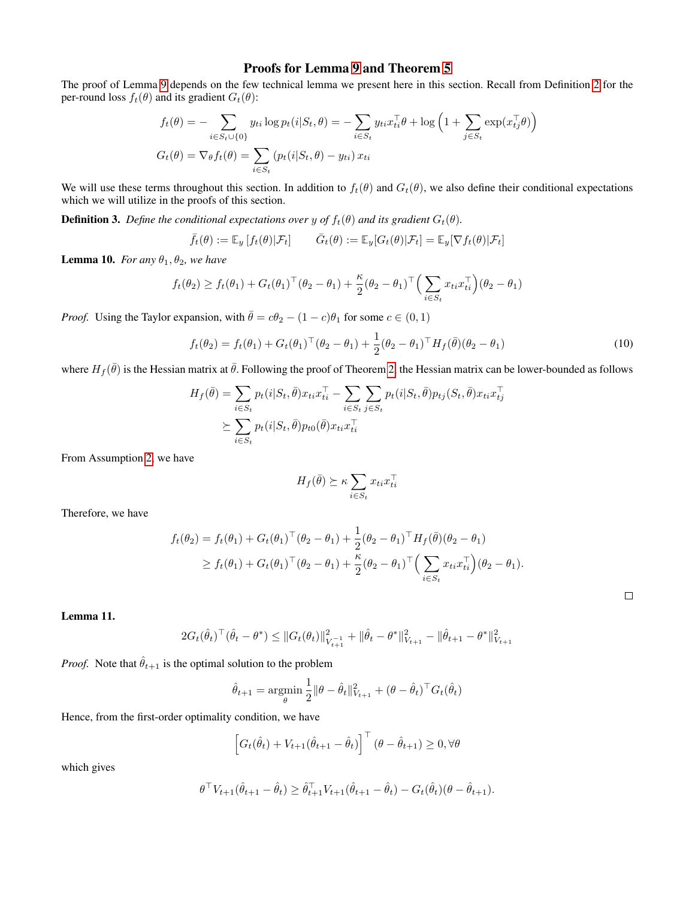# Proofs for Lemma [9](#page-15-2) and Theorem [5](#page-15-3)

The proof of Lemma [9](#page-15-2) depends on the few technical lemma we present here in this section. Recall from Definition [2](#page-14-0) for the per-round loss  $f_t(\theta)$  and its gradient  $G_t(\theta)$ :

$$
f_t(\theta) = -\sum_{i \in S_t \cup \{0\}} y_{ti} \log p_t(i|S_t, \theta) = -\sum_{i \in S_t} y_{ti} x_{ti}^\top \theta + \log \left( 1 + \sum_{j \in S_t} \exp(x_{tj}^\top \theta) \right)
$$

$$
G_t(\theta) = \nabla_{\theta} f_t(\theta) = \sum_{i \in S_t} (p_t(i|S_t, \theta) - y_{ti}) x_{ti}
$$

We will use these terms throughout this section. In addition to  $f_t(\theta)$  and  $G_t(\theta)$ , we also define their conditional expectations which we will utilize in the proofs of this section.

**Definition 3.** *Define the conditional expectations over y of*  $f_t(\theta)$  *and its gradient*  $G_t(\theta)$ *.* 

$$
\bar{f}_t(\theta) := \mathbb{E}_y[f_t(\theta)|\mathcal{F}_t] \qquad \bar{G}_t(\theta) := \mathbb{E}_y[G_t(\theta)|\mathcal{F}_t] = \mathbb{E}_y[\nabla f_t(\theta)|\mathcal{F}_t]
$$

<span id="page-16-0"></span>**Lemma 10.** *For any*  $\theta_1$ ,  $\theta_2$ *, we have* 

$$
f_t(\theta_2) \ge f_t(\theta_1) + G_t(\theta_1)^\top (\theta_2 - \theta_1) + \frac{\kappa}{2} (\theta_2 - \theta_1)^\top \Big( \sum_{i \in S_t} x_{ti} x_{ti}^\top \Big) (\theta_2 - \theta_1)
$$

*Proof.* Using the Taylor expansion, with  $\bar{\theta} = c\theta_2 - (1 - c)\theta_1$  for some  $c \in (0, 1)$ 

$$
f_t(\theta_2) = f_t(\theta_1) + G_t(\theta_1)^\top (\theta_2 - \theta_1) + \frac{1}{2} (\theta_2 - \theta_1)^\top H_f(\bar{\theta}) (\theta_2 - \theta_1)
$$
\n(10)

where  $H_f(\bar{\theta})$  is the Hessian matrix at  $\bar{\theta}$ . Following the proof of Theorem [2,](#page-4-2) the Hessian matrix can be lower-bounded as follows

$$
H_f(\bar{\theta}) = \sum_{i \in S_t} p_t(i|S_t, \bar{\theta}) x_{ti} x_{ti}^\top - \sum_{i \in S_t} \sum_{j \in S_t} p_t(i|S_t, \bar{\theta}) p_{tj}(S_t, \bar{\theta}) x_{ti} x_{tj}^\top
$$
  

$$
\geq \sum_{i \in S_t} p_t(i|S_t, \bar{\theta}) p_{t0}(\bar{\theta}) x_{ti} x_{ti}^\top
$$

From Assumption [2,](#page-3-3) we have

$$
H_f(\bar{\theta}) \succeq \kappa \sum_{i \in S_t} x_{ti} x_{ti}^\top
$$

Therefore, we have

$$
f_t(\theta_2) = f_t(\theta_1) + G_t(\theta_1)^\top (\theta_2 - \theta_1) + \frac{1}{2} (\theta_2 - \theta_1)^\top H_f(\bar{\theta}) (\theta_2 - \theta_1)
$$
  
 
$$
\geq f_t(\theta_1) + G_t(\theta_1)^\top (\theta_2 - \theta_1) + \frac{\kappa}{2} (\theta_2 - \theta_1)^\top \Big( \sum_{i \in S_t} x_{ti} x_{ti}^\top \Big) (\theta_2 - \theta_1).
$$

 $\Box$ 

### <span id="page-16-1"></span>Lemma 11.

$$
2G_t(\hat{\theta}_t)^\top (\hat{\theta}_t - \theta^*) \leq ||G_t(\theta_t)||_{V_{t+1}^{-1}}^2 + ||\hat{\theta}_t - \theta^*||_{V_{t+1}}^2 - ||\hat{\theta}_{t+1} - \theta^*||_{V_{t+1}}^2
$$

*Proof.* Note that  $\hat{\theta}_{t+1}$  is the optimal solution to the problem

$$
\hat{\theta}_{t+1} = \underset{\theta}{\text{argmin}} \frac{1}{2} ||\theta - \hat{\theta}_t||_{V_{t+1}}^2 + (\theta - \hat{\theta}_t)^\top G_t(\hat{\theta}_t)
$$

Hence, from the first-order optimality condition, we have

$$
\left[G_t(\hat{\theta}_t) + V_{t+1}(\hat{\theta}_{t+1} - \hat{\theta}_t)\right]^\top (\theta - \hat{\theta}_{t+1}) \ge 0, \forall \theta
$$

which gives

$$
\theta^{\top} V_{t+1}(\hat{\theta}_{t+1} - \hat{\theta}_{t}) \geq \hat{\theta}_{t+1}^{\top} V_{t+1}(\hat{\theta}_{t+1} - \hat{\theta}_{t}) - G_t(\hat{\theta}_{t})(\theta - \hat{\theta}_{t+1}).
$$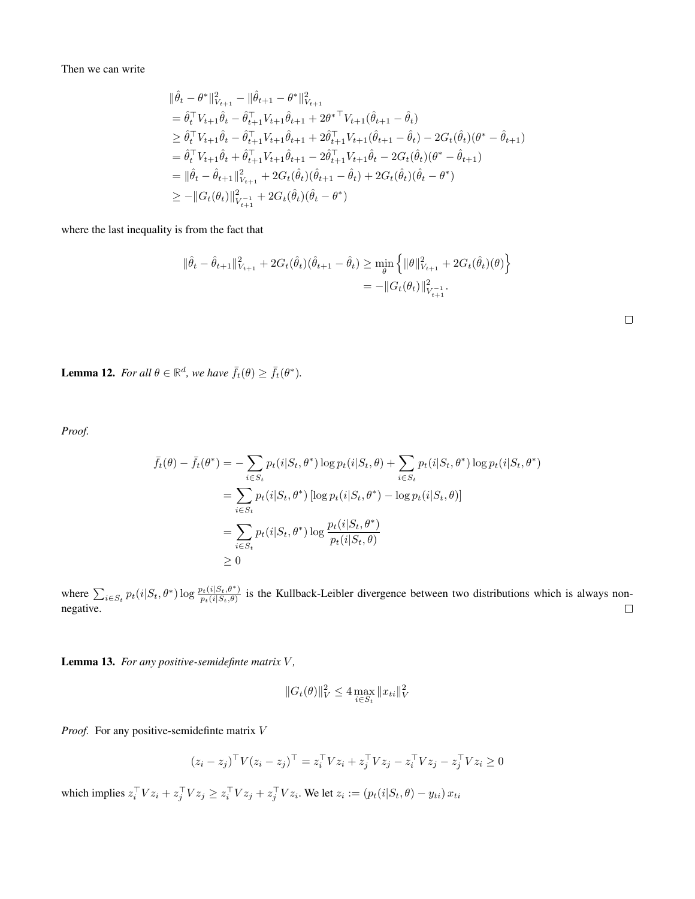Then we can write

$$
\begin{split} &\|\hat{\theta}_t - \theta^*\|^2_{V_{t+1}} - \|\hat{\theta}_{t+1} - \theta^*\|^2_{V_{t+1}} \\ &= \hat{\theta}_t^\top V_{t+1} \hat{\theta}_t - \hat{\theta}_{t+1}^\top V_{t+1} \hat{\theta}_{t+1} + 2\theta^{*\top} V_{t+1} (\hat{\theta}_{t+1} - \hat{\theta}_t) \\ &\geq \hat{\theta}_t^\top V_{t+1} \hat{\theta}_t - \hat{\theta}_{t+1}^\top V_{t+1} \hat{\theta}_{t+1} + 2\hat{\theta}_{t+1}^\top V_{t+1} (\hat{\theta}_{t+1} - \hat{\theta}_t) - 2G_t(\hat{\theta}_t) (\theta^* - \hat{\theta}_{t+1}) \\ &= \hat{\theta}_t^\top V_{t+1} \hat{\theta}_t + \hat{\theta}_{t+1}^\top V_{t+1} \hat{\theta}_{t+1} - 2\hat{\theta}_{t+1}^\top V_{t+1} \hat{\theta}_t - 2G_t(\hat{\theta}_t) (\theta^* - \hat{\theta}_{t+1}) \\ &= \|\hat{\theta}_t - \hat{\theta}_{t+1}\|^2_{V_{t+1}} + 2G_t(\hat{\theta}_t) (\hat{\theta}_{t+1} - \hat{\theta}_t) + 2G_t(\hat{\theta}_t) (\hat{\theta}_t - \theta^*) \\ &\geq -\|G_t(\theta_t)\|^2_{V_{t+1}} + 2G_t(\hat{\theta}_t) (\hat{\theta}_t - \theta^*) \end{split}
$$

where the last inequality is from the fact that

$$
\|\hat{\theta}_t - \hat{\theta}_{t+1}\|_{V_{t+1}}^2 + 2G_t(\hat{\theta}_t)(\hat{\theta}_{t+1} - \hat{\theta}_t) \ge \min_{\theta} \left\{ \|\theta\|_{V_{t+1}}^2 + 2G_t(\hat{\theta}_t)(\theta) \right\}
$$
  
= 
$$
- \|G_t(\theta_t)\|_{V_{t+1}}^2.
$$

<span id="page-17-0"></span>**Lemma 12.** *For all*  $\theta \in \mathbb{R}^d$ *, we have*  $\bar{f}_t(\theta) \geq \bar{f}_t(\theta^*)$ *.* 

*Proof.*

$$
\bar{f}_t(\theta) - \bar{f}_t(\theta^*) = -\sum_{i \in S_t} p_t(i|S_t, \theta^*) \log p_t(i|S_t, \theta) + \sum_{i \in S_t} p_t(i|S_t, \theta^*) \log p_t(i|S_t, \theta^*)
$$
\n
$$
= \sum_{i \in S_t} p_t(i|S_t, \theta^*) \left[ \log p_t(i|S_t, \theta^*) - \log p_t(i|S_t, \theta) \right]
$$
\n
$$
= \sum_{i \in S_t} p_t(i|S_t, \theta^*) \log \frac{p_t(i|S_t, \theta^*)}{p_t(i|S_t, \theta)}
$$
\n
$$
\geq 0
$$

where  $\sum_{i \in S_t} p_t(i|S_t, \theta^*) \log \frac{p_t(i|S_t, \theta^*)}{p_t(i|S_t, \theta)}$  $p_t(i|S_t, \theta)$  is the Kullback-Leibler divergence between two distributions which is always nonnegative.

<span id="page-17-1"></span>Lemma 13. For any positive-semidefinte matrix V,

$$
||G_t(\theta)||_V^2 \le 4 \max_{i \in S_t} ||x_{ti}||_V^2
$$

*Proof.* For any positive-semidefinte matrix V

$$
(z_i - z_j)^{\top} V (z_i - z_j)^{\top} = z_i^{\top} V z_i + z_j^{\top} V z_j - z_i^{\top} V z_j - z_j^{\top} V z_i \ge 0
$$

which implies  $z_i^\top V z_i + z_j^\top V z_j \geq z_i^\top V z_j + z_j^\top V z_i$ . We let  $z_i := (p_t(i|S_t, \theta) - y_{ti}) x_{ti}$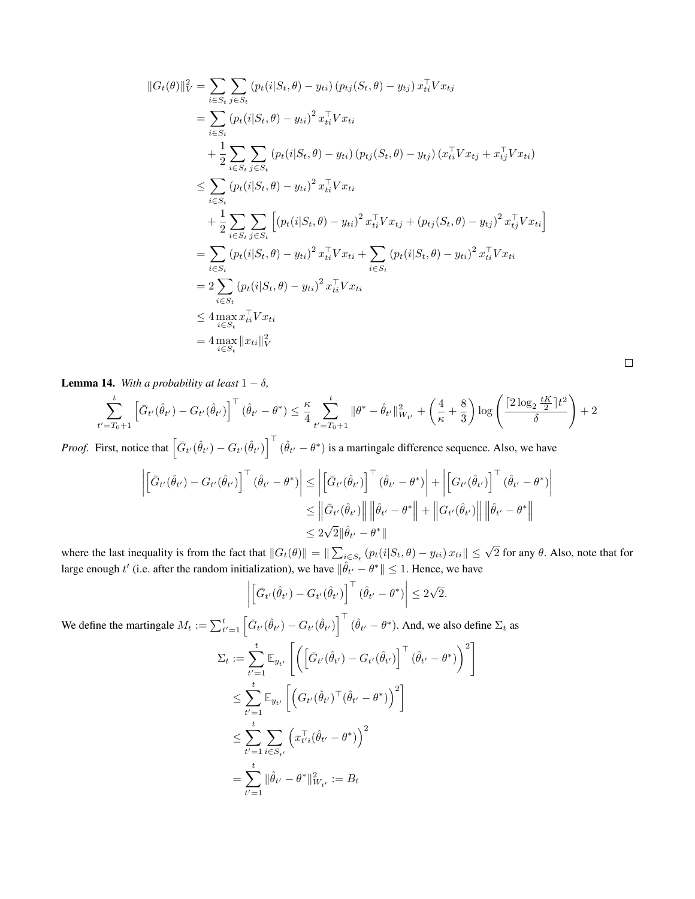$$
||G_t(\theta)||_V^2 = \sum_{i \in S_t} \sum_{j \in S_t} (p_t(i|S_t, \theta) - y_{ti}) (p_{tj}(S_t, \theta) - y_{tj}) x_{ti}^T V x_{tj}
$$
  
\n
$$
= \sum_{i \in S_t} (p_t(i|S_t, \theta) - y_{ti})^2 x_{ti}^T V x_{ti}
$$
  
\n
$$
+ \frac{1}{2} \sum_{i \in S_t} \sum_{j \in S_t} (p_t(i|S_t, \theta) - y_{ti}) (p_{tj}(S_t, \theta) - y_{tj}) (x_{ti}^T V x_{tj} + x_{tj}^T V x_{ti})
$$
  
\n
$$
\leq \sum_{i \in S_t} (p_t(i|S_t, \theta) - y_{ti})^2 x_{ti}^T V x_{ti}
$$
  
\n
$$
+ \frac{1}{2} \sum_{i \in S_t} \sum_{j \in S_t} [(p_t(i|S_t, \theta) - y_{ti})^2 x_{ti}^T V x_{tj} + (p_{tj}(S_t, \theta) - y_{tj})^2 x_{ti}^T V x_{ti}]
$$
  
\n
$$
= \sum_{i \in S_t} (p_t(i|S_t, \theta) - y_{ti})^2 x_{ti}^T V x_{ti} + \sum_{i \in S_t} (p_t(i|S_t, \theta) - y_{ti})^2 x_{ti}^T V x_{ti}
$$
  
\n
$$
= 2 \sum_{i \in S_t} (p_t(i|S_t, \theta) - y_{ti})^2 x_{ti}^T V x_{ti}
$$
  
\n
$$
\leq 4 \max_{i \in S_t} x_{ti}^T V x_{ti}
$$
  
\n
$$
= 4 \max_{i \in S_t} ||x_{ti}||_V^2
$$

<span id="page-18-0"></span>**Lemma 14.** *With a probability at least*  $1 - \delta$ *,* 

$$
\sum_{t'=T_0+1}^t \left[ \bar{G}_{t'}(\hat{\theta}_{t'}) - G_{t'}(\hat{\theta}_{t'}) \right]^\top (\hat{\theta}_{t'} - \theta^*) \leq \frac{\kappa}{4} \sum_{t'=T_0+1}^t \|\theta^* - \hat{\theta}_{t'}\|_{W_{t'}}^2 + \left(\frac{4}{\kappa} + \frac{8}{3}\right) \log \left( \frac{\lceil 2\log_2 \frac{tK}{2} \rceil t^2}{\delta} \right) + 2
$$

*Proof.* First, notice that  $\left[\bar{G}_{t'}(\hat{\theta}_{t'}) - G_{t'}(\hat{\theta}_{t'})\right]^\top (\hat{\theta}_{t'} - \theta^*)$  is a martingale difference sequence. Also, we have

$$
\left| \begin{bmatrix} \bar{G}_{t'}(\hat{\theta}_{t'}) - G_{t'}(\hat{\theta}_{t'}) \end{bmatrix}^\top (\hat{\theta}_{t'} - \theta^*) \right| \le \left| \begin{bmatrix} \bar{G}_{t'}(\hat{\theta}_{t'}) \end{bmatrix}^\top (\hat{\theta}_{t'} - \theta^*) \right| + \left| \begin{bmatrix} G_{t'}(\hat{\theta}_{t'}) \end{bmatrix}^\top (\hat{\theta}_{t'} - \theta^*) \right|
$$
  

$$
\le \left\| \bar{G}_{t'}(\hat{\theta}_{t'}) \right\| \left\| \hat{\theta}_{t'} - \theta^* \right\| + \left\| G_{t'}(\hat{\theta}_{t'}) \right\| \left\| \hat{\theta}_{t'} - \theta^* \right\|
$$
  

$$
\le 2\sqrt{2} \|\hat{\theta}_{t'} - \theta^* \|
$$

where the last inequality is from the fact that  $||G_t(\theta)|| = ||\sum_{i \in S_t} (p_t(i|S_t, \theta) - y_{ti}) x_{ti}|| \leq \sqrt{2}$  for any  $\theta$ . Also, note that for large enough  $t'$  (i.e. after the random initialization), we have  $\|\hat{\theta}_{t'} - \theta^*\| \leq 1$ . Hence, we have

$$
\left| \left[ \bar{G}_{t'}(\hat{\theta}_{t'}) - G_{t'}(\hat{\theta}_{t'}) \right]^\top (\hat{\theta}_{t'} - \theta^*) \right| \leq 2\sqrt{2}.
$$

We define the martingale  $M_t := \sum_{t'=1}^t \left[ \bar{G}_{t'}(\hat{\theta}_{t'}) - G_{t'}(\hat{\theta}_{t'}) \right]^\top (\hat{\theta}_{t'} - \theta^*)$ . And, we also define  $\Sigma_t$  as

$$
\Sigma_t := \sum_{t'=1}^t \mathbb{E}_{y_{t'}} \left[ \left( \left[ \bar{G}_{t'}(\hat{\theta}_{t'}) - G_{t'}(\hat{\theta}_{t'}) \right]^\top (\hat{\theta}_{t'} - \theta^*) \right)^2 \right]
$$
\n
$$
\leq \sum_{t'=1}^t \mathbb{E}_{y_{t'}} \left[ \left( G_{t'}(\hat{\theta}_{t'})^\top (\hat{\theta}_{t'} - \theta^*) \right)^2 \right]
$$
\n
$$
\leq \sum_{t'=1}^t \sum_{i \in S_{t'}} \left( x_{t'i}^\top (\hat{\theta}_{t'} - \theta^*) \right)^2
$$
\n
$$
= \sum_{t'=1}^t ||\hat{\theta}_{t'} - \theta^*||_{W_{t'}}^2 := B_t
$$

 $\Box$ 

 $\overline{\phantom{a}}$  $\overline{\phantom{a}}$  $\overline{\phantom{a}}$  $\mid$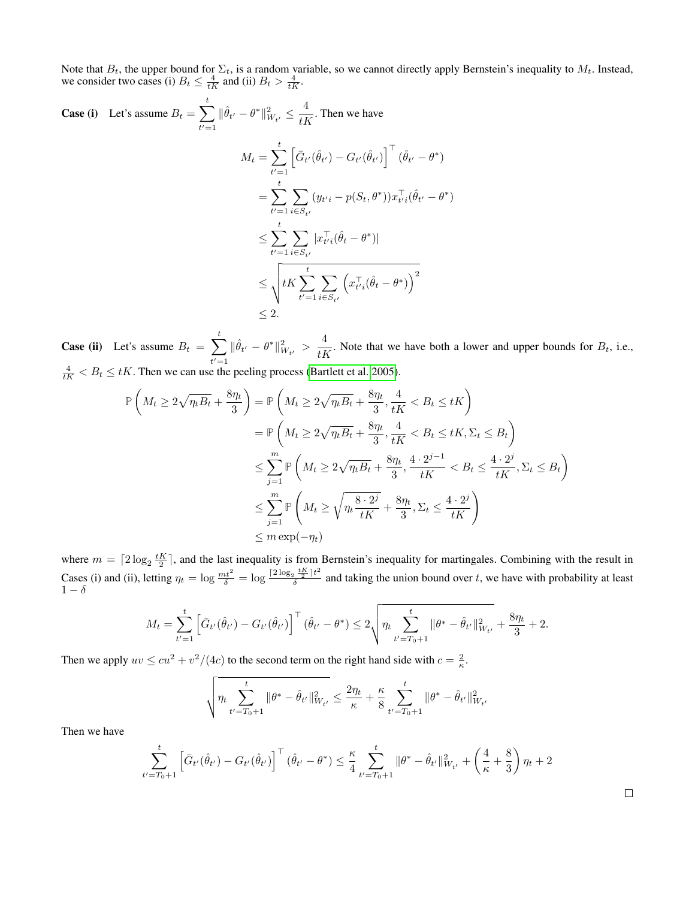Note that  $B_t$ , the upper bound for  $\Sigma_t$ , is a random variable, so we cannot directly apply Bernstein's inequality to  $M_t$ . Instead, we consider two cases (i)  $B_t \leq \frac{4}{tK}$  and (ii)  $B_t > \frac{4}{tK}$ .

Case (i) Let's assume 
$$
B_t = \sum_{t'=1}^t \|\hat{\theta}_{t'} - \theta^*\|_{W_{t'}}^2 \le \frac{4}{tK}
$$
. Then we have  
\n
$$
M_t = \sum_{t'=1}^t \left[\bar{G}_{t'}(\hat{\theta}_{t'}) - G_{t'}(\hat{\theta}_{t'})\right]^\top (\hat{\theta}_{t'} - \theta^*)
$$
\n
$$
= \sum_{t'=1}^t \sum_{i \in S_{t'}} (y_{t'i} - p(S_t, \theta^*)) x_{t'i}^\top (\hat{\theta}_{t'} - \theta^*)
$$
\n
$$
\le \sum_{t'=1}^t \sum_{i \in S_{t'}} |x_{t'i}^\top (\hat{\theta}_t - \theta^*)|
$$
\n
$$
\le \sqrt{\frac{t}{K \sum_{t'=1}^t \sum_{i \in S_{t'}} \left(x_{t'i}^\top (\hat{\theta}_t - \theta^*)\right)^2}}
$$
\n
$$
\le 2.
$$

**Case (ii)** Let's assume  $B_t = \sum_t^t$  $t'=1$  $\|\hat{\theta}_{t'} - \theta^*\|_{W_{t'}}^2 > \frac{4}{tR}$  $\frac{1}{tK}$ . Note that we have both a lower and upper bounds for  $B_t$ , i.e.,  $\frac{4}{tK} < B_t \le tK$ . Then we can use the peeling process [\(Bartlett et al. 2005\)](#page-7-28).

$$
\mathbb{P}\left(M_t \ge 2\sqrt{\eta_t B_t} + \frac{8\eta_t}{3}\right) = \mathbb{P}\left(M_t \ge 2\sqrt{\eta_t B_t} + \frac{8\eta_t}{3}, \frac{4}{tK} < B_t \le tK\right)
$$
\n
$$
= \mathbb{P}\left(M_t \ge 2\sqrt{\eta_t B_t} + \frac{8\eta_t}{3}, \frac{4}{tK} < B_t \le tK, \Sigma_t \le B_t\right)
$$
\n
$$
\le \sum_{j=1}^m \mathbb{P}\left(M_t \ge 2\sqrt{\eta_t B_t} + \frac{8\eta_t}{3}, \frac{4 \cdot 2^{j-1}}{tK} < B_t \le \frac{4 \cdot 2^j}{tK}, \Sigma_t \le B_t\right)
$$
\n
$$
\le \sum_{j=1}^m \mathbb{P}\left(M_t \ge \sqrt{\eta_t \frac{8 \cdot 2^j}{tK}} + \frac{8\eta_t}{3}, \Sigma_t \le \frac{4 \cdot 2^j}{tK}\right)
$$
\n
$$
\le m \exp(-\eta_t)
$$

where  $m = \left\lceil 2\log_2 \frac{tK}{2} \right\rceil$ , and the last inequality is from Bernstein's inequality for martingales. Combining with the result in Cases (i) and (ii), letting  $\eta_t = \log \frac{mt^2}{\delta} = \log \frac{\left[2 \log_2 \frac{tK}{2}\right] t^2}{\delta}$  $\frac{a}{\delta}$  and taking the union bound over t, we have with probability at least  $1-\delta$ 

$$
M_t = \sum_{t'=1}^t \left[ \bar{G}_{t'}(\hat{\theta}_{t'}) - G_{t'}(\hat{\theta}_{t'}) \right]^\top (\hat{\theta}_{t'} - \theta^*) \le 2 \sqrt{\eta_t \sum_{t'=T_0+1}^t \|\theta^* - \hat{\theta}_{t'}\|_{W_{t'}}^2 + \frac{8\eta_t}{3} + 2}.
$$

Then we apply  $uv \leq cu^2 + v^2/(4c)$  to the second term on the right hand side with  $c = \frac{2}{\kappa}$ .

$$
\sqrt{\eta_t \sum_{t'=T_0+1}^t \|\theta^* - \hat{\theta}_{t'}\|_{W_{t'}}^2} \le \frac{2\eta_t}{\kappa} + \frac{\kappa}{8} \sum_{t'=T_0+1}^t \|\theta^* - \hat{\theta}_{t'}\|_{W_{t'}}^2
$$

Then we have

$$
\sum_{t'=T_0+1}^t \left[ \bar{G}_{t'}(\hat{\theta}_{t'}) - G_{t'}(\hat{\theta}_{t'}) \right]^{\top} (\hat{\theta}_{t'} - \theta^*) \leq \frac{\kappa}{4} \sum_{t'=T_0+1}^t \|\theta^* - \hat{\theta}_{t'}\|_{W_{t'}}^2 + \left(\frac{4}{\kappa} + \frac{8}{3}\right)\eta_t + 2
$$

 $\Box$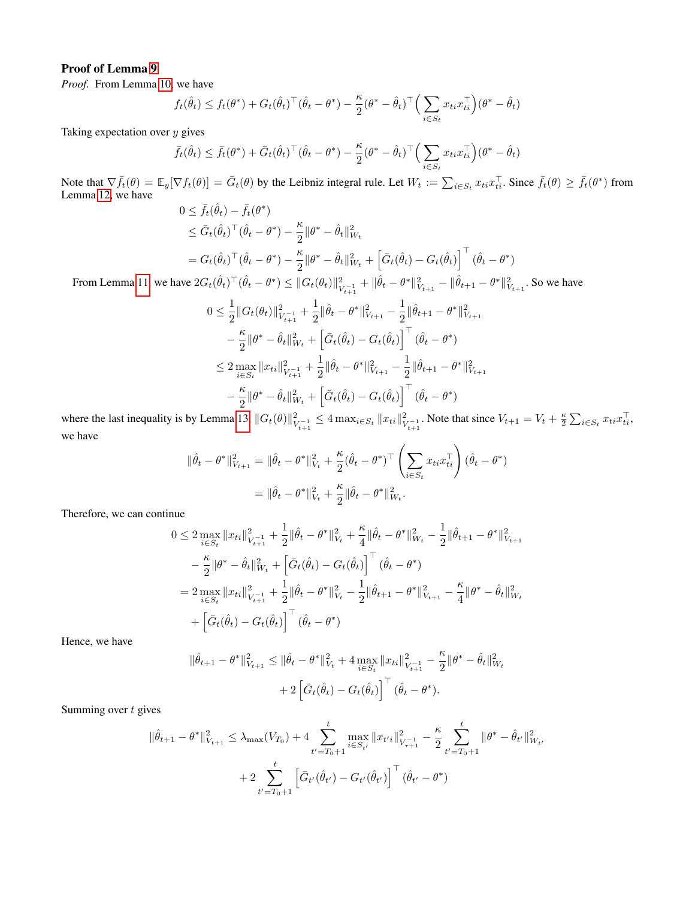# Proof of Lemma [9](#page-15-2)

*Proof.* From Lemma [10,](#page-16-0) we have

$$
f_t(\hat{\theta}_t) \le f_t(\theta^*) + G_t(\hat{\theta}_t)^\top (\hat{\theta}_t - \theta^*) - \frac{\kappa}{2} (\theta^* - \hat{\theta}_t)^\top \Big( \sum_{i \in S_t} x_{ti} x_{ti}^\top \Big) (\theta^* - \hat{\theta}_t)
$$

Taking expectation over  $y$  gives

$$
\bar{f}_t(\hat{\theta}_t) \leq \bar{f}_t(\theta^*) + \bar{G}_t(\hat{\theta}_t)^\top (\hat{\theta}_t - \theta^*) - \frac{\kappa}{2} (\theta^* - \hat{\theta}_t)^\top \Big( \sum_{i \in S_t} x_{ti} x_{ti}^\top \Big) (\theta^* - \hat{\theta}_t)
$$

Note that  $\nabla \bar{f}_t(\theta) = \mathbb{E}_y[\nabla f_t(\theta)] = \bar{G}_t(\theta)$  by the Leibniz integral rule. Let  $W_t := \sum_{i \in S_t} x_{ti} x_{ti}^\top$ . Since  $\bar{f}_t(\theta) \ge \bar{f}_t(\theta^*)$  from Lemma [12,](#page-17-0) we have

$$
0 \leq \bar{f}_t(\hat{\theta}_t) - \bar{f}_t(\theta^*)
$$
  
\n
$$
\leq \bar{G}_t(\hat{\theta}_t)^\top (\hat{\theta}_t - \theta^*) - \frac{\kappa}{2} \|\theta^* - \hat{\theta}_t\|_{W_t}^2
$$
  
\n
$$
= G_t(\hat{\theta}_t)^\top (\hat{\theta}_t - \theta^*) - \frac{\kappa}{2} \|\theta^* - \hat{\theta}_t\|_{W_t}^2 + \left[\bar{G}_t(\hat{\theta}_t) - G_t(\hat{\theta}_t)\right]^\top (\hat{\theta}_t - \theta^*)
$$

From Lemma [11,](#page-16-1) we have  $2G_t(\hat{\theta}_t)^\top (\hat{\theta}_t - \theta^*) \leq ||G_t(\theta_t)||_{L}^2$  $\frac{2}{V_{t+1}} + \|\hat{\theta}_t - \theta^*\|_{V_{t+1}}^2 - \|\hat{\theta}_{t+1} - \theta^*\|_{V_{t+1}}^2$ . So we have

$$
0 \leq \frac{1}{2} ||G_t(\theta_t)||_{V_{t+1}}^2 + \frac{1}{2} ||\hat{\theta}_t - \theta^*||_{V_{t+1}}^2 - \frac{1}{2} ||\hat{\theta}_{t+1} - \theta^*||_{V_{t+1}}^2
$$
  

$$
- \frac{\kappa}{2} ||\theta^* - \hat{\theta}_t||_{W_t}^2 + \left[\bar{G}_t(\hat{\theta}_t) - G_t(\hat{\theta}_t)\right]^\top (\hat{\theta}_t - \theta^*)
$$
  

$$
\leq 2 \max_{i \in S_t} ||x_{ti}||_{V_{t+1}}^2 + \frac{1}{2} ||\hat{\theta}_t - \theta^*||_{V_{t+1}}^2 - \frac{1}{2} ||\hat{\theta}_{t+1} - \theta^*||_{V_{t+1}}^2
$$
  

$$
- \frac{\kappa}{2} ||\theta^* - \hat{\theta}_t||_{W_t}^2 + \left[\bar{G}_t(\hat{\theta}_t) - G_t(\hat{\theta}_t)\right]^\top (\hat{\theta}_t - \theta^*)
$$

where the last inequality is by Lemma [13,](#page-17-1)  $||G_t(\theta)||_1^2$  $\frac{2}{V_{t+1}^{-1}} \leq 4 \max_{i \in S_t} ||x_{ti}||_V^2$  $V_{t+1}^{2}$ . Note that since  $V_{t+1} = V_t + \frac{\kappa}{2} \sum_{i \in S_t} x_{ti} x_{ti}^{\top}$ , we have

$$
\|\hat{\theta}_t - \theta^*\|_{V_{t+1}}^2 = \|\hat{\theta}_t - \theta^*\|_{V_t}^2 + \frac{\kappa}{2}(\hat{\theta}_t - \theta^*)^\top \left(\sum_{i \in S_t} x_{ti} x_{ti}^\top\right)(\hat{\theta}_t - \theta^*)
$$
  
= 
$$
\|\hat{\theta}_t - \theta^*\|_{V_t}^2 + \frac{\kappa}{2}\|\hat{\theta}_t - \theta^*\|_{W_t}^2.
$$

Therefore, we can continue

$$
0 \leq 2 \max_{i \in S_t} ||x_{ti}||_{V_{t+1}}^2 + \frac{1}{2} ||\hat{\theta}_t - \theta^*||_{V_t}^2 + \frac{\kappa}{4} ||\hat{\theta}_t - \theta^*||_{W_t}^2 - \frac{1}{2} ||\hat{\theta}_{t+1} - \theta^*||_{V_{t+1}}^2
$$
  

$$
- \frac{\kappa}{2} ||\theta^* - \hat{\theta}_t||_{W_t}^2 + \left[ \bar{G}_t(\hat{\theta}_t) - G_t(\hat{\theta}_t) \right]^\top (\hat{\theta}_t - \theta^*)
$$
  

$$
= 2 \max_{i \in S_t} ||x_{ti}||_{V_{t+1}}^2 + \frac{1}{2} ||\hat{\theta}_t - \theta^*||_{V_t}^2 - \frac{1}{2} ||\hat{\theta}_{t+1} - \theta^*||_{V_{t+1}}^2 - \frac{\kappa}{4} ||\theta^* - \hat{\theta}_t||_{W_t}^2
$$
  

$$
+ \left[ \bar{G}_t(\hat{\theta}_t) - G_t(\hat{\theta}_t) \right]^\top (\hat{\theta}_t - \theta^*)
$$

Hence, we have

$$
\|\hat{\theta}_{t+1} - \theta^*\|_{V_{t+1}}^2 \le \|\hat{\theta}_t - \theta^*\|_{V_t}^2 + 4 \max_{i \in S_t} \|x_{ti}\|_{V_{t+1}}^2 - \frac{\kappa}{2} \|\theta^* - \hat{\theta}_t\|_{W_t}^2
$$

$$
+ 2 \left[ \bar{G}_t(\hat{\theta}_t) - G_t(\hat{\theta}_t) \right]^\top (\hat{\theta}_t - \theta^*).
$$

Summing over  $t$  gives

$$
\|\hat{\theta}_{t+1} - \theta^*\|_{V_{t+1}}^2 \le \lambda_{\max}(V_{T_0}) + 4 \sum_{t'=T_0+1}^t \max_{i \in S_{t'}} \|x_{t'i}\|_{V_{\tau+1}}^2 - \frac{\kappa}{2} \sum_{t'=T_0+1}^t \|\theta^* - \hat{\theta}_{t'}\|_{W_{t'}}^2
$$

$$
+ 2 \sum_{t'=T_0+1}^t \left[\bar{G}_{t'}(\hat{\theta}_{t'}) - G_{t'}(\hat{\theta}_{t'})\right]^\top (\hat{\theta}_{t'} - \theta^*)
$$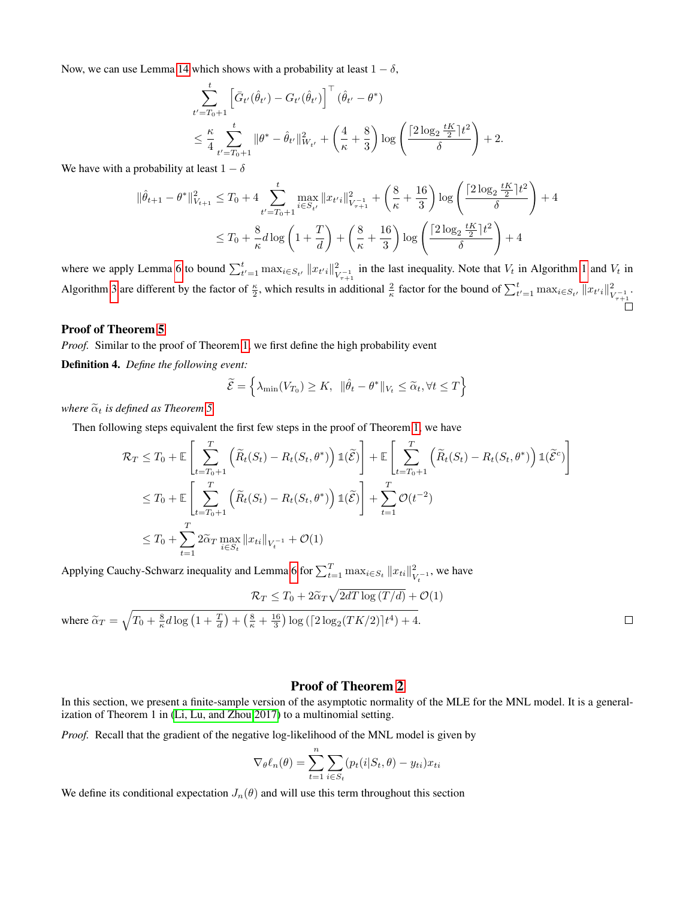Now, we can use Lemma [14](#page-18-0) which shows with a probability at least  $1 - \delta$ ,

$$
\sum_{t'=T_0+1}^t \left[ \bar{G}_{t'}(\hat{\theta}_{t'}) - G_{t'}(\hat{\theta}_{t'}) \right]^\top (\hat{\theta}_{t'} - \theta^*)
$$
\n
$$
\leq \frac{\kappa}{4} \sum_{t'=T_0+1}^t \|\theta^* - \hat{\theta}_{t'}\|_{W_{t'}}^2 + \left(\frac{4}{\kappa} + \frac{8}{3}\right) \log \left(\frac{\left[2\log_2 \frac{tK}{2}\right]t^2}{\delta}\right) + 2.
$$

We have with a probability at least  $1 - \delta$ 

$$
\|\hat{\theta}_{t+1} - \theta^*\|_{V_{t+1}}^2 \le T_0 + 4 \sum_{t'=T_0+1}^t \max_{i \in S_{t'}} \|x_{t'i}\|_{V_{\tau+1}}^2 + \left(\frac{8}{\kappa} + \frac{16}{3}\right) \log\left(\frac{\lceil 2\log_2 \frac{tK}{2} \rceil t^2}{\delta}\right) + 4
$$
  

$$
\le T_0 + \frac{8}{\kappa} d \log\left(1 + \frac{T}{d}\right) + \left(\frac{8}{\kappa} + \frac{16}{3}\right) \log\left(\frac{\lceil 2\log_2 \frac{tK}{2} \rceil t^2}{\delta}\right) + 4
$$

where we apply Lemma [6](#page-10-3) to bound  $\sum_{t'=1}^{t} \max_{i \in S_{t'}} ||x_{t'i}||_{V}^2$  $\mathcal{V}_{\tau+1}^{2}$  in the last inequality. Note that  $V_t$  in Algorithm [1](#page-3-0) and  $V_t$  in Algorithm [3](#page-15-0) are different by the factor of  $\frac{\kappa}{2}$ , which results in additional  $\frac{2}{\kappa}$  factor for the bound of  $\sum_{t'=1}^{t} \max_{i \in S_{t'}} ||x_{t'i}||_{V}^2$  $\frac{2}{V_{\tau+1}^{-1}}$ .

# Proof of Theorem [5](#page-15-3)

*Proof.* Similar to the proof of Theorem [1,](#page-3-1) we first define the high probability event

Definition 4. *Define the following event:*

$$
\widetilde{\mathcal{E}} = \left\{ \lambda_{\min}(V_{T_0}) \geq K, \ \|\hat{\theta}_t - \theta^*\|_{V_t} \leq \widetilde{\alpha}_t, \forall t \leq T \right\}
$$

*where*  $\tilde{\alpha}_t$  *is defined as Theorem [5.](#page-15-3)* 

Then following steps equivalent the first few steps in the proof of Theorem [1,](#page-3-1) we have

$$
\mathcal{R}_T \leq T_0 + \mathbb{E} \left[ \sum_{t=T_0+1}^T \left( \widetilde{R}_t(S_t) - R_t(S_t, \theta^*) \right) \mathbb{1}(\widetilde{\mathcal{E}}) \right] + \mathbb{E} \left[ \sum_{t=T_0+1}^T \left( \widetilde{R}_t(S_t) - R_t(S_t, \theta^*) \right) \mathbb{1}(\widetilde{\mathcal{E}}^c) \right]
$$
  
\n
$$
\leq T_0 + \mathbb{E} \left[ \sum_{t=T_0+1}^T \left( \widetilde{R}_t(S_t) - R_t(S_t, \theta^*) \right) \mathbb{1}(\widetilde{\mathcal{E}}) \right] + \sum_{t=1}^T \mathcal{O}(t^{-2})
$$
  
\n
$$
\leq T_0 + \sum_{t=1}^T 2 \widetilde{\alpha}_T \max_{i \in S_t} ||x_{ti}||_{V_t^{-1}} + \mathcal{O}(1)
$$

Applying Cauchy-Schwarz inequality and Lemma [6](#page-10-3) for  $\sum_{t=1}^{T} \max_{i \in S_t} ||x_{ti}||_V^2$  $\frac{2}{V_t-1}$ , we have

$$
\mathcal{R}_T \le T_0 + 2\widetilde{\alpha}_T \sqrt{2dT \log(T/d)} + \mathcal{O}(1)
$$
  
where  $\widetilde{\alpha}_T = \sqrt{T_0 + \frac{8}{\kappa}d\log\left(1 + \frac{T}{d}\right) + \left(\frac{8}{\kappa} + \frac{16}{3}\right)\log\left(\left[2\log_2(TK/2)\right]t^4\right) + 4}.$ 

 $\Box$ 

# Proof of Theorem [2](#page-4-2)

In this section, we present a finite-sample version of the asymptotic normality of the MLE for the MNL model. It is a generalization of Theorem 1 in [\(Li, Lu, and Zhou 2017\)](#page-7-11) to a multinomial setting.

*Proof.* Recall that the gradient of the negative log-likelihood of the MNL model is given by

$$
\nabla_{\theta} \ell_n(\theta) = \sum_{t=1}^n \sum_{i \in S_t} (p_t(i|S_t, \theta) - y_{ti}) x_{ti}
$$

We define its conditional expectation  $J_n(\theta)$  and will use this term throughout this section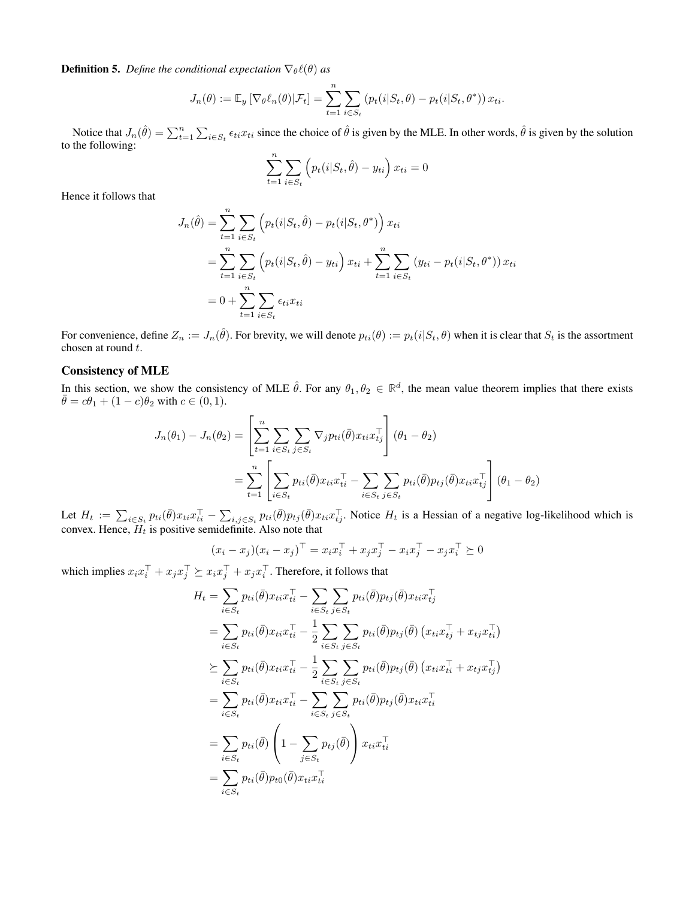**Definition 5.** *Define the conditional expectation*  $\nabla_{\theta} \ell(\theta)$  *as* 

$$
J_n(\theta) := \mathbb{E}_y \left[ \nabla_{\theta} \ell_n(\theta) | \mathcal{F}_t \right] = \sum_{t=1}^n \sum_{i \in S_t} \left( p_t(i|S_t, \theta) - p_t(i|S_t, \theta^*) \right) x_{ti}.
$$

Notice that  $J_n(\hat{\theta}) = \sum_{t=1}^n \sum_{i \in S_t} \epsilon_{ti} x_{ti}$  since the choice of  $\hat{\theta}$  is given by the MLE. In other words,  $\hat{\theta}$  is given by the solution to the following:

$$
\sum_{t=1}^{n} \sum_{i \in S_t} \left( p_t(i|S_t, \hat{\theta}) - y_{ti} \right) x_{ti} = 0
$$

Hence it follows that

$$
J_n(\hat{\theta}) = \sum_{t=1}^n \sum_{i \in S_t} \left( p_t(i|S_t, \hat{\theta}) - p_t(i|S_t, \theta^*) \right) x_{ti}
$$
  
= 
$$
\sum_{t=1}^n \sum_{i \in S_t} \left( p_t(i|S_t, \hat{\theta}) - y_{ti} \right) x_{ti} + \sum_{t=1}^n \sum_{i \in S_t} \left( y_{ti} - p_t(i|S_t, \theta^*) \right) x_{ti}
$$
  
= 
$$
0 + \sum_{t=1}^n \sum_{i \in S_t} \epsilon_{ti} x_{ti}
$$

For convenience, define  $Z_n := J_n(\hat{\theta})$ . For brevity, we will denote  $p_{ti}(\theta) := p_t(i|S_t, \theta)$  when it is clear that  $S_t$  is the assortment chosen at round t.

### Consistency of MLE

In this section, we show the consistency of MLE  $\hat{\theta}$ . For any  $\theta_1, \theta_2 \in \mathbb{R}^d$ , the mean value theorem implies that there exists  $\bar{\theta} = c\theta_1 + (1 - c)\theta_2$  with  $c \in (0, 1)$ .

$$
J_n(\theta_1) - J_n(\theta_2) = \left[ \sum_{t=1}^n \sum_{i \in S_t} \sum_{j \in S_t} \nabla_j p_{ti}(\bar{\theta}) x_{ti} x_{tj}^\top \right] (\theta_1 - \theta_2)
$$
  
= 
$$
\sum_{t=1}^n \left[ \sum_{i \in S_t} p_{ti}(\bar{\theta}) x_{ti} x_{ti}^\top - \sum_{i \in S_t} \sum_{j \in S_t} p_{ti}(\bar{\theta}) p_{tj}(\bar{\theta}) x_{ti} x_{tj}^\top \right] (\theta_1 - \theta_2)
$$

Let  $H_t := \sum_{i \in S_t} p_{ti}(\bar{\theta}) x_{ti} x_{ti}^{\top} - \sum_{i,j \in S_t} p_{ti}(\bar{\theta}) p_{tj}(\bar{\theta}) x_{ti} x_{tj}^{\top}$ . Notice  $H_t$  is a Hessian of a negative log-likelihood which is convex. Hence,  $H_t$  is positive semidefinite. Also note that

$$
(x_i - x_j)(x_i - x_j)^\top = x_i x_i^\top + x_j x_j^\top - x_i x_j^\top - x_j x_i^\top \succeq 0
$$

which implies  $x_i x_i^{\top} + x_j x_j^{\top} \succeq x_i x_j^{\top} + x_j x_i^{\top}$ . Therefore, it follows that

$$
H_t = \sum_{i \in S_t} p_{ti}(\bar{\theta}) x_{ti} x_{ti}^\top - \sum_{i \in S_t} \sum_{j \in S_t} p_{ti}(\bar{\theta}) p_{tj}(\bar{\theta}) x_{ti} x_{tj}^\top
$$
  
\n
$$
= \sum_{i \in S_t} p_{ti}(\bar{\theta}) x_{ti} x_{ti}^\top - \frac{1}{2} \sum_{i \in S_t} \sum_{j \in S_t} p_{ti}(\bar{\theta}) p_{tj}(\bar{\theta}) (x_{ti} x_{tj}^\top + x_{tj} x_{ti}^\top)
$$
  
\n
$$
\geq \sum_{i \in S_t} p_{ti}(\bar{\theta}) x_{ti} x_{ti}^\top - \frac{1}{2} \sum_{i \in S_t} \sum_{j \in S_t} p_{ti}(\bar{\theta}) p_{tj}(\bar{\theta}) (x_{ti} x_{ti}^\top + x_{tj} x_{tj}^\top)
$$
  
\n
$$
= \sum_{i \in S_t} p_{ti}(\bar{\theta}) x_{ti} x_{ti}^\top - \sum_{i \in S_t} \sum_{j \in S_t} p_{ti}(\bar{\theta}) p_{tj}(\bar{\theta}) x_{ti} x_{ti}^\top
$$
  
\n
$$
= \sum_{i \in S_t} p_{ti}(\bar{\theta}) \left( 1 - \sum_{j \in S_t} p_{tj}(\bar{\theta}) \right) x_{ti} x_{ti}^\top
$$
  
\n
$$
= \sum_{i \in S_t} p_{ti}(\bar{\theta}) p_{t0}(\bar{\theta}) x_{ti} x_{ti}^\top
$$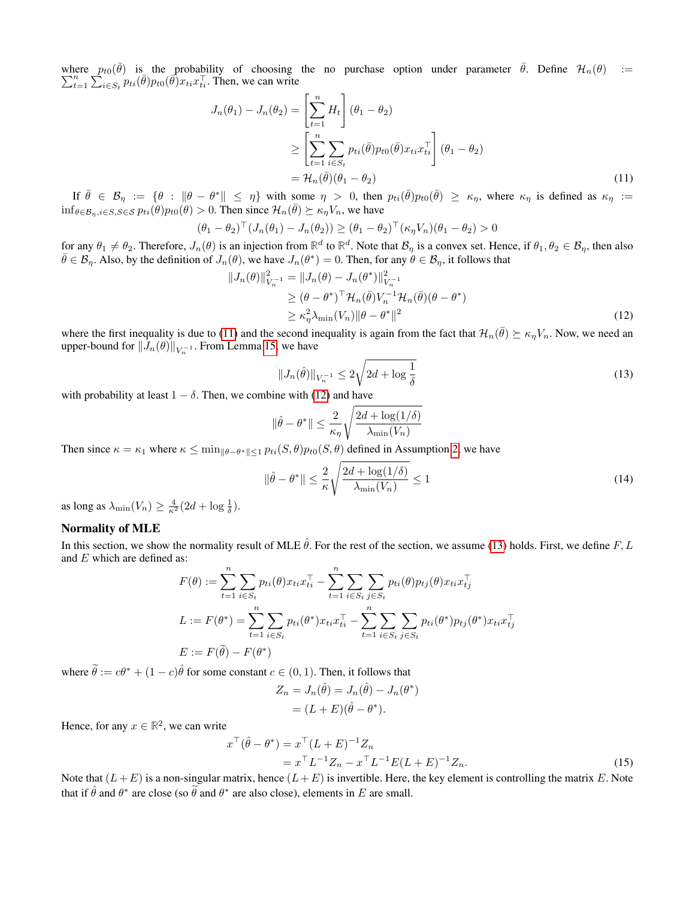where  $p_{t0}(\bar{\theta})$  is the probability of choosing the no purchase option under parameter  $\bar{\theta}$ . Define  $\mathcal{H}_n(\theta)$  :=  $\sum_{t=1}^{n} \sum_{i \in S_t}^{\infty} p_{ti}(\bar{\theta}) p_{t0}(\bar{\theta}) x_{ti} x_{ti}^{\top}$ . Then, we can write

$$
J_n(\theta_1) - J_n(\theta_2) = \left[\sum_{t=1}^n H_t\right](\theta_1 - \theta_2)
$$
  
\n
$$
\geq \left[\sum_{t=1}^n \sum_{i \in S_t} p_{ti}(\bar{\theta}) p_{t0}(\bar{\theta}) x_{ti} x_{ti}^\top \right](\theta_1 - \theta_2)
$$
  
\n
$$
= \mathcal{H}_n(\bar{\theta})(\theta_1 - \theta_2)
$$
\n(11)

If  $\bar{\theta} \in \mathcal{B}_{\eta} := \{\theta : \|\theta - \theta^*\| \leq \eta\}$  with some  $\eta > 0$ , then  $p_{ti}(\bar{\theta})p_{t0}(\bar{\theta}) \geq \kappa_{\eta}$ , where  $\kappa_{\eta}$  is defined as  $\kappa_{\eta} :=$  $\inf_{\theta \in \mathcal{B}_n, i \in S, S \in \mathcal{S}} p_{ti}(\theta) p_{t0}(\theta) > 0$ . Then since  $\mathcal{H}_n(\bar{\theta}) \succeq \kappa_{\eta} V_n$ , we have

$$
(\theta_1 - \theta_2)^\top (J_n(\theta_1) - J_n(\theta_2)) \geq (\theta_1 - \theta_2)^\top (\kappa_\eta V_n)(\theta_1 - \theta_2) > 0
$$

for any  $\theta_1 \neq \theta_2$ . Therefore,  $J_n(\theta)$  is an injection from  $\mathbb{R}^d$  to  $\mathbb{R}^d$ . Note that  $\mathcal{B}_\eta$  is a convex set. Hence, if  $\theta_1, \theta_2 \in \mathcal{B}_\eta$ , then also  $\bar{\theta} \in \mathcal{B}_\eta$ . Also, by the definition of  $J_n(\theta)$ , we have  $J_n(\theta^*) = 0$ . Then, for any  $\theta \in \mathcal{B}_\eta$ , it follows that

$$
||J_n(\theta)||_{V_n^{-1}}^2 = ||J_n(\theta) - J_n(\theta^*)||_{V_n^{-1}}^2
$$
  
\n
$$
\geq (\theta - \theta^*)^\top \mathcal{H}_n(\bar{\theta}) V_n^{-1} \mathcal{H}_n(\bar{\theta}) (\theta - \theta^*)
$$
  
\n
$$
\geq \kappa_n^2 \lambda_{\min}(V_n) ||\theta - \theta^*||^2
$$
\n(12)

where the first inequality is due to [\(11\)](#page-23-1) and the second inequality is again from the fact that  $\mathcal{H}_n(\bar{\theta}) \succeq \kappa_\eta V_n$ . Now, we need an upper-bound for  $||J_n(\theta)||_{V_n^{-1}}$ . From Lemma [15,](#page-27-0) we have

<span id="page-23-2"></span><span id="page-23-1"></span><span id="page-23-0"></span>
$$
||J_n(\hat{\theta})||_{V_n^{-1}} \le 2\sqrt{2d + \log\frac{1}{\delta}}
$$
\n(13)

with probability at least  $1 - \delta$ . Then, we combine with [\(12\)](#page-23-0) and have

$$
\|\hat{\theta} - \theta^*\| \le \frac{2}{\kappa_{\eta}} \sqrt{\frac{2d + \log(1/\delta)}{\lambda_{\min}(V_n)}}
$$

Then since  $\kappa = \kappa_1$  where  $\kappa \le \min_{\|\theta - \theta^*\| \le 1} p_{ti}(S, \theta) p_{t0}(S, \theta)$  defined in Assumption [2,](#page-3-3) we have

<span id="page-23-3"></span>
$$
\|\hat{\theta} - \theta^*\| \le \frac{2}{\kappa} \sqrt{\frac{2d + \log(1/\delta)}{\lambda_{\min}(V_n)}} \le 1
$$
\n(14)

as long as  $\lambda_{\min}(V_n) \geq \frac{4}{\kappa^2} (2d + \log \frac{1}{\delta}).$ 

# Normality of MLE

In this section, we show the normality result of MLE  $\hat{\theta}$ . For the rest of the section, we assume [\(13\)](#page-23-2) holds. First, we define F, L and E which are defined as:

$$
F(\theta) := \sum_{t=1}^{n} \sum_{i \in S_t} p_{ti}(\theta) x_{ti} x_{ti}^{\top} - \sum_{t=1}^{n} \sum_{i \in S_t} \sum_{j \in S_t} p_{ti}(\theta) p_{tj}(\theta) x_{ti} x_{tj}^{\top}
$$
  
\n
$$
L := F(\theta^*) = \sum_{t=1}^{n} \sum_{i \in S_t} p_{ti}(\theta^*) x_{ti} x_{ti}^{\top} - \sum_{t=1}^{n} \sum_{i \in S_t} \sum_{j \in S_t} p_{ti}(\theta^*) p_{tj}(\theta^*) x_{ti} x_{tj}^{\top}
$$
  
\n
$$
E := F(\tilde{\theta}) - F(\theta^*)
$$

where  $\tilde{\theta} := c\theta^* + (1 - c)\hat{\theta}$  for some constant  $c \in (0, 1)$ . Then, it follows that

 $\overline{\mathcal{L}}$ 

<span id="page-23-4"></span>
$$
Z_n = J_n(\hat{\theta}) = J_n(\hat{\theta}) - J_n(\theta^*)
$$
  
=  $(L + E)(\hat{\theta} - \theta^*).$ 

Hence, for any  $x \in \mathbb{R}^2$ , we can write

$$
x^{\top}(\hat{\theta} - \theta^*) = x^{\top} (L + E)^{-1} Z_n
$$
  
=  $x^{\top} L^{-1} Z_n - x^{\top} L^{-1} E(L + E)^{-1} Z_n.$  (15)

Note that  $(L+E)$  is a non-singular matrix, hence  $(L+E)$  is invertible. Here, the key element is controlling the matrix E. Note that if  $\hat{\theta}$  and  $\theta^*$  are close (so  $\tilde{\theta}$  and  $\theta^*$  are also close), elements in E are small.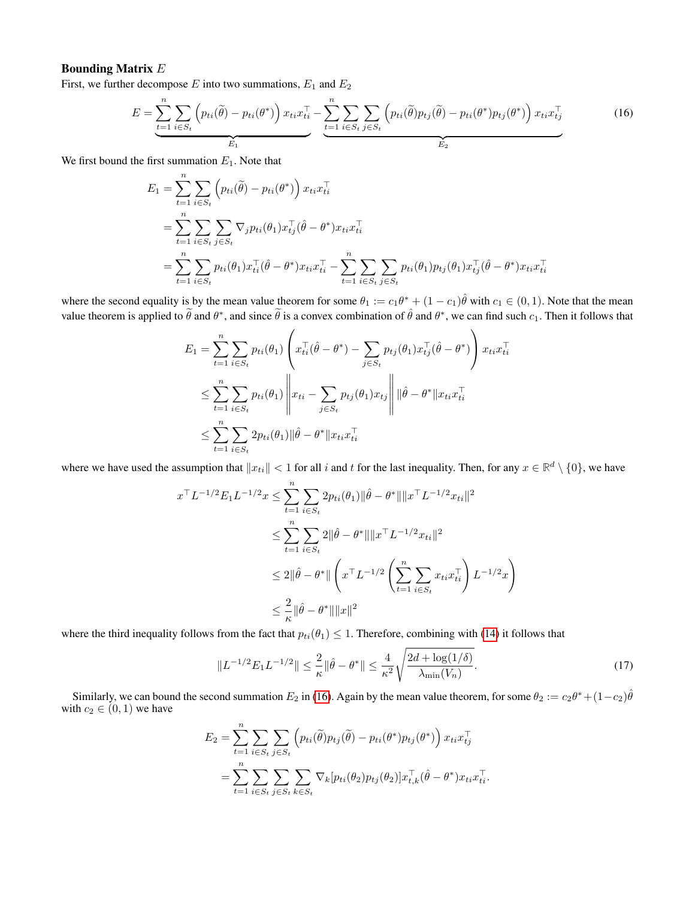# Bounding Matrix E

First, we further decompose  $E$  into two summations,  $E_1$  and  $E_2$ 

$$
E = \underbrace{\sum_{t=1}^{n} \sum_{i \in S_t} \left( p_{ti}(\tilde{\theta}) - p_{ti}(\theta^*) \right) x_{ti} x_{ti}^\top}_{E_1} - \underbrace{\sum_{t=1}^{n} \sum_{i \in S_t} \sum_{j \in S_t} \left( p_{ti}(\tilde{\theta}) p_{tj}(\tilde{\theta}) - p_{ti}(\theta^*) p_{tj}(\theta^*) \right) x_{ti} x_{tj}^\top}_{E_2}
$$
(16)

We first bound the first summation  $E_1$ . Note that

<span id="page-24-0"></span>
$$
E_1 = \sum_{t=1}^{n} \sum_{i \in S_t} \left( p_{ti}(\tilde{\theta}) - p_{ti}(\theta^*) \right) x_{ti} x_{ti}^\top
$$
  
= 
$$
\sum_{t=1}^{n} \sum_{i \in S_t} \sum_{j \in S_t} \nabla_j p_{ti}(\theta_1) x_{tj}^\top (\hat{\theta} - \theta^*) x_{ti} x_{ti}^\top
$$
  
= 
$$
\sum_{t=1}^{n} \sum_{i \in S_t} p_{ti}(\theta_1) x_{ti}^\top (\hat{\theta} - \theta^*) x_{ti} x_{ti}^\top - \sum_{t=1}^{n} \sum_{i \in S_t} \sum_{j \in S_t} p_{ti}(\theta_1) p_{tj}(\theta_1) x_{tj}^\top (\hat{\theta} - \theta^*) x_{ti} x_{ti}^\top
$$

where the second equality is by the mean value theorem for some  $\theta_1 := c_1\theta^* + (1-c_1)\hat{\theta}$  with  $c_1 \in (0,1)$ . Note that the mean value theorem is applied to  $\tilde{\theta}$  and  $\theta^*$ , and since  $\tilde{\theta}$  is a convex combination of  $\hat{\theta}$  and  $\theta^*$ , we can find such  $c_1$ . Then it follows that

$$
E_{1} = \sum_{t=1}^{n} \sum_{i \in S_{t}} p_{ti}(\theta_{1}) \left( x_{ti}^{\top}(\hat{\theta} - \theta^{*}) - \sum_{j \in S_{t}} p_{tj}(\theta_{1}) x_{tj}^{\top}(\hat{\theta} - \theta^{*}) \right) x_{ti} x_{ti}^{\top}
$$
  

$$
\leq \sum_{t=1}^{n} \sum_{i \in S_{t}} p_{ti}(\theta_{1}) \left\| x_{ti} - \sum_{j \in S_{t}} p_{tj}(\theta_{1}) x_{tj} \right\| \|\hat{\theta} - \theta^{*}\| x_{ti} x_{ti}^{\top}
$$
  

$$
\leq \sum_{t=1}^{n} \sum_{i \in S_{t}} 2 p_{ti}(\theta_{1}) \|\hat{\theta} - \theta^{*}\| x_{ti} x_{ti}^{\top}
$$

where we have used the assumption that  $||x_{ti}|| < 1$  for all i and t for the last inequality. Then, for any  $x \in \mathbb{R}^d \setminus \{0\}$ , we have

$$
x^{\top} L^{-1/2} E_1 L^{-1/2} x \le \sum_{t=1}^n \sum_{i \in S_t} 2p_{ti}(\theta_1) \|\hat{\theta} - \theta^*\| \|x^{\top} L^{-1/2} x_{ti}\|^2
$$
  

$$
\le \sum_{t=1}^n \sum_{i \in S_t} 2\|\hat{\theta} - \theta^*\| \|x^{\top} L^{-1/2} x_{ti}\|^2
$$
  

$$
\le 2\|\hat{\theta} - \theta^*\| \left( x^{\top} L^{-1/2} \left( \sum_{t=1}^n \sum_{i \in S_t} x_{ti} x_{ti}^{\top} \right) L^{-1/2} x \right)
$$
  

$$
\le \frac{2}{\kappa} \|\hat{\theta} - \theta^*\| \|x\|^2
$$

where the third inequality follows from the fact that  $p_{ti}(\theta_1) \leq 1$ . Therefore, combining with [\(14\)](#page-23-3) it follows that

<span id="page-24-1"></span>
$$
||L^{-1/2}E_1L^{-1/2}|| \le \frac{2}{\kappa} ||\hat{\theta} - \theta^*|| \le \frac{4}{\kappa^2} \sqrt{\frac{2d + \log(1/\delta)}{\lambda_{\min}(V_n)}}.
$$
\n(17)

Similarly, we can bound the second summation  $E_2$  in [\(16\)](#page-24-0). Again by the mean value theorem, for some  $\theta_2 := c_2 \theta^* + (1 - c_2) \hat{\theta}$ with  $c_2 \in (0, 1)$  we have

$$
E_2 = \sum_{t=1}^n \sum_{i \in S_t} \sum_{j \in S_t} \left( p_{ti}(\widetilde{\theta}) p_{tj}(\widetilde{\theta}) - p_{ti}(\theta^*) p_{tj}(\theta^*) \right) x_{ti} x_{tj}^\top
$$
  
= 
$$
\sum_{t=1}^n \sum_{i \in S_t} \sum_{j \in S_t} \sum_{k \in S_t} \nabla_k [p_{ti}(\theta_2) p_{tj}(\theta_2)] x_{t,k}^\top (\widehat{\theta} - \theta^*) x_{ti} x_{ti}^\top.
$$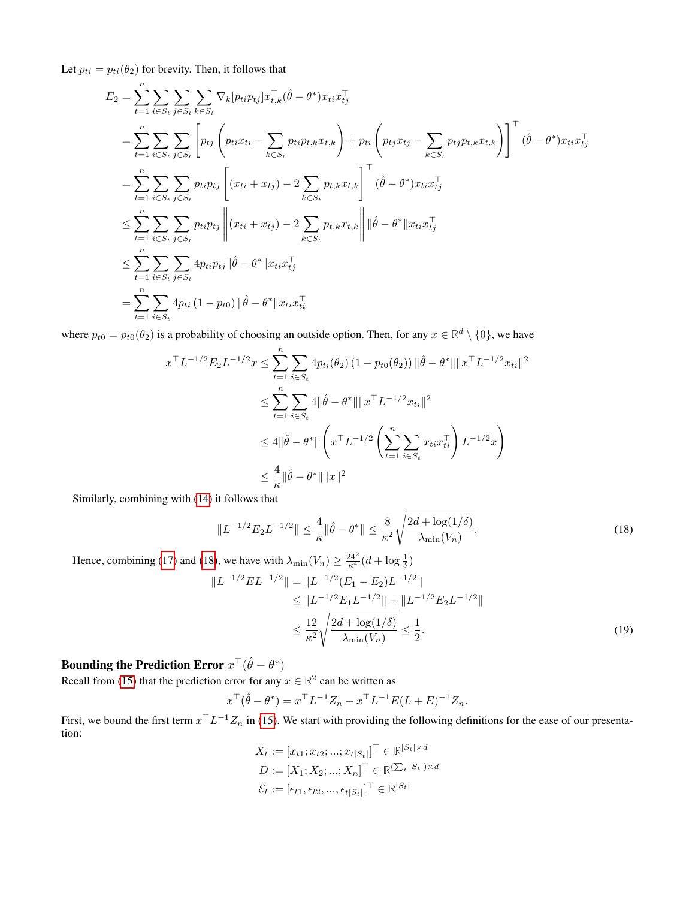Let  $p_{ti} = p_{ti}(\theta_2)$  for brevity. Then, it follows that

 $\boldsymbol{n}$ 

$$
E_2 = \sum_{t=1}^{n} \sum_{i \in S_t} \sum_{j \in S_t} \sum_{k \in S_t} \nabla_k [p_{ti} p_{tj}] x_{t,k}^\top (\hat{\theta} - \theta^*) x_{ti} x_{tj}^\top
$$
  
\n
$$
= \sum_{t=1}^{n} \sum_{i \in S_t} \sum_{j \in S_t} \left[ p_{tj} \left( p_{ti} x_{ti} - \sum_{k \in S_t} p_{ti} p_{t,k} x_{t,k} \right) + p_{ti} \left( p_{tj} x_{tj} - \sum_{k \in S_t} p_{tj} p_{t,k} x_{t,k} \right) \right]^\top (\hat{\theta} - \theta^*) x_{ti} x_{tj}^\top
$$
  
\n
$$
= \sum_{t=1}^{n} \sum_{i \in S_t} \sum_{j \in S_t} p_{ti} p_{tj} \left[ (x_{ti} + x_{tj}) - 2 \sum_{k \in S_t} p_{t,k} x_{t,k} \right]^\top (\hat{\theta} - \theta^*) x_{ti} x_{tj}^\top
$$
  
\n
$$
\leq \sum_{t=1}^{n} \sum_{i \in S_t} \sum_{j \in S_t} p_{ti} p_{tj} \left\| (x_{ti} + x_{tj}) - 2 \sum_{k \in S_t} p_{t,k} x_{t,k} \right\| \|\hat{\theta} - \theta^* \| x_{ti} x_{tj}^\top
$$
  
\n
$$
\leq \sum_{t=1}^{n} \sum_{i \in S_t} \sum_{j \in S_t} 4 p_{ti} p_{tj} \|\hat{\theta} - \theta^* \| x_{ti} x_{tj}^\top
$$
  
\n
$$
= \sum_{t=1}^{n} \sum_{i \in S_t} 4 p_{ti} (1 - p_{t0}) \|\hat{\theta} - \theta^* \| x_{ti} x_{ti}^\top
$$

where  $p_{t0} = p_{t0}(\theta_2)$  is a probability of choosing an outside option. Then, for any  $x \in \mathbb{R}^d \setminus \{0\}$ , we have

$$
x^{\top} L^{-1/2} E_2 L^{-1/2} x \le \sum_{t=1}^n \sum_{i \in S_t} 4p_{ti}(\theta_2) (1 - p_{t0}(\theta_2)) ||\hat{\theta} - \theta^*|| ||x^{\top} L^{-1/2} x_{ti}||^2
$$
  

$$
\le \sum_{t=1}^n \sum_{i \in S_t} 4||\hat{\theta} - \theta^*|| ||x^{\top} L^{-1/2} x_{ti}||^2
$$
  

$$
\le 4||\hat{\theta} - \theta^*|| \left( x^{\top} L^{-1/2} \left( \sum_{t=1}^n \sum_{i \in S_t} x_{ti} x_{ti}^{\top} \right) L^{-1/2} x \right)
$$
  

$$
\le \frac{4}{\kappa} ||\hat{\theta} - \theta^*|| ||x||^2
$$

Similarly, combining with [\(14\)](#page-23-3) it follows that

<span id="page-25-0"></span>
$$
||L^{-1/2}E_2L^{-1/2}|| \le \frac{4}{\kappa} ||\hat{\theta} - \theta^*|| \le \frac{8}{\kappa^2} \sqrt{\frac{2d + \log(1/\delta)}{\lambda_{\min}(V_n)}}.
$$
\n(18)

Hence, combining [\(17\)](#page-24-1) and [\(18\)](#page-25-0), we have with  $\lambda_{\min}(V_n) \ge \frac{24^2}{\kappa^4} (d + \log \frac{1}{\delta})$ 

$$
||L^{-1/2}EL^{-1/2}|| = ||L^{-1/2}(E_1 - E_2)L^{-1/2}||
$$
  
\n
$$
\leq ||L^{-1/2}E_1L^{-1/2}|| + ||L^{-1/2}E_2L^{-1/2}||
$$
  
\n
$$
\leq \frac{12}{\kappa^2} \sqrt{\frac{2d + \log(1/\delta)}{\lambda_{\min}(V_n)}} \leq \frac{1}{2}.
$$
 (19)

# Bounding the Prediction Error  $x^\top(\hat{\theta}-\theta^*)$

Recall from [\(15\)](#page-23-4) that the prediction error for any  $x \in \mathbb{R}^2$  can be written as

$$
x^{\top}(\hat{\theta} - \theta^*) = x^{\top}L^{-1}Z_n - x^{\top}L^{-1}E(L+E)^{-1}Z_n.
$$

First, we bound the first term  $x^{\top}L^{-1}Z_n$  in [\(15\)](#page-23-4). We start with providing the following definitions for the ease of our presentation:

<span id="page-25-1"></span>
$$
X_t := [x_{t1}; x_{t2}; ..., x_{t|S_t|}]^\top \in \mathbb{R}^{|S_t| \times d}
$$
  

$$
D := [X_1; X_2; ..., X_n]^\top \in \mathbb{R}^{\left(\sum_t |S_t|\right) \times d}
$$
  

$$
\mathcal{E}_t := [\epsilon_{t1}, \epsilon_{t2}, ..., \epsilon_{t|S_t|}]^\top \in \mathbb{R}^{|S_t|}
$$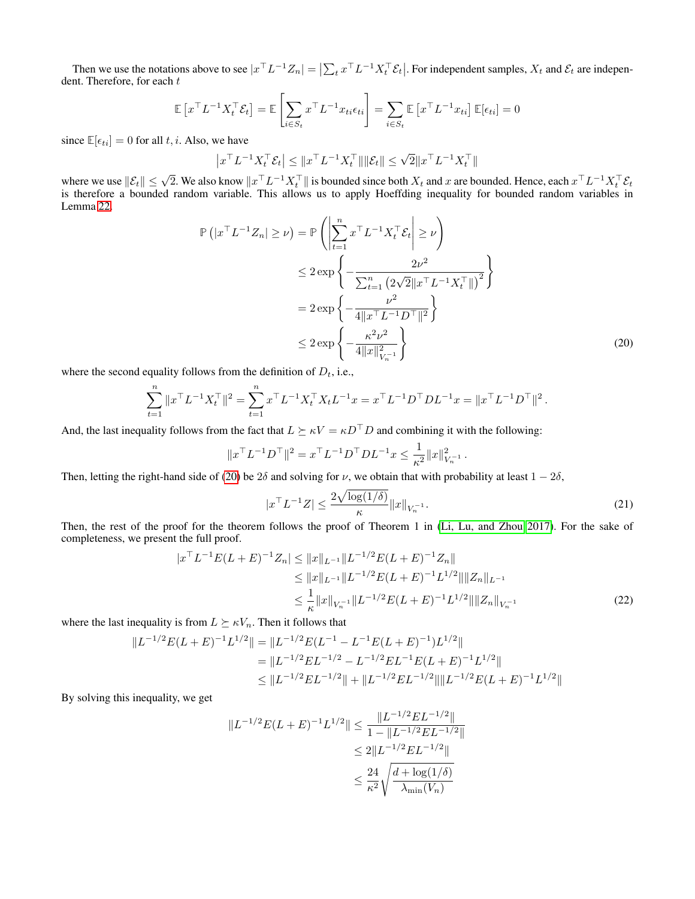Then we use the notations above to see  $|x^\top L^{-1}Z_n| = \left|\sum_t x^\top L^{-1}X_t^\top \mathcal{E}_t\right|$ . For independent samples,  $X_t$  and  $\mathcal{E}_t$  are independent dent. Therefore, for each  $t$ 

$$
\mathbb{E}\left[x^{\top}L^{-1}X_t^{\top}\mathcal{E}_t\right] = \mathbb{E}\left[\sum_{i \in S_t} x^{\top}L^{-1}x_{ti}\epsilon_{ti}\right] = \sum_{i \in S_t} \mathbb{E}\left[x^{\top}L^{-1}x_{ti}\right]\mathbb{E}[\epsilon_{ti}] = 0
$$

since  $\mathbb{E}[\epsilon_{ti}] = 0$  for all t, i. Also, we have

$$
\left| x^\top L^{-1} X_t^\top \mathcal{E}_t \right| \leq \| x^\top L^{-1} X_t^\top \| \| \mathcal{E}_t \| \leq \sqrt{2} \| x^\top L^{-1} X_t^\top \|
$$

where we use  $||\mathcal{E}_t|| \leq \sqrt{2}$ . We also know  $||x^\top L^{-1}X_t^\top||$  is bounded since both  $X_t$  and x are bounded. Hence, each  $x^\top L^{-1}X_t^\top \mathcal{E}_t$ is therefore a bounded random variable. This allows us to apply Hoeffding inequality for bounded random variables in Lemma [22.](#page-38-0)  $\overline{1}$ 

$$
\mathbb{P}\left(|x^{\top}L^{-1}Z_n| \geq \nu\right) = \mathbb{P}\left(\left|\sum_{t=1}^n x^{\top}L^{-1}X_t^{\top}\mathcal{E}_t\right| \geq \nu\right)
$$
  
\n
$$
\leq 2 \exp\left\{-\frac{2\nu^2}{\sum_{t=1}^n \left(2\sqrt{2}\|x^{\top}L^{-1}X_t^{\top}\|\right)^2}\right\}
$$
  
\n
$$
= 2 \exp\left\{-\frac{\nu^2}{4\|x^{\top}L^{-1}D^{\top}\|^2}\right\}
$$
  
\n
$$
\leq 2 \exp\left\{-\frac{\kappa^2\nu^2}{4\|x\|_{V_n^{-1}}^2}\right\}
$$
 (20)

where the second equality follows from the definition of  $D_t$ , i.e.,

$$
\sum_{t=1}^n \|x^\top L^{-1} X_t^\top\|^2 = \sum_{t=1}^n x^\top L^{-1} X_t^\top X_t L^{-1} x = x^\top L^{-1} D^\top D L^{-1} x = \|x^\top L^{-1} D^\top\|^2.
$$

And, the last inequality follows from the fact that  $L \succeq \kappa V = \kappa D^{\top} D$  and combining it with the following:

$$
||x^{\top}L^{-1}D^{\top}||^2 = x^{\top}L^{-1}D^{\top}DL^{-1}x \leq \frac{1}{\kappa^2}||x||^2_{V_n^{-1}}.
$$

Then, letting the right-hand side of [\(20\)](#page-26-0) be 2 $\delta$  and solving for  $\nu$ , we obtain that with probability at least  $1 - 2\delta$ ,

<span id="page-26-2"></span><span id="page-26-1"></span><span id="page-26-0"></span>
$$
|x^{\top}L^{-1}Z| \le \frac{2\sqrt{\log(1/\delta)}}{\kappa} \|x\|_{V_n^{-1}}.
$$
 (21)

Then, the rest of the proof for the theorem follows the proof of Theorem 1 in [\(Li, Lu, and Zhou 2017\)](#page-7-11). For the sake of completeness, we present the full proof.

$$
|x^{\top}L^{-1}E(L+E)^{-1}Z_n| \le ||x||_{L^{-1}}||L^{-1/2}E(L+E)^{-1}Z_n||
$$
  
\n
$$
\le ||x||_{L^{-1}}||L^{-1/2}E(L+E)^{-1}L^{1/2}||||Z_n||_{L^{-1}}
$$
  
\n
$$
\le \frac{1}{\kappa}||x||_{V_n^{-1}}||L^{-1/2}E(L+E)^{-1}L^{1/2}||||Z_n||_{V_n^{-1}}
$$
\n(22)

where the last inequality is from  $L \succeq \kappa V_n$ . Then it follows that

$$
||L^{-1/2}E(L+E)^{-1}L^{1/2}|| = ||L^{-1/2}E(L^{-1} - L^{-1}E(L+E)^{-1})L^{1/2}||
$$
  
= 
$$
||L^{-1/2}EL^{-1/2} - L^{-1/2}EL^{-1}E(L+E)^{-1}L^{1/2}||
$$
  

$$
\leq ||L^{-1/2}EL^{-1/2}|| + ||L^{-1/2}EL^{-1/2}|| ||L^{-1/2}E(L+E)^{-1}L^{1/2}||
$$

By solving this inequality, we get

$$
||L^{-1/2}E(L+E)^{-1}L^{1/2}|| \le \frac{||L^{-1/2}EL^{-1/2}||}{1 - ||L^{-1/2}EL^{-1/2}||}
$$
  

$$
\le 2||L^{-1/2}EL^{-1/2}||
$$
  

$$
\le \frac{24}{\kappa^2} \sqrt{\frac{d + \log(1/\delta)}{\lambda_{\min}(V_n)}}
$$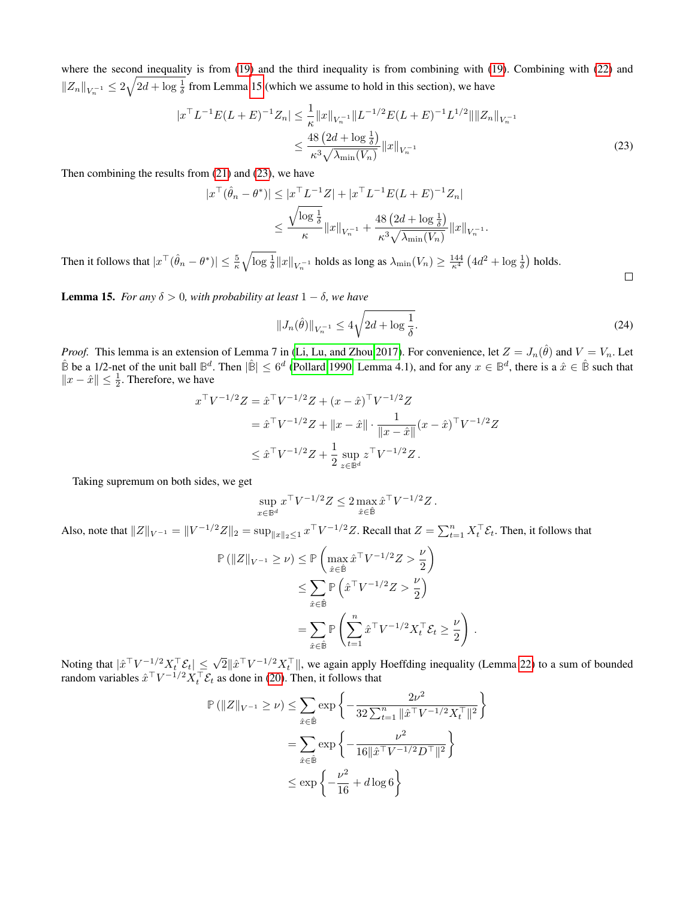where the second inequality is from [\(19\)](#page-25-1) and the third inequality is from combining with (19). Combining with [\(22\)](#page-26-1) and  $||Z_n||_{V_n^{-1}} \leq 2\sqrt{2d + \log \frac{1}{\delta}}$  from Lemma [15](#page-27-0) (which we assume to hold in this section), we have

$$
|x^{\top}L^{-1}E(L+E)^{-1}Z_n| \leq \frac{1}{\kappa} \|x\|_{V_n^{-1}} \|L^{-1/2}E(L+E)^{-1}L^{1/2}\| \|Z_n\|_{V_n^{-1}} \leq \frac{48(2d + \log \frac{1}{\delta})}{\kappa^3 \sqrt{\lambda_{\min}(V_n)}} \|x\|_{V_n^{-1}} \tag{23}
$$

Then combining the results from [\(21\)](#page-26-2) and [\(23\)](#page-27-1), we have

$$
|x^{\top}(\hat{\theta}_n - \theta^*)| \le |x^{\top}L^{-1}Z| + |x^{\top}L^{-1}E(L+E)^{-1}Z_n|
$$
  

$$
\le \frac{\sqrt{\log \frac{1}{\delta}}}{\kappa} \|x\|_{V_n^{-1}} + \frac{48(2d + \log \frac{1}{\delta})}{\kappa^3 \sqrt{\lambda_{\min}(V_n)}} \|x\|_{V_n^{-1}}.
$$

Then it follows that  $|x^{\top}(\hat{\theta}_n - \theta^*)| \leq \frac{5}{\kappa} \sqrt{\log \frac{1}{\delta}} ||x||_{V_n^{-1}}$  holds as long as  $\lambda_{\min}(V_n) \geq \frac{144}{\kappa^4} (4d^2 + \log \frac{1}{\delta})$  holds.

<span id="page-27-0"></span>**Lemma 15.** *For any*  $\delta > 0$ *, with probability at least*  $1 - \delta$ *, we have* 

$$
||J_n(\hat{\theta})||_{V_n^{-1}} \le 4\sqrt{2d + \log \frac{1}{\delta}}.
$$
\n(24)

.

*Proof.* This lemma is an extension of Lemma 7 in [\(Li, Lu, and Zhou 2017\)](#page-7-11). For convenience, let  $Z = J_n(\hat{\theta})$  and  $V = V_n$ . Let  $\hat{\mathbb{B}}$  be a 1/2-net of the unit ball  $\mathbb{B}^d$ . Then  $|\hat{\mathbb{B}}| \leq 6^d$  [\(Pollard 1990,](#page-7-29) Lemma 4.1), and for any  $x \in \mathbb{B}^d$ , there is a  $\hat{x} \in \hat{\mathbb{B}}$  such that  $||x - \hat{x}||$  ≤  $\frac{1}{2}$ . Therefore, we have

$$
x^{\top}V^{-1/2}Z = \hat{x}^{\top}V^{-1/2}Z + (x - \hat{x})^{\top}V^{-1/2}Z
$$
  
=  $\hat{x}^{\top}V^{-1/2}Z + ||x - \hat{x}|| \cdot \frac{1}{||x - \hat{x}||}(x - \hat{x})^{\top}V^{-1/2}Z$   
 $\leq \hat{x}^{\top}V^{-1/2}Z + \frac{1}{2}\sup_{z \in \mathbb{B}^d} z^{\top}V^{-1/2}Z.$ 

Taking supremum on both sides, we get

$$
\sup_{x \in \mathbb{B}^d} x^\top V^{-1/2} Z \leq 2 \max_{\hat{x} \in \hat{\mathbb{B}}} \hat{x}^\top V^{-1/2} Z.
$$

Also, note that  $||Z||_{V^{-1}} = ||V^{-1/2}Z||_2 = \sup_{||x||_2 \leq 1} x^\top V^{-1/2}Z$ . Recall that  $Z = \sum_{t=1}^n X_t^\top \mathcal{E}_t$ . Then, it follows that

$$
\mathbb{P} \left( \|Z\|_{V^{-1}} \ge \nu \right) \le \mathbb{P} \left( \max_{\hat{x} \in \hat{\mathbb{B}}} \hat{x}^{\top} V^{-1/2} Z > \frac{\nu}{2} \right)
$$
  

$$
\le \sum_{\hat{x} \in \hat{\mathbb{B}}} \mathbb{P} \left( \hat{x}^{\top} V^{-1/2} Z > \frac{\nu}{2} \right)
$$
  

$$
= \sum_{\hat{x} \in \hat{\mathbb{B}}} \mathbb{P} \left( \sum_{t=1}^{n} \hat{x}^{\top} V^{-1/2} X_{t}^{\top} \mathcal{E}_{t} \ge \frac{\nu}{2} \right)
$$

Noting that  $|\hat{x}^{\top}V^{-1/2}X_t^{\top}\mathcal{E}_t| \leq \sqrt{2}||\hat{x}^{\top}V^{-1/2}X_t^{\top}||$ , we again apply Hoeffding inequality (Lemma [22\)](#page-38-0) to a sum of bounded random variables  $\hat{x}^\top V^{-1/2} X_t^\top \mathcal{E}_t$  as done in [\(20\)](#page-26-0). Then, it follows that

$$
\mathbb{P} \left( \|Z\|_{V^{-1}} \ge \nu \right) \le \sum_{\hat{x} \in \hat{\mathbb{B}}} \exp \left\{ -\frac{2\nu^2}{32 \sum_{t=1}^n \|\hat{x}^\top V^{-1/2} X_t^\top\|^2} \right\}
$$
  
= 
$$
\sum_{\hat{x} \in \hat{\mathbb{B}}} \exp \left\{ -\frac{\nu^2}{16 \|\hat{x}^\top V^{-1/2} D^\top\|^2} \right\}
$$
  

$$
\le \exp \left\{ -\frac{\nu^2}{16} + d \log 6 \right\}
$$

<span id="page-27-1"></span> $\Box$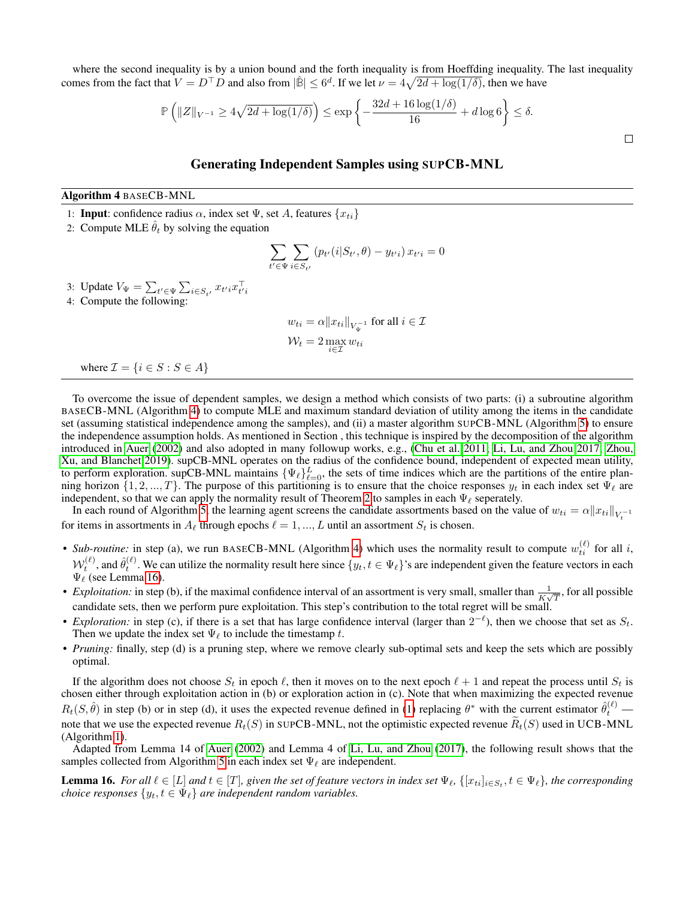where the second inequality is by a union bound and the forth inequality is from Hoeffding inequality. The last inequality comes from the fact that  $V = D^{\top} D$  and also from  $|\hat{\mathbb{B}}| \leq 6^d$ . If we let  $\nu = 4\sqrt{2d + \log(1/\delta)}$ , then we have

$$
\mathbb{P}\left(\|Z\|_{V^{-1}} \ge 4\sqrt{2d + \log(1/\delta)}\right) \le \exp\left\{-\frac{32d + 16\log(1/\delta)}{16} + d\log 6\right\} \le \delta.
$$

 $\Box$ 

# Generating Independent Samples using SUPCB-MNL

Algorithm 4 BASECB-MNL

1: **Input**: confidence radius  $\alpha$ , index set  $\Psi$ , set A, features  $\{x_{ti}\}$ 

2: Compute MLE  $\hat{\theta}_t$  by solving the equation

<span id="page-28-0"></span>
$$
\sum_{t' \in \Psi} \sum_{i \in S_{t'}} (p_{t'}(i|S_{t'}, \theta) - y_{t'i}) x_{t'i} = 0
$$

3: Update  $V_{\Psi} = \sum_{t' \in \Psi} \sum_{i \in S_{t'}} x_{t'i} x_{t'i}^{\top}$ 

4: Compute the following:

$$
w_{ti} = \alpha ||x_{ti}||_{V_{\Psi}^{-1}} \text{ for all } i \in \mathcal{I}
$$
  

$$
\mathcal{W}_t = 2 \max_{i \in \mathcal{I}} w_{ti}
$$

where  $\mathcal{I} = \{i \in S : S \in A\}$ 

To overcome the issue of dependent samples, we design a method which consists of two parts: (i) a subroutine algorithm BASECB-MNL (Algorithm [4\)](#page-28-0) to compute MLE and maximum standard deviation of utility among the items in the candidate set (assuming statistical independence among the samples), and (ii) a master algorithm SUPCB-MNL (Algorithm [5\)](#page-29-0) to ensure the independence assumption holds. As mentioned in Section , this technique is inspired by the decomposition of the algorithm introduced in [Auer](#page-7-7) [\(2002\)](#page-7-7) and also adopted in many followup works, e.g., [\(Chu et al. 2011;](#page-7-10) [Li, Lu, and Zhou 2017;](#page-7-11) [Zhou,](#page-8-7) [Xu, and Blanchet 2019\)](#page-8-7). supCB-MNL operates on the radius of the confidence bound, independent of expected mean utility, to perform exploration. supCB-MNL maintains  $\{\Psi_{\ell}\}_{\ell=0}^L$ , the sets of time indices which are the partitions of the entire planning horizon  $\{1, 2, ..., T\}$ . The purpose of this partitioning is to ensure that the choice responses  $y_t$  in each index set  $\Psi_\ell$  are independent, so that we can apply the normality result of Theorem [2](#page-4-2) to samples in each  $\Psi_\ell$  seperately.

In each round of Algorithm [5,](#page-29-0) the learning agent screens the candidate assortments based on the value of  $w_{ti} = \alpha ||x_{ti}||_{V_t^{-1}}$ for items in assortments in  $A_\ell$  through epochs  $\ell = 1, ..., L$  until an assortment  $S_t$  is chosen.

- Sub-routine: in step (a), we run BASECB-MNL (Algorithm [4\)](#page-28-0) which uses the normality result to compute  $w_{ti}^{(\ell)}$  for all i,  $\mathcal{W}_t^{(\ell)}$ , and  $\hat{\theta}_t^{(\ell)}$ . We can utilize the normality result here since  $\{y_t, t \in \Psi_\ell\}$ 's are independent given the feature vectors in each  $\Psi_{\ell}$  (see Lemma [16\)](#page-28-1).
- *Exploitation:* in step (b), if the maximal confidence interval of an assortment is very small, smaller than  $\frac{1}{K\sqrt{T}}$ , for all possible candidate sets, then we perform pure exploitation. This step's contribution to the total regret will be small.
- *Exploration:* in step (c), if there is a set that has large confidence interval (larger than  $2^{-\ell}$ ), then we choose that set as  $S_t$ . Then we update the index set  $\Psi_{\ell}$  to include the timestamp t.
- *Pruning:* finally, step (d) is a pruning step, where we remove clearly sub-optimal sets and keep the sets which are possibly optimal.

If the algorithm does not choose  $S_t$  in epoch  $\ell$ , then it moves on to the next epoch  $\ell + 1$  and repeat the process until  $S_t$  is chosen either through exploitation action in (b) or exploration action in (c). Note that when maximizing the expected revenue  $R_t(S, \hat{\theta})$  in step (b) or in step (d), it uses the expected revenue defined in [\(1\)](#page-2-1) replacing  $\theta^*$  with the current estimator  $\hat{\theta}_t^{(\ell)}$  note that we use the expected revenue  $R_t(S)$  in SUPCB-MNL, not the optimistic expected revenue  $\widetilde{R}_t(S)$  used in UCB-MNL (Algorithm [1\)](#page-3-0).

Adapted from Lemma 14 of [Auer](#page-7-7) [\(2002\)](#page-7-7) and Lemma 4 of [Li, Lu, and Zhou](#page-7-11) [\(2017\)](#page-7-11), the following result shows that the samples collected from Algorithm [5](#page-29-0) in each index set  $\Psi_\ell$  are independent.

<span id="page-28-1"></span>**Lemma 16.** For all  $\ell \in [L]$  and  $t \in [T]$ , given the set of feature vectors in index set  $\Psi_{\ell}$ ,  $\{[x_{ti}]_{i \in S_t}, t \in \Psi_{\ell}\}$ , the corresponding *choice responses*  $\{y_t, t \in \Psi_\ell\}$  *are independent random variables.*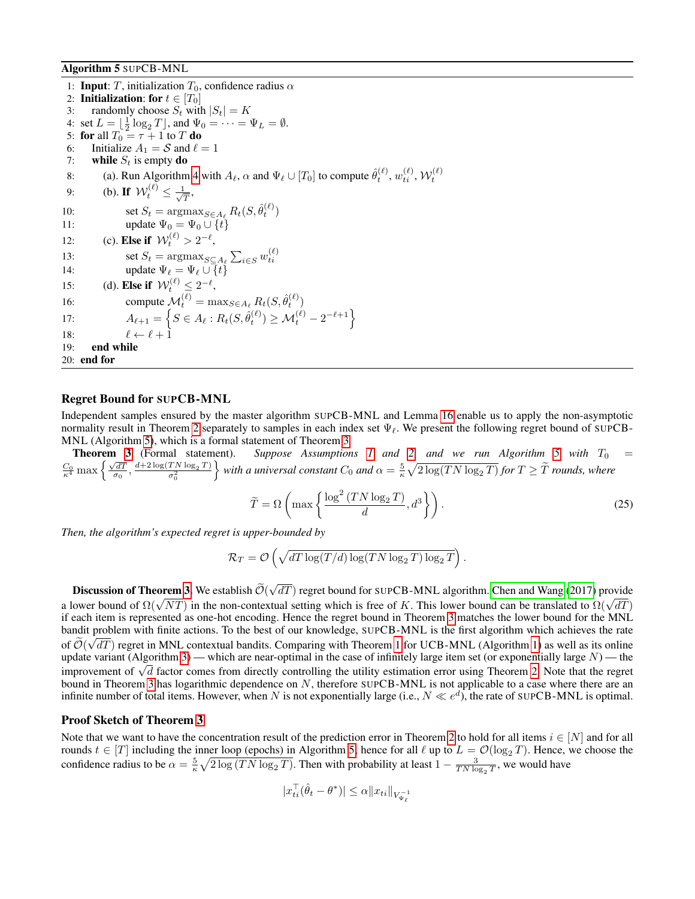Algorithm 5 SUPCB-MNL

1: **Input**: T, initialization  $T_0$ , confidence radius  $\alpha$ 2: **Initialization:** for  $t \in [T_0]$ 3: randomly choose  $S_t$  with  $|S_t| = K$ 4: set  $L = \left[\frac{1}{2}\log_2 T\right]$ , and  $\Psi_0 = \cdots = \Psi_L = \emptyset$ . 5: for all  $T_0 = \tau + 1$  to T do 6: Initialize  $A_1 = S$  and  $\ell = 1$ 7: while  $S_t$  is empty do 8: (a). Run Algorithm [4](#page-28-0) with  $A_\ell$ ,  $\alpha$  and  $\Psi_\ell \cup [T_0]$  to compute  $\hat{\theta}_t^{(\ell)}, w_{ti}^{(\ell)}, \mathcal{W}_t^{(\ell)}$ 9: (b). If  $\mathcal{W}_t^{(\ell)} \leq \frac{1}{\sqrt{\ell}}$  $\frac{1}{T},$ 10: set  $S_t = \operatorname{argmax}_{S \in A_\ell} R_t(S, \hat{\theta}_t^{(\ell)})$ 11: update  $\Psi_0 = \Psi_0 \cup \{t\}$ 12: (c). **Else if**  $W_t^{(\ell)} > 2^{-\ell}$ , 13:  $\text{set } S_t = \text{argmax}_{S \subseteq A_\ell} \sum_{i \in S} w_{ti}^{(\ell)}$ <br>14:  $\text{update } \Psi_\ell = \Psi_\ell \cup \{t\}$ 15: (d). Else if  $\mathcal{W}_t^{(\ell)} \leq 2^{-\ell}$ , 16: compute  $\mathcal{M}_t^{(\ell)} = \max_{S \in A_\ell} R_t(S, \hat{\theta}_t^{(\ell)})$ 17:  $A_{\ell+1} = \left\{ S \in A_{\ell} : R_t(S, \hat{\theta}_{t}^{(\ell)}) \ge M_t^{(\ell)} - 2^{-\ell+1} \right\}$ 18:  $\ell \leftarrow \ell + 1$ 19: end while 20: end for

# <span id="page-29-0"></span>Regret Bound for SUPCB-MNL

Independent samples ensured by the master algorithm SUPCB-MNL and Lemma [16](#page-28-1) enable us to apply the non-asymptotic normality result in Theorem [2](#page-4-2) separately to samples in each index set  $\Psi_\ell$ . We present the following regret bound of SUPCB-MNL (Algorithm [5\)](#page-29-0), which is a formal statement of Theorem [3](#page-4-1)

**Theorem [3](#page-4-1)** (Formal statement). Suppose Assumptions [1](#page-3-2) and [2,](#page-3-3) and we run Algorithm [5](#page-29-0) with  $T_0$  =  $\frac{C_0}{\kappa^4}$  max  $\left\{ \frac{\sqrt{dT}}{\sigma_0}, \frac{d+2\log(TN\log_2 T)}{\sigma_0^2} \right\}$  $\}$  with a universal constant  $C_0$  and  $\alpha = \frac{5}{\kappa} \sqrt{2 \log(T N \log_2 T)}$  for  $T \geq \widetilde{T}$  rounds, where

<span id="page-29-1"></span>
$$
\widetilde{T} = \Omega \left( \max \left\{ \frac{\log^2 \left( TN \log_2 T \right)}{d}, d^3 \right\} \right). \tag{25}
$$

*Then, the algorithm's expected regret is upper-bounded by*

$$
\mathcal{R}_T = \mathcal{O}\left(\sqrt{dT\log(T/d)\log(TN\log_2 T)\log_2 T}\right).
$$

**Discussion of Theorem [3.](#page-4-1)** We establish  $\mathcal{O}(\sqrt{m})$ √  $dT$ ) regret bound for SUPCB-MNL algorithm. [Chen and Wang](#page-7-14) [\(2017\)](#page-7-14) provide **Discussion of Theorem 5.** We establish  $O(\sqrt{aT})$  regret bound for SUPCB-MINL algorithm. Chen and wang (2017) provide a lower bound of  $\Omega(\sqrt{AT})$  in the non-contextual setting which is free of K. This lower bound can be tr if each item is represented as one-hot encoding. Hence the regret bound in Theorem [3](#page-4-1) matches the lower bound for the MNL bandit problem with finite actions. To the best of our knowledge, SUPCB-MNL is the first algorithm which achieves the rate of  $\mathcal{O}(\sqrt{dT})$  regret in MNL contextual bandits. Comparing with Theorem [1](#page-3-1) for UCB-MNL (Algorithm [1\)](#page-3-0) as well as its online update variant (Algorithm [3\)](#page-15-0) — which are near-optimal in the case of infinitely large item set (or exponentially large  $N$ ) — the update variant (Algorium 3) — which are near-optimal in the case of infinitely large fiem set (or exponentially large *N*) — the improvement of  $\sqrt{d}$  factor comes from directly controlling the utility estimation error u bound in Theorem [3](#page-4-1) has logarithmic dependence on N, therefore SUPCB-MNL is not applicable to a case where there are an infinite number of total items. However, when N is not exponentially large (i.e.,  $N \ll e^d$ ), the rate of SUPCB-MNL is optimal.

### Proof Sketch of Theorem [3](#page-4-1)

Note that we want to have the concentration result of the prediction error in Theorem [2](#page-4-2) to hold for all items  $i \in [N]$  and for all rounds  $t \in [T]$  including the inner loop (epochs) in Algorithm [5;](#page-29-0) hence for all  $\ell$  up to  $L = \mathcal{O}(\log_2 T)$ . Hence, we choose the confidence radius to be  $\alpha = \frac{5}{\kappa} \sqrt{2 \log(TN \log_2 T)}$ . Then with probability at least  $1 - \frac{3}{TN \log_2 T}$ , we would have

$$
|x_{ti}^\top (\hat{\theta}_t - \theta^*)| \leq \alpha \|x_{ti}\|_{V_{\Psi_\ell}^{-1}}
$$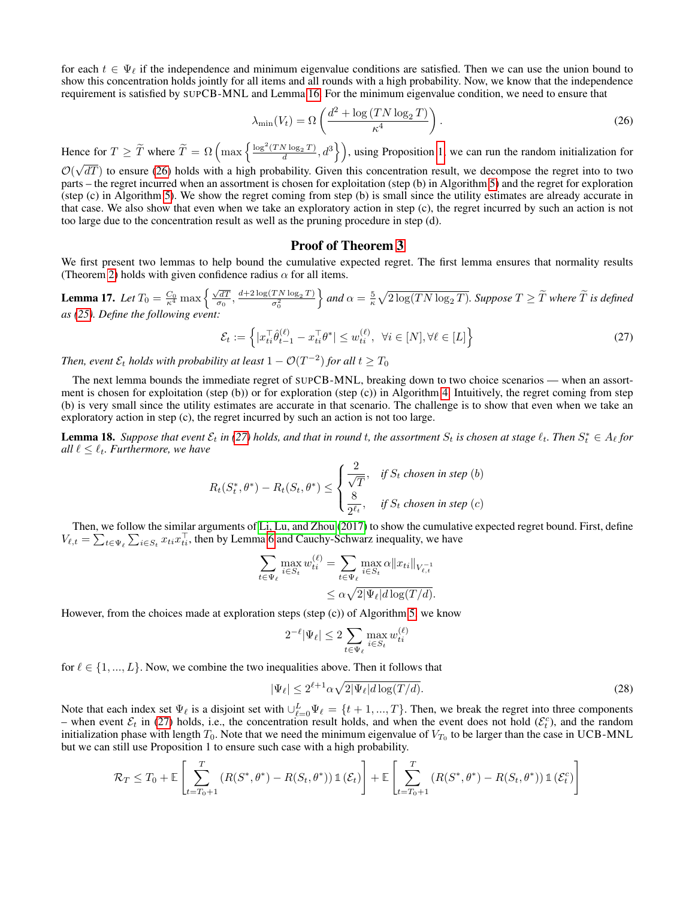for each  $t \in \Psi_{\ell}$  if the independence and minimum eigenvalue conditions are satisfied. Then we can use the union bound to show this concentration holds jointly for all items and all rounds with a high probability. Now, we know that the independence requirement is satisfied by SUPCB-MNL and Lemma [16.](#page-28-1) For the minimum eigenvalue condition, we need to ensure that

<span id="page-30-0"></span>
$$
\lambda_{\min}(V_t) = \Omega\left(\frac{d^2 + \log\left(TN\log_2 T\right)}{\kappa^4}\right). \tag{26}
$$

Hence for  $T \geq \tilde{T}$  where  $\tilde{T} = \Omega \left( \max \left\{ \frac{\log^2(TN \log_2 T)}{d}, d^3 \right\} \right)$ , using Proposition [1,](#page-9-0) we can run the random initialization for

 $\mathcal{O}(\sqrt{dT})$  to ensure [\(26\)](#page-30-0) holds with a high probability. Given this concentration result, we decompose the regret into to two parts – the regret incurred when an assortment is chosen for exploitation (step (b) in Algorithm [5\)](#page-29-0) and the regret for exploration (step (c) in Algorithm [5\)](#page-29-0). We show the regret coming from step (b) is small since the utility estimates are already accurate in that case. We also show that even when we take an exploratory action in step (c), the regret incurred by such an action is not too large due to the concentration result as well as the pruning procedure in step (d).

### Proof of Theorem [3](#page-4-1)

We first present two lemmas to help bound the cumulative expected regret. The first lemma ensures that normality results (Theorem [2\)](#page-4-2) holds with given confidence radius  $\alpha$  for all items.

<span id="page-30-3"></span>**Lemma 17.** *Let*  $T_0 = \frac{C_0}{\kappa^4} \max \left\{ \frac{\sqrt{dT}}{\sigma_0}, \frac{d+2 \log(T N \log_2 T)}{\sigma_0^2} \right\}$  $\Big\}$  and  $\alpha = \frac{5}{\kappa} \sqrt{2 \log(T N \log_2 T)}$ . Suppose  $T \geq \widetilde{T}$  where  $\widetilde{T}$  is defined *as [\(25\)](#page-29-1). Define the following event:*

<span id="page-30-1"></span>
$$
\mathcal{E}_t := \left\{ |x_{ti}^\top \hat{\theta}_{t-1}^{(\ell)} - x_{ti}^\top \theta^*| \le w_{ti}^{(\ell)}, \ \forall i \in [N], \forall \ell \in [L] \right\}
$$
\n(27)

Then, event  $\mathcal{E}_t$  holds with probability at least  $1 - \mathcal{O}(T^{-2})$  for all  $t \geq T_0$ 

The next lemma bounds the immediate regret of SUPCB-MNL, breaking down to two choice scenarios — when an assortment is chosen for exploitation (step (b)) or for exploration (step (c)) in Algorithm [4.](#page-28-0) Intuitively, the regret coming from step (b) is very small since the utility estimates are accurate in that scenario. The challenge is to show that even when we take an exploratory action in step (c), the regret incurred by such an action is not too large.

<span id="page-30-4"></span>**Lemma 18.** Suppose that event  $\mathcal{E}_t$  in [\(27\)](#page-30-1) holds, and that in round t, the assortment  $S_t$  is chosen at stage  $\ell_t$ . Then  $S_t^* \in A_\ell$  for *all*  $\ell \leq \ell_t$ *. Furthermore, we have* 

$$
R_t(S_t^*, \theta^*) - R_t(S_t, \theta^*) \le \begin{cases} \frac{2}{\sqrt{T}}, & \text{if } S_t \text{ chosen in step (b)} \\ \frac{8}{2^{\ell_t}}, & \text{if } S_t \text{ chosen in step (c)} \end{cases}
$$

Then, we follow the similar arguments of [Li, Lu, and Zhou](#page-7-11) [\(2017\)](#page-7-11) to show the cumulative expected regret bound. First, define  $V_{\ell,t} = \sum_{t \in \Psi_{\ell}} \sum_{i \in S_t} x_{ti} x_{ti}^\top$ , then by Lemma [6](#page-10-3) and Cauchy-Schwarz inequality, we have

$$
\sum_{t \in \Psi_{\ell}} \max_{i \in S_t} w_{ti}^{(\ell)} = \sum_{t \in \Psi_{\ell}} \max_{i \in S_t} \alpha ||x_{ti}||_{V_{\ell, t}^{-1}}
$$

$$
\leq \alpha \sqrt{2 |\Psi_{\ell}| d \log(T/d)}.
$$

However, from the choices made at exploration steps (step (c)) of Algorithm [5,](#page-29-0) we know

<span id="page-30-2"></span>
$$
2^{-\ell}|\Psi_{\ell}| \le 2 \sum_{t \in \Psi_{\ell}} \max_{i \in S_t} w_{ti}^{(\ell)}
$$

for  $\ell \in \{1, ..., L\}$ . Now, we combine the two inequalities above. Then it follows that

$$
|\Psi_{\ell}| \le 2^{\ell+1} \alpha \sqrt{2|\Psi_{\ell}| d \log(T/d)}.
$$
\n(28)

Note that each index set  $\Psi_\ell$  is a disjoint set with  $\bigcup_{\ell=0}^L \Psi_\ell = \{t+1, ..., T\}$ . Then, we break the regret into three components – when event  $\mathcal{E}_t$  in [\(27\)](#page-30-1) holds, i.e., the concentration result holds, and when the event does not hold  $(\mathcal{E}_t^c)$ , and the random initialization phase with length  $T_0$ . Note that we need the minimum eigenvalue of  $V_{T_0}$  to be larger than the case in UCB-MNL but we can still use Proposition 1 to ensure such case with a high probability.

$$
\mathcal{R}_T \leq T_0 + \mathbb{E}\left[\sum_{t=T_0+1}^T (R(S^*,\theta^*) - R(S_t,\theta^*)) \mathbb{1}(\mathcal{E}_t)\right] + \mathbb{E}\left[\sum_{t=T_0+1}^T (R(S^*,\theta^*) - R(S_t,\theta^*)) \mathbb{1}(\mathcal{E}_t^c)\right]
$$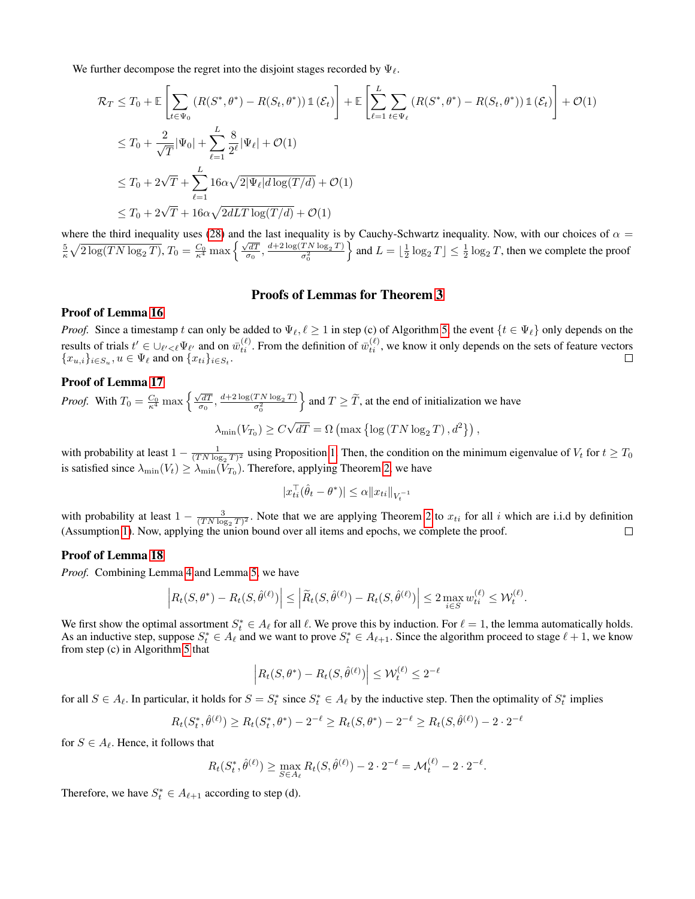We further decompose the regret into the disjoint stages recorded by  $\Psi_{\ell}$ .

$$
\mathcal{R}_T \leq T_0 + \mathbb{E}\left[\sum_{t \in \Psi_0} \left(R(S^*, \theta^*) - R(S_t, \theta^*)\right) \mathbb{1}(\mathcal{E}_t)\right] + \mathbb{E}\left[\sum_{\ell=1}^L \sum_{t \in \Psi_\ell} \left(R(S^*, \theta^*) - R(S_t, \theta^*)\right) \mathbb{1}(\mathcal{E}_t)\right] + \mathcal{O}(1)
$$
\n
$$
\leq T_0 + \frac{2}{\sqrt{T}} |\Psi_0| + \sum_{\ell=1}^L \frac{8}{2^{\ell}} |\Psi_\ell| + \mathcal{O}(1)
$$
\n
$$
\leq T_0 + 2\sqrt{T} + \sum_{\ell=1}^L 16\alpha \sqrt{2|\Psi_\ell|} d\log(T/d) + \mathcal{O}(1)
$$
\n
$$
\leq T_0 + 2\sqrt{T} + 16\alpha \sqrt{2dLT \log(T/d)} + \mathcal{O}(1)
$$

where the third inequality uses [\(28\)](#page-30-2) and the last inequality is by Cauchy-Schwartz inequality. Now, with our choices of  $\alpha$  =  $\frac{5}{\kappa} \sqrt{2 \log(TN \log_2 T)}$ ,  $T_0 = \frac{C_0}{\kappa^4} \max \left\{ \frac{\sqrt{dT}}{\sigma_0}, \frac{d+2 \log(TN \log_2 T)}{\sigma_0^2} \right\}$ and  $L = \lfloor \frac{1}{2} \log_2 T \rfloor \leq \frac{1}{2} \log_2 T$ , then we complete the proof

# Proofs of Lemmas for Theorem [3](#page-4-1)

### Proof of Lemma [16](#page-28-1)

*Proof.* Since a timestamp t can only be added to  $\Psi_\ell, \ell \geq 1$  in step (c) of Algorithm [5,](#page-29-0) the event  $\{t \in \Psi_\ell\}$  only depends on the results of trials  $t' \in \bigcup_{\ell' < \ell} \Psi_{\ell'}$  and on  $\bar{w}_{ti}^{(\ell)}$ . From the definition of  $\bar{w}_{ti}^{(\ell)}$ , we know it only depends on the sets of feature vectors  ${x_{u,i}}_{i \in S_u}, u \in \Psi_\ell$  and on  ${x_{ti}}_{i \in S_t}$ .

### Proof of Lemma [17](#page-30-3)

*Proof.* With  $T_0 = \frac{C_0}{\kappa^4} \max \left\{ \frac{\sqrt{dT}}{\sigma_0}, \frac{d+2 \log(T N \log_2 T)}{\sigma_0^2} \right\}$  $\}$  and  $T \geq \tilde{T}$ , at the end of initialization we have  $\lambda_{\min}(V_{T_0}) \geq C$ √  $\overline{dT} = \Omega \left( \max \left\{ \log \left( TN \log_2 T \right), d^2 \right\} \right),$ 

with probability at least  $1 - \frac{1}{(TN \log_2 T)^2}$  using Proposition [1.](#page-9-0) Then, the condition on the minimum eigenvalue of  $V_t$  for  $t \geq T_0$ is satisfied since  $\lambda_{\min}(V_t) \ge \lambda_{\min}(V_{T_0})$ . Therefore, applying Theorem [2,](#page-4-2) we have

$$
|x_{ti}^\top (\hat{\theta}_t - \theta^*)| \leq \alpha \|x_{ti}\|_{V_t^{-1}}
$$

with probability at least  $1 - \frac{3}{(TN \log_2 T)^2}$ . Note that we are applying Theorem [2](#page-4-2) to  $x_{ti}$  for all i which are i.i.d by definition (Assumption [1\)](#page-3-2). Now, applying the union bound over all items and epochs, we complete the proof.

### Proof of Lemma [18](#page-30-4)

*Proof.* Combining Lemma [4](#page-10-2) and Lemma [5,](#page-10-4) we have

$$
\left| R_t(S, \theta^*) - R_t(S, \hat{\theta}^{(\ell)}) \right| \le \left| \widetilde{R}_t(S, \hat{\theta}^{(\ell)}) - R_t(S, \hat{\theta}^{(\ell)}) \right| \le 2 \max_{i \in S} w_{ti}^{(\ell)} \le \mathcal{W}_t^{(\ell)}.
$$

We first show the optimal assortment  $S_t^* \in A_\ell$  for all  $\ell$ . We prove this by induction. For  $\ell = 1$ , the lemma automatically holds. As an inductive step, suppose  $S_t^* \in A_\ell$  and we want to prove  $S_t^* \in A_{\ell+1}$ . Since the algorithm proceed to stage  $\ell+1$ , we know from step (c) in Algorithm [5](#page-29-0) that

$$
\left| R_t(S, \theta^*) - R_t(S, \hat{\theta}^{(\ell)}) \right| \le \mathcal{W}_t^{(\ell)} \le 2^{-\ell}
$$

for all  $S \in A_\ell$ . In particular, it holds for  $S = S_t^*$  since  $S_t^* \in A_\ell$  by the inductive step. Then the optimality of  $S_t^*$  implies

$$
R_t(S_t^*, \hat{\theta}^{(\ell)}) \ge R_t(S_t^*, \theta^*) - 2^{-\ell} \ge R_t(S, \theta^*) - 2^{-\ell} \ge R_t(S, \hat{\theta}^{(\ell)}) - 2 \cdot 2^{-\ell}
$$

for  $S \in A_{\ell}$ . Hence, it follows that

$$
R_t(S_t^*, \hat{\theta}^{(\ell)}) \ge \max_{S \in A_{\ell}} R_t(S, \hat{\theta}^{(\ell)}) - 2 \cdot 2^{-\ell} = \mathcal{M}_t^{(\ell)} - 2 \cdot 2^{-\ell}.
$$

Therefore, we have  $S_t^* \in A_{\ell+1}$  according to step (d).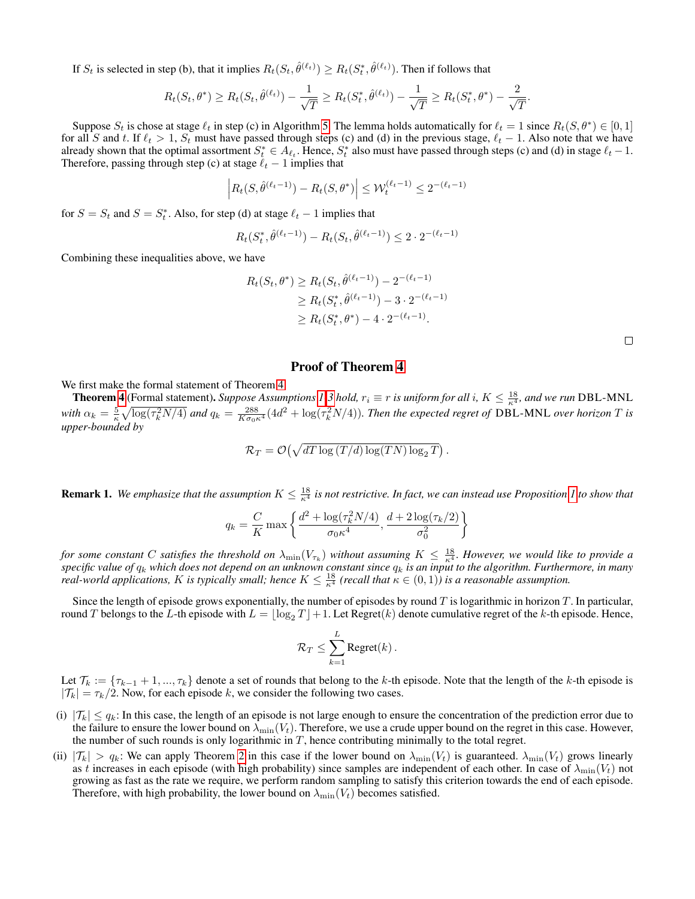If  $S_t$  is selected in step (b), that it implies  $R_t(S_t, \hat{\theta}^{(\ell_t)}) \ge R_t(S_t^*, \hat{\theta}^{(\ell_t)})$ . Then if follows that

$$
R_t(S_t, \theta^*) \ge R_t(S_t, \hat{\theta}^{(\ell_t)}) - \frac{1}{\sqrt{T}} \ge R_t(S_t^*, \hat{\theta}^{(\ell_t)}) - \frac{1}{\sqrt{T}} \ge R_t(S_t^*, \theta^*) - \frac{2}{\sqrt{T}}
$$

Suppose  $S_t$  is chose at stage  $\ell_t$  in step (c) in Algorithm [5.](#page-29-0) The lemma holds automatically for  $\ell_t = 1$  since  $R_t(S, \theta^*) \in [0, 1]$ for all S and t. If  $\ell_t > 1$ ,  $S_t$  must have passed through steps (c) and (d) in the previous stage,  $\ell_t - 1$ . Also note that we have already shown that the optimal assortment  $S_t^* \in A_{\ell_t}$ . Hence,  $S_t^*$  also must have passed through steps (c) and (d) in stage  $\ell_t - 1$ . Therefore, passing through step (c) at stage  $\ell_t - 1$  implies that

$$
\left| R_t(S, \hat{\theta}^{(\ell_t - 1)}) - R_t(S, \theta^*) \right| \le \mathcal{W}_t^{(\ell_t - 1)} \le 2^{-(\ell_t - 1)}
$$

for  $S = S_t$  and  $S = S_t^*$ . Also, for step (d) at stage  $\ell_t - 1$  implies that

$$
R_t(S_t^*, \hat{\theta}^{(\ell_t - 1)}) - R_t(S_t, \hat{\theta}^{(\ell_t - 1)}) \le 2 \cdot 2^{-(\ell_t - 1)}
$$

Combining these inequalities above, we have

$$
R_t(S_t, \theta^*) \ge R_t(S_t, \hat{\theta}^{(\ell_t - 1)}) - 2^{-(\ell_t - 1)}
$$
  
\n
$$
\ge R_t(S_t^*, \hat{\theta}^{(\ell_t - 1)}) - 3 \cdot 2^{-(\ell_t - 1)}
$$
  
\n
$$
\ge R_t(S_t^*, \theta^*) - 4 \cdot 2^{-(\ell_t - 1)}.
$$

.

### Proof of Theorem [4](#page-5-1)

We first make the formal statement of Theorem [4.](#page-5-1)

**Theorem [4](#page-5-1)** (Formal statement). Suppose Assumptions [1-](#page-3-2)[3](#page-5-0) hold,  $r_i \equiv r$  is uniform for all i,  $K \leq \frac{18}{\kappa^4}$ , and we run DBL-MNL with  $\alpha_k = \frac{5}{\kappa} \sqrt{\log(\tau_k^2 N/4)}$  and  $q_k = \frac{288}{K \sigma_0 \kappa^4} (4d^2 + \log(\tau_k^2 N/4))$ . Then the expected regret of DBL-MNL over horizon T is *upper-bounded by*

$$
\mathcal{R}_T = \mathcal{O}\left(\sqrt{dT \log\left(T/d\right) \log(TN) \log_2 T}\right).
$$

**Remark [1](#page-9-0).** We emphasize that the assumption  $K \leq \frac{18}{\kappa^4}$  is not restrictive. In fact, we can instead use Proposition 1 to show that

$$
q_k = \frac{C}{K} \max \left\{ \frac{d^2 + \log(\tau_k^2 N/4)}{\sigma_0 \kappa^4}, \frac{d + 2 \log(\tau_k/2)}{\sigma_0^2} \right\}
$$

*for some constant* C *satisfies the threshold on*  $\lambda_{\min}(V_{\tau_k})$  *without assuming*  $K \leq \frac{18}{\kappa^4}$ *. However, we would like to provide a specific value of* q<sup>k</sup> *which does not depend on an unknown constant since* q<sup>k</sup> *is an input to the algorithm. Furthermore, in many real-world applications, K is typically small; hence*  $K \leq \frac{18}{\kappa^4}$  *(recall that*  $\kappa \in (0,1)$ *) is a reasonable assumption.* 

Since the length of episode grows exponentially, the number of episodes by round  $T$  is logarithmic in horizon  $T$ . In particular, round T belongs to the L-th episode with  $L = \log_2 T_{\text{max}} + 1$ . Let Regret(k) denote cumulative regret of the k-th episode. Hence,

$$
\mathcal{R}_T \leq \sum_{k=1}^L \text{Regret}(k) \,.
$$

Let  $\mathcal{T}_k := \{\tau_{k-1} + 1, ..., \tau_k\}$  denote a set of rounds that belong to the k-th episode. Note that the length of the k-th episode is  $|\mathcal{T}_k| = \tau_k/2$ . Now, for each episode k, we consider the following two cases.

- (i)  $|\mathcal{T}_k| \le q_k$ : In this case, the length of an episode is not large enough to ensure the concentration of the prediction error due to the failure to ensure the lower bound on  $\lambda_{\min}(V_t)$ . Therefore, we use a crude upper bound on the regret in this case. However, the number of such rounds is only logarithmic in  $T$ , hence contributing minimally to the total regret.
- (ii)  $|\mathcal{T}_k| > q_k$ : We can apply Theorem [2](#page-4-2) in this case if the lower bound on  $\lambda_{\min}(V_t)$  is guaranteed.  $\lambda_{\min}(V_t)$  grows linearly as t increases in each episode (with high probability) since samples are independent of each other. In case of  $\lambda_{\min}(V_t)$  not growing as fast as the rate we require, we perform random sampling to satisfy this criterion towards the end of each episode. Therefore, with high probability, the lower bound on  $\lambda_{\min}(V_t)$  becomes satisfied.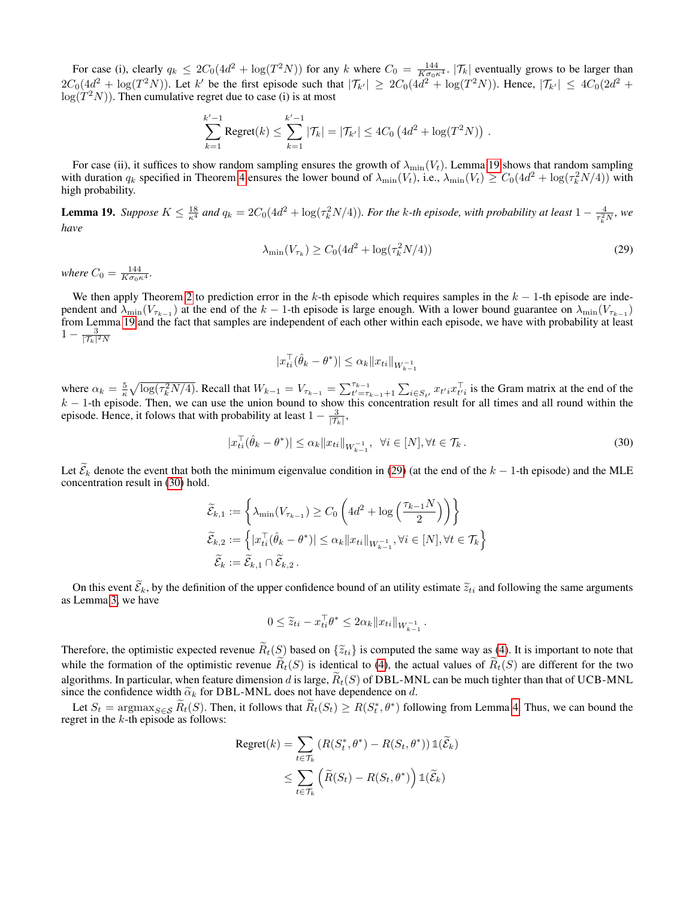For case (i), clearly  $q_k \le 2C_0(4d^2 + \log(T^2N))$  for any k where  $C_0 = \frac{144}{K\sigma_0\kappa^4}$ .  $|\mathcal{T}_k|$  eventually grows to be larger than  $2C_0(4d^2 + \log(T^2N))$ . Let k' be the first episode such that  $|\mathcal{T}_{k'}| \ge 2C_0(4d^2 + \log(T^2N))$ . Hence,  $|\mathcal{T}_{k'}| \le 4C_0(2d^2 +$  $log(T^2N)$ ). Then cumulative regret due to case (i) is at most

$$
\sum_{k=1}^{k'-1} \text{Regret}(k) \leq \sum_{k=1}^{k'-1} |\mathcal{T}_k| = |\mathcal{T}_{k'}| \leq 4C_0 \left( 4d^2 + \log(T^2 N) \right) .
$$

For case (ii), it suffices to show random sampling ensures the growth of  $\lambda_{\min}(V_t)$ . Lemma [19](#page-33-0) shows that random sampling with duration  $q_k$  specified in Theorem [4](#page-5-1) ensures the lower bound of  $\lambda_{\min}(V_t)$ , i.e.,  $\lambda_{\min}(V_t) \ge C_0(4d^2 + \log(\tau_k^2 N/4))$  with high probability.

<span id="page-33-0"></span>**Lemma 19.** Suppose  $K \leq \frac{18}{\kappa^4}$  and  $q_k = 2C_0(4d^2 + \log(\tau_k^2 N/4))$ . For the k-th episode, with probability at least  $1 - \frac{4}{\tau_k^2 N}$ , we *have*

<span id="page-33-1"></span>
$$
\lambda_{\min}(V_{\tau_k}) \ge C_0(4d^2 + \log(\tau_k^2 N/4))
$$
\n(29)

*where*  $C_0 = \frac{144}{K\sigma_0\kappa^4}$ *.* 

We then apply Theorem [2](#page-4-2) to prediction error in the k-th episode which requires samples in the  $k - 1$ -th episode are independent and  $\lambda_{\min}(V_{\tau_{k-1}})$  at the end of the  $k-1$ -th episode is large enough. With a lower bound guarantee on  $\lambda_{\min}(V_{\tau_{k-1}})$ from Lemma [19](#page-33-0) and the fact that samples are independent of each other within each episode, we have with probability at least  $1 - \frac{3}{|\mathcal{T}_k|^2 N}$ 

<span id="page-33-2"></span>
$$
|x_{ti}^{\top}(\hat{\theta}_k - \theta^*)| \leq \alpha_k ||x_{ti}||_{W_{k-1}^{-1}}
$$

where  $\alpha_k = \frac{5}{\kappa} \sqrt{\log(\tau_k^2 N/4)}$ . Recall that  $W_{k-1} = V_{\tau_{k-1}} = \sum_{t'= \tau_{k-1}+1}^{\tau_{k-1}} \sum_{i \in S_{t'}} x_{t'i} x_{t'i}^{\top}$  is the Gram matrix at the end of the  $k - 1$ -th episode. Then, we can use the union bound to show this concentration result for all times and all round within the episode. Hence, it folows that with probability at least  $1 - \frac{3}{|\mathcal{T}_k|}$ ,

$$
|x_{ti}^{\top}(\hat{\theta}_k - \theta^*)| \le \alpha_k \|x_{ti}\|_{W_{k-1}^{-1}}, \ \ \forall i \in [N], \forall t \in \mathcal{T}_k.
$$
\n
$$
(30)
$$

Let  $\mathcal{E}_k$  denote the event that both the minimum eigenvalue condition in [\(29\)](#page-33-1) (at the end of the  $k - 1$ -th episode) and the MLE concentration result in [\(30\)](#page-33-2) hold.

$$
\widetilde{\mathcal{E}}_{k,1} := \left\{ \lambda_{\min}(V_{\tau_{k-1}}) \ge C_0 \left( 4d^2 + \log \left( \frac{\tau_{k-1} N}{2} \right) \right) \right\}
$$
\n
$$
\widetilde{\mathcal{E}}_{k,2} := \left\{ |x_{ti}^\top (\hat{\theta}_k - \theta^*)| \le \alpha_k \|x_{ti}\|_{W_{k-1}^{-1}}, \forall i \in [N], \forall t \in \mathcal{T}_k \right\}
$$
\n
$$
\widetilde{\mathcal{E}}_k := \widetilde{\mathcal{E}}_{k,1} \cap \widetilde{\mathcal{E}}_{k,2} .
$$

On this event  $\tilde{\mathcal{E}}_k$ , by the definition of the upper confidence bound of an utility estimate  $\tilde{z}_{ti}$  and following the same arguments as Lemma [3,](#page-10-5) we have

$$
0 \le \widetilde{z}_{ti} - x_{ti}^\top \theta^* \le 2\alpha_k \|x_{ti}\|_{W_{k-1}^{-1}}.
$$

Therefore, the optimistic expected revenue  $\widetilde{R}_t(S)$  based on  $\{\widetilde{z}_{ti}\}$  is computed the same way as [\(4\)](#page-3-5). It is important to note that while the formation of the optimistic revenue  $R_t(S)$  is identical to [\(4\)](#page-3-5), the actual values of  $R_t(S)$  are different for the two algorithms. In particular, when feature dimension d is large,  $\tilde{R}_t(S)$  of DBL-MNL can be much tighter than that of UCB-MNL since the confidence width  $\tilde{\alpha}_k$  for DBL-MNL does not have dependence on d.

Let  $S_t = \arg \max_{S \in \mathcal{S}} \tilde{R}_t(S)$ . Then, it follows that  $\tilde{R}_t(S_t) \ge R(S_t^*, \theta^*)$  following from Lemma [4.](#page-10-2) Thus, we can bound the regret in the  $k$ -th episode as follows:

$$
Regret(k) = \sum_{t \in \mathcal{T}_k} (R(S_t^*, \theta^*) - R(S_t, \theta^*)) \mathbb{1}(\widetilde{\mathcal{E}}_k)
$$
  

$$
\leq \sum_{t \in \mathcal{T}_k} (\widetilde{R}(S_t) - R(S_t, \theta^*)) \mathbb{1}(\widetilde{\mathcal{E}}_k)
$$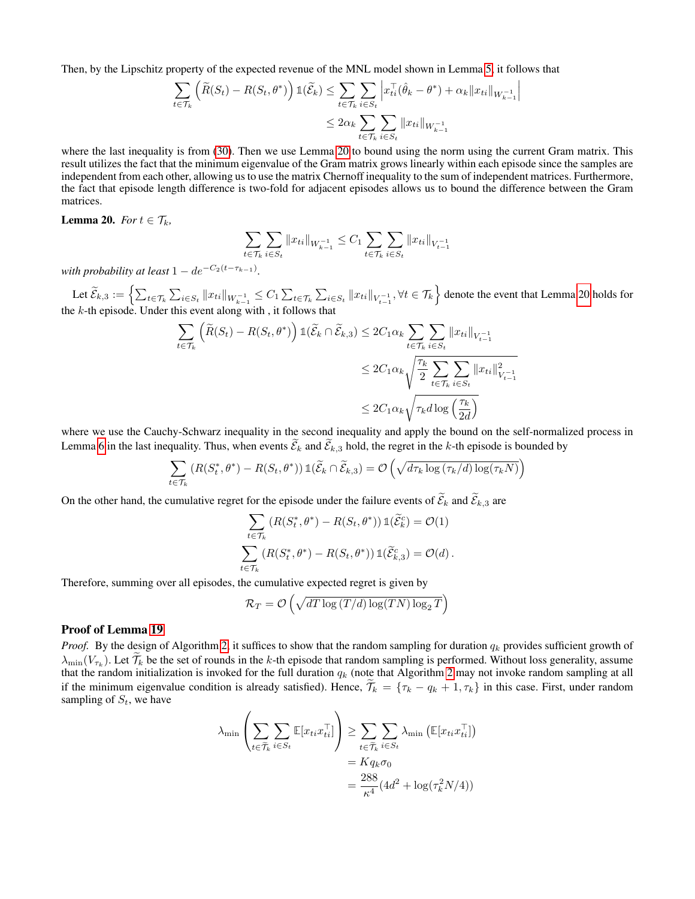Then, by the Lipschitz property of the expected revenue of the MNL model shown in Lemma [5,](#page-10-4) it follows that

$$
\sum_{t \in \mathcal{T}_k} \left( \widetilde{R}(S_t) - R(S_t, \theta^*) \right) \mathbb{1}(\widetilde{\mathcal{E}}_k) \le \sum_{t \in \mathcal{T}_k} \sum_{i \in S_t} \left| x_{ti}^{\top} (\hat{\theta}_k - \theta^*) + \alpha_k \| x_{ti} \|_{W_{k-1}^{-1}} \right|
$$
  

$$
\le 2\alpha_k \sum_{t \in \mathcal{T}_k} \sum_{i \in S_t} \| x_{ti} \|_{W_{k-1}^{-1}}
$$

 $\overline{\phantom{a}}$  $\overline{\phantom{a}}$  $\mid$ 

where the last inequality is from [\(30\)](#page-33-2). Then we use Lemma [20](#page-34-0) to bound using the norm using the current Gram matrix. This result utilizes the fact that the minimum eigenvalue of the Gram matrix grows linearly within each episode since the samples are independent from each other, allowing us to use the matrix Chernoff inequality to the sum of independent matrices. Furthermore, the fact that episode length difference is two-fold for adjacent episodes allows us to bound the difference between the Gram matrices.

<span id="page-34-0"></span>**Lemma 20.** *For*  $t \in \mathcal{T}_k$ *,* 

$$
\sum_{t \in \mathcal{T}_k} \sum_{i \in S_t} ||x_{ti}||_{W_{k-1}^{-1}} \leq C_1 \sum_{t \in \mathcal{T}_k} \sum_{i \in S_t} ||x_{ti}||_{V_{t-1}^{-1}}
$$

*with probability at least*  $1 - de^{-C_2(t - \tau_{k-1})}$ *.* 

Let  $\widetilde{\mathcal{E}}_{k,3} := \left\{ \sum_{t \in \mathcal{T}_k} \sum_{i \in S_t} \|x_{ti}\|_{W^{-1}_{k-1}} \leq C_1 \sum_{t \in \mathcal{T}_k} \sum_{i \in S_t} \|x_{ti}\|_{V^{-1}_{t-1}}, \forall t \in \mathcal{T}_k \right\}$  denote the event that Lemma [20](#page-34-0) holds for the  $k$ -th episode. Under this event along with, it follows that

$$
\sum_{t \in \mathcal{T}_k} \left( \widetilde{R}(S_t) - R(S_t, \theta^*) \right) \mathbb{1}(\widetilde{\mathcal{E}}_k \cap \widetilde{\mathcal{E}}_{k,3}) \le 2C_1 \alpha_k \sum_{t \in \mathcal{T}_k} \sum_{i \in S_t} ||x_{ti}||_{V_{t-1}^{-1}}
$$
  

$$
\le 2C_1 \alpha_k \sqrt{\frac{\tau_k}{2} \sum_{t \in \mathcal{T}_k} \sum_{i \in S_t} ||x_{ti}||_{V_{t-1}^{-1}}^2}
$$
  

$$
\le 2C_1 \alpha_k \sqrt{\tau_k d \log \left( \frac{\tau_k}{2d} \right)}
$$

where we use the Cauchy-Schwarz inequality in the second inequality and apply the bound on the self-normalized process in Lemma [6](#page-10-3) in the last inequality. Thus, when events  $\mathcal{E}_k$  and  $\mathcal{E}_{k,3}$  hold, the regret in the k-th episode is bounded by

$$
\sum_{t \in \mathcal{T}_k} \left( R(S_t^*, \theta^*) - R(S_t, \theta^*) \right) \mathbb{1}(\widetilde{\mathcal{E}}_k \cap \widetilde{\mathcal{E}}_{k,3}) = \mathcal{O}\left(\sqrt{d\tau_k \log \left(\tau_k/d\right) \log(\tau_k N)}\right)
$$

On the other hand, the cumulative regret for the episode under the failure events of  $\tilde{\mathcal{E}}_k$  and  $\tilde{\mathcal{E}}_{k,3}$  are

$$
\sum_{t \in \mathcal{T}_k} (R(S_t^*, \theta^*) - R(S_t, \theta^*)) \mathbb{1}(\widetilde{\mathcal{E}}_k^c) = \mathcal{O}(1)
$$
  

$$
\sum_{t \in \mathcal{T}_k} (R(S_t^*, \theta^*) - R(S_t, \theta^*)) \mathbb{1}(\widetilde{\mathcal{E}}_{k,3}^c) = \mathcal{O}(d).
$$

Therefore, summing over all episodes, the cumulative expected regret is given by

$$
\mathcal{R}_T = \mathcal{O}\left(\sqrt{dT \log\left(T/d\right) \log\left(TN\right) \log_2 T}\right)
$$

# Proof of Lemma [19](#page-33-0)

*Proof.* By the design of Algorithm [2,](#page-4-0) it suffices to show that the random sampling for duration  $q_k$  provides sufficient growth of  $\lambda_{\min}(V_{\tau_k})$ . Let  $\mathcal{T}_k$  be the set of rounds in the k-th episode that random sampling is performed. Without loss generality, assume that the random initialization is invoked for the full duration  $q_k$  (note that Algorithm [2](#page-4-0) may not invoke random sampling at all if the minimum eigenvalue condition is already satisfied). Hence,  $\tilde{\mathcal{T}}_k = {\tau_k - q_k + 1, \tau_k}$  in this case. First, under random sampling of  $S_t$ , we have

$$
\lambda_{\min} \left( \sum_{t \in \widetilde{\mathcal{T}}_k} \sum_{i \in S_t} \mathbb{E} [x_{ti} x_{ti}^\top] \right) \ge \sum_{t \in \widetilde{\mathcal{T}}_k} \sum_{i \in S_t} \lambda_{\min} \left( \mathbb{E} [x_{ti} x_{ti}^\top] \right)
$$

$$
= K q_k \sigma_0
$$

$$
= \frac{288}{\kappa^4} (4d^2 + \log(\tau_k^2 N/4))
$$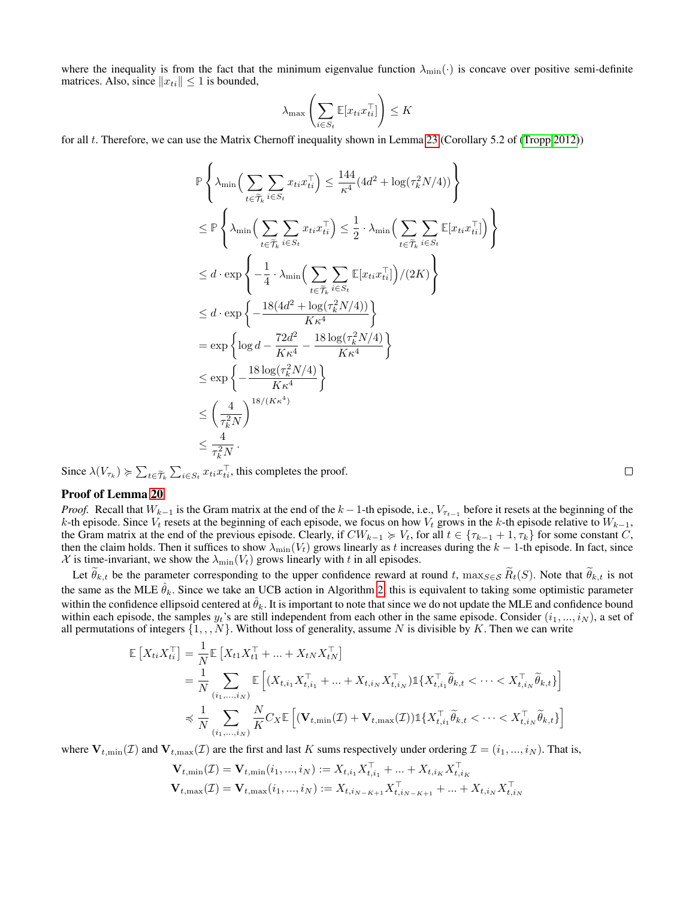where the inequality is from the fact that the minimum eigenvalue function  $\lambda_{\min}(\cdot)$  is concave over positive semi-definite matrices. Also, since  $||x_{ti}|| \le 1$  is bounded,

$$
\lambda_{\max}\left(\sum_{i \in S_t} \mathbb{E}[x_{ti}x_{ti}^\top]\right) \le K
$$

for all t. Therefore, we can use the Matrix Chernoff inequality shown in Lemma [23](#page-38-1) (Corollary 5.2 of [\(Tropp 2012\)](#page-8-9))

$$
\mathbb{P}\left\{\lambda_{\min}\Big(\sum_{t\in\widetilde{\mathcal{T}}_k} \sum_{i\in S_t} x_{ti}x_{ti}^\top\Big) \leq \frac{144}{\kappa^4} (4d^2 + \log(\tau_k^2 N/4))\right\}
$$
\n
$$
\leq \mathbb{P}\left\{\lambda_{\min}\Big(\sum_{t\in\widetilde{\mathcal{T}}_k} \sum_{i\in S_t} x_{ti}x_{ti}^\top\Big) \leq \frac{1}{2} \cdot \lambda_{\min}\Big(\sum_{t\in\widetilde{\mathcal{T}}_k} \sum_{i\in S_t} \mathbb{E}[x_{ti}x_{ti}^\top]\Big)\Big\}
$$
\n
$$
\leq d \cdot \exp\left\{-\frac{1}{4} \cdot \lambda_{\min}\Big(\sum_{t\in\widetilde{\mathcal{T}}_k} \sum_{i\in S_t} \mathbb{E}[x_{ti}x_{ti}^\top]\Big)/(2K)\right\}
$$
\n
$$
\leq d \cdot \exp\left\{-\frac{18(4d^2 + \log(\tau_k^2 N/4))}{K\kappa^4}\right\}
$$
\n
$$
= \exp\left\{\log d - \frac{72d^2}{K\kappa^4} - \frac{18\log(\tau_k^2 N/4)}{K\kappa^4}\right\}
$$
\n
$$
\leq \exp\left\{-\frac{18\log(\tau_k^2 N/4)}{K\kappa^4}\right\}
$$
\n
$$
\leq \left(\frac{4}{\tau_k^2 N}\right)^{18/(K\kappa^4)}
$$
\n
$$
\leq \frac{4}{\tau_k^2 N}.
$$

Since  $\lambda(V_{\tau_k}) \geq \sum_{t \in \tilde{\mathcal{T}}_k} \sum_{i \in S_t} x_{ti} x_{ti}^{\top}$ , this completes the proof.

# Proof of Lemma [20](#page-34-0)

*Proof.* Recall that  $W_{k-1}$  is the Gram matrix at the end of the  $k-1$ -th episode, i.e.,  $V_{\tau_{t-1}}$  before it resets at the beginning of the k-th episode. Since  $V_t$  resets at the beginning of each episode, we focus on how  $V_t$  grows in the k-th episode relative to  $W_{k-1}$ , the Gram matrix at the end of the previous episode. Clearly, if  $CW_{k-1} \succcurlyeq V_t$ , for all  $t \in \{\tau_{k-1} + 1, \tau_k\}$  for some constant C, then the claim holds. Then it suffices to show  $\lambda_{\min}(V_t)$  grows linearly as t increases during the  $k-1$ -th episode. In fact, since  $X$  is time-invariant, we show the  $\lambda_{\min}(V_t)$  grows linearly with t in all episodes.

Let  $\theta_{k,t}$  be the parameter corresponding to the upper confidence reward at round t,  $\max_{S \in S} \widetilde{R}_t(S)$ . Note that  $\widetilde{\theta}_{k,t}$  is not the same as the MLE  $\hat{\theta}_k$ . Since we take an UCB action in Algorithm [2,](#page-4-0) this is equivalent to taking some optimistic parameter within the confidence ellipsoid centered at  $\hat{\theta}_k$ . It is important to note that since we do not update the MLE and confidence bound within each episode, the samples  $y_t$ 's are still independent from each other in the same episode. Consider  $(i_1, ..., i_N)$ , a set of all permutations of integers  $\{1, \ldots, N\}$ . Without loss of generality, assume N is divisible by K. Then we can write

$$
\mathbb{E}\left[X_{ti}X_{ti}^{\top}\right] = \frac{1}{N}\mathbb{E}\left[X_{t1}X_{t1}^{\top} + \dots + X_{tN}X_{tN}^{\top}\right]
$$
\n
$$
= \frac{1}{N}\sum_{(i_1,\dots,i_N)}\mathbb{E}\left[(X_{t,i_1}X_{t,i_1}^{\top} + \dots + X_{t,i_N}X_{t,i_N}^{\top})\mathbb{1}\{X_{t,i_1}^{\top}\tilde{\theta}_{k,t} < \dots < X_{t,i_N}^{\top}\tilde{\theta}_{k,t}\}\right]
$$
\n
$$
\preccurlyeq \frac{1}{N}\sum_{(i_1,\dots,i_N)}\frac{N}{K}C_X\mathbb{E}\left[(\mathbf{V}_{t,\min}(\mathcal{I}) + \mathbf{V}_{t,\max}(\mathcal{I}))\mathbb{1}\{X_{t,i_1}^{\top}\tilde{\theta}_{k,t} < \dots < X_{t,i_N}^{\top}\tilde{\theta}_{k,t}\}\right]
$$

where  $V_{t,\min}(\mathcal{I})$  and  $V_{t,\max}(\mathcal{I})$  are the first and last K sums respectively under ordering  $\mathcal{I} = (i_1, ..., i_N)$ . That is,

$$
\begin{aligned} \mathbf{V}_{t,\min}(\mathcal{I}) &= \mathbf{V}_{t,\min}(i_1,...,i_N) := X_{t,i_1} X_{t,i_1}^\top + ... + X_{t,i_K} X_{t,i_K}^\top \\ \mathbf{V}_{t,\max}(\mathcal{I}) &= \mathbf{V}_{t,\max}(i_1,...,i_N) := X_{t,i_N - \kappa + 1} X_{t,i_N - \kappa + 1}^\top + ... + X_{t,i_N} X_{t,i_N}^\top \end{aligned}
$$

 $\Box$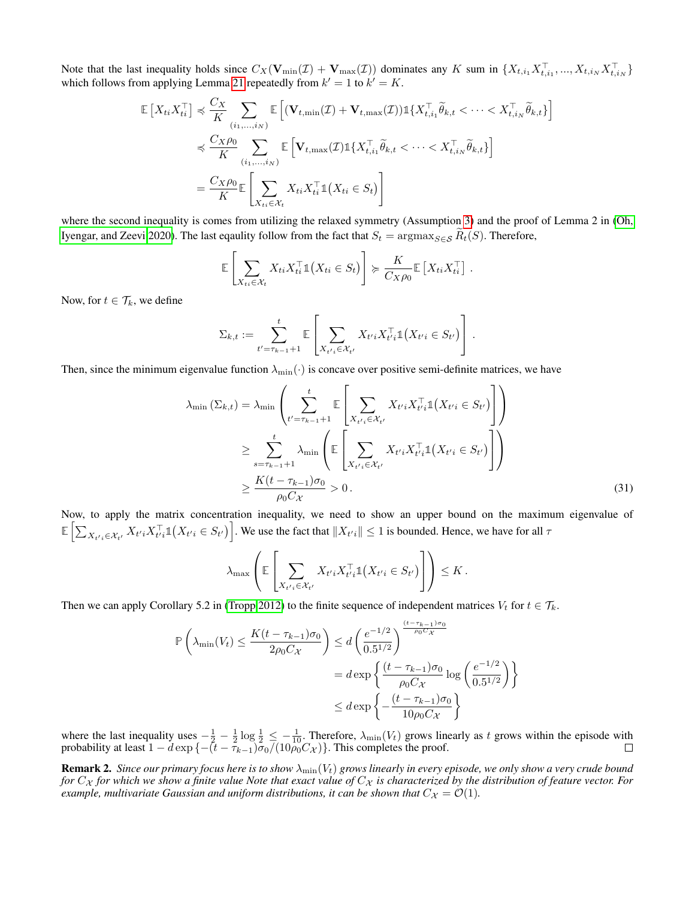Note that the last inequality holds since  $C_X(\mathbf{V}_{min}(\mathcal{I}) + \mathbf{V}_{max}(\mathcal{I}))$  dominates any K sum in  $\{X_{t,i_1}X_{t,i_1}^{\top},...,X_{t,i_N}X_{t,i_N}^{\top}\}$ which follows from applying Lemma [21](#page-37-0) repeatedly from  $k' = 1$  to  $k' = K$ .

$$
\mathbb{E}\left[X_{ti}X_{ti}^{\top}\right] \preccurlyeq \frac{C_X}{K} \sum_{(i_1,\ldots,i_N)} \mathbb{E}\left[(\mathbf{V}_{t,\min}(\mathcal{I}) + \mathbf{V}_{t,\max}(\mathcal{I}))\mathbb{1}\{X_{t,i_1}^{\top}\tilde{\theta}_{k,t} < \cdots < X_{t,i_N}^{\top}\tilde{\theta}_{k,t}\} \preccurlyeq \frac{C_X\rho_0}{K} \sum_{(i_1,\ldots,i_N)} \mathbb{E}\left[\mathbf{V}_{t,\max}(\mathcal{I})\mathbb{1}\{X_{t,i_1}^{\top}\tilde{\theta}_{k,t} < \cdots < X_{t,i_N}^{\top}\tilde{\theta}_{k,t}\}\right] \preccurlyeq \frac{C_X\rho_0}{K} \mathbb{E}\left[\sum_{X_{ti}\in\mathcal{X}_t} X_{ti}X_{ti}^{\top}\mathbb{1}\{X_{ti}\in S_t\}\right]
$$

where the second inequality is comes from utilizing the relaxed symmetry (Assumption [3\)](#page-5-0) and the proof of Lemma 2 in [\(Oh,](#page-7-25) [Iyengar, and Zeevi 2020\)](#page-7-25). The last eqaulity follow from the fact that  $S_t = \argmax_{S \in S} R_t(S)$ . Therefore,

$$
\mathbb{E}\left[\sum_{X_{ti}\in\mathcal{X}_t}X_{ti}X_{ti}^{\top}\mathbb{1}\left(X_{ti}\in S_t\right)\right]\succcurlyeq\frac{K}{C_X\rho_0}\mathbb{E}\left[X_{ti}X_{ti}^{\top}\right].
$$

Now, for  $t \in \mathcal{T}_k$ , we define

$$
\Sigma_{k,t} := \sum_{t' = \tau_{k-1}+1}^t \mathbb{E}\left[\sum_{X_{t'i} \in \mathcal{X}_{t'}} X_{t'i} X_{t'i}^\top \mathbb{1}(X_{t'i} \in S_{t'})\right].
$$

Then, since the minimum eigenvalue function  $\lambda_{\min}(\cdot)$  is concave over positive semi-definite matrices, we have

$$
\lambda_{\min}(\Sigma_{k,t}) = \lambda_{\min} \left( \sum_{t'= \tau_{k-1}+1}^{t} \mathbb{E} \left[ \sum_{X_{t'i} \in \mathcal{X}_{t'}} X_{t'i} X_{t'i}^{\top} \mathbb{1}(X_{t'i} \in S_{t'}) \right] \right)
$$
\n
$$
\geq \sum_{s=\tau_{k-1}+1}^{t} \lambda_{\min} \left( \mathbb{E} \left[ \sum_{X_{t'i} \in \mathcal{X}_{t'}} X_{t'i} X_{t'i}^{\top} \mathbb{1}(X_{t'i} \in S_{t'}) \right] \right)
$$
\n
$$
\geq \frac{K(t-\tau_{k-1})\sigma_0}{\rho_0 C_X} > 0. \tag{31}
$$

i

Now, to apply the matrix concentration inequality, we need to show an upper bound on the maximum eigenvalue of  $\mathbb{E}\left[\sum_{X_{t'i}\in\mathcal{X}_{t'}} X_{t'i} X_{t'i}^\top \mathbb{1}\left(X_{t'i}\in S_{t'}\right)\right]$ . We use the fact that  $\|X_{t'i}\| \leq 1$  is bounded. Hence, we have for all  $\tau$ 

$$
\lambda_{\max}\left(\mathbb{E}\left[\sum_{X_{t'i}\in\mathcal{X}_{t'}}X_{t'i}X_{t'i}^\top \mathbb{1}\big(X_{t'i}\in S_{t'}\big)\right]\right)\leq K.
$$

Then we can apply Corollary 5.2 in [\(Tropp 2012\)](#page-8-9) to the finite sequence of independent matrices  $V_t$  for  $t \in \mathcal{T}_k$ .

$$
\mathbb{P}\left(\lambda_{\min}(V_t) \le \frac{K(t-\tau_{k-1})\sigma_0}{2\rho_0 C_X}\right) \le d\left(\frac{e^{-1/2}}{0.5^{1/2}}\right)^{\frac{(t-\tau_{k-1})\sigma_0}{\rho_0 C_X}} \\
= d \exp\left\{\frac{(t-\tau_{k-1})\sigma_0}{\rho_0 C_X}\log\left(\frac{e^{-1/2}}{0.5^{1/2}}\right)\right\} \\
\le d \exp\left\{-\frac{(t-\tau_{k-1})\sigma_0}{10\rho_0 C_X}\right\}
$$

where the last inequality uses  $-\frac{1}{2} - \frac{1}{2} \log \frac{1}{2} \leq -\frac{1}{10}$ . Therefore,  $\lambda_{\min}(V_t)$  grows linearly as t grows within the episode with probability at least  $1 - d \exp \{-(t - \bar{\tau}_{k-1})\bar{\sigma}_0/(10\bar{\rho_0}C_{\mathcal{X}})\}\.$  This completes the proof.

**Remark 2.** Since our primary focus here is to show  $\lambda_{\min}(V_t)$  grows linearly in every episode, we only show a very crude bound *for*  $C_x$  *for which we show a finite value Note that exact value of*  $C_x$  *is characterized by the distribution of feature vector. For example, multivariate Gaussian and uniform distributions, it can be shown that*  $C_{\mathcal{X}} = \mathcal{O}(1)$ *.*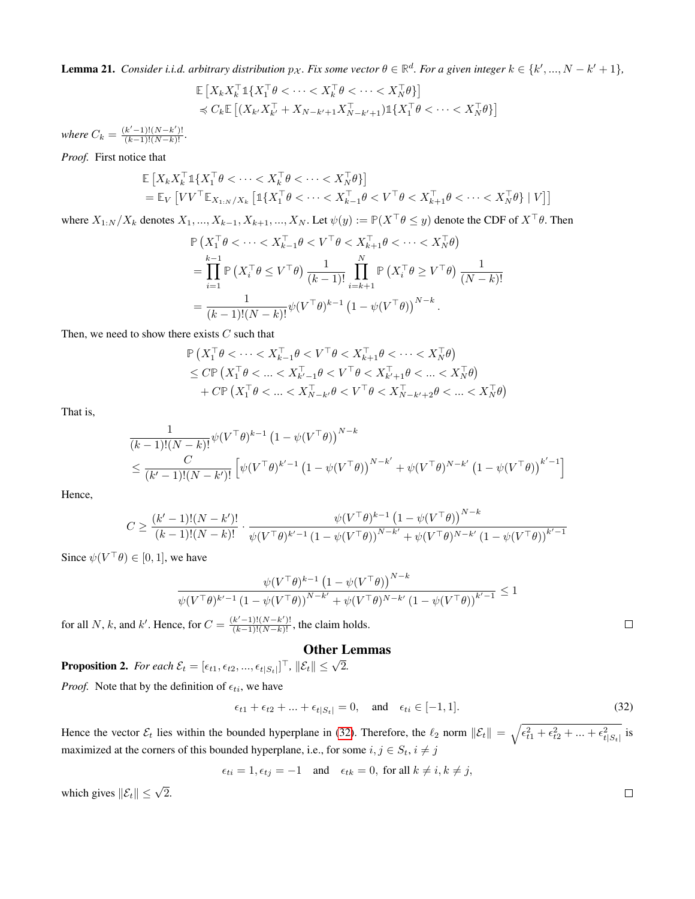<span id="page-37-0"></span>**Lemma 21.** Consider i.i.d. arbitrary distribution  $p_{\mathcal{X}}$ . Fix some vector  $\theta \in \mathbb{R}^d$ . For a given integer  $k \in \{k',...,N-k'+1\}$ ,

$$
\mathbb{E}\left[X_k X_k^\top \mathbb{1}\{X_1^\top \theta < \cdots < X_k^\top \theta < \cdots < X_N^\top \theta\}\right] \\
\preccurlyeq C_k \mathbb{E}\left[(X_{k'} X_{k'}^\top + X_{N-k'+1} X_{N-k'+1}^\top)\mathbb{1}\{X_1^\top \theta < \cdots < X_N^\top \theta\}\right]
$$

*where*  $C_k = \frac{(k'-1)!(N-k')!}{(k-1)!(N-k)!}$ .

*Proof.* First notice that

$$
\mathbb{E}\left[X_k X_k^\top \mathbb{1}\{X_1^\top \theta < \cdots < X_k^\top \theta < \cdots < X_N^\top \theta\}\right] \\
= \mathbb{E}_V\left[V V^\top \mathbb{E}_{X_{1:N}/X_k} \left[\mathbb{1}\{X_1^\top \theta < \cdots < X_{k-1}^\top \theta < V^\top \theta < X_{k+1}^\top \theta < \cdots < X_N^\top \theta\} \mid V\right]\right]
$$

where  $X_{1:N}/X_k$  denotes  $X_1, ..., X_{k-1}, X_{k+1}, ..., X_N$ . Let  $\psi(y) := \mathbb{P}(X^\top \theta \leq y)$  denote the CDF of  $X^\top \theta$ . Then

$$
\mathbb{P}\left(X_1^\top \theta < \cdots < X_{k-1}^\top \theta < V^\top \theta < X_{k+1}^\top \theta < \cdots < X_N^\top \theta\right) \\
= \prod_{i=1}^{k-1} \mathbb{P}\left(X_i^\top \theta \leq V^\top \theta\right) \frac{1}{(k-1)!} \prod_{i=k+1}^N \mathbb{P}\left(X_i^\top \theta \geq V^\top \theta\right) \frac{1}{(N-k)!} \\
= \frac{1}{(k-1)!(N-k)!} \psi(V^\top \theta)^{k-1} \left(1 - \psi(V^\top \theta)\right)^{N-k}.
$$

Then, we need to show there exists  $C$  such that

$$
\mathbb{P}\left(X_1^\top \theta < \cdots < X_{k-1}^\top \theta < V^\top \theta < X_{k+1}^\top \theta < \cdots < X_N^\top \theta\right) \\
\leq C \mathbb{P}\left(X_1^\top \theta < \cdots < X_{k'-1}^\top \theta < V^\top \theta < X_{k'+1}^\top \theta < \cdots < X_N^\top \theta\right) \\
+ C \mathbb{P}\left(X_1^\top \theta < \cdots < X_{N-k'}^\top \theta < V^\top \theta < X_{N-k'+2}^\top \theta < \cdots < X_N^\top \theta\right)
$$

That is,

$$
\frac{1}{(k-1)!(N-k)!} \psi(V^{\top}\theta)^{k-1} (1 - \psi(V^{\top}\theta))^{N-k}
$$
\n
$$
\leq \frac{C}{(k'-1)!(N-k')!} \left[ \psi(V^{\top}\theta)^{k'-1} (1 - \psi(V^{\top}\theta))^{N-k'} + \psi(V^{\top}\theta)^{N-k'} (1 - \psi(V^{\top}\theta))^{k'-1} \right]
$$

Hence,

$$
C \ge \frac{(k'-1)!(N-k')!}{(k-1)!(N-k)!} \cdot \frac{\psi(V^\top \theta)^{k-1} (1 - \psi(V^\top \theta))^{N-k}}{\psi(V^\top \theta)^{k'-1} (1 - \psi(V^\top \theta))^{N-k'} + \psi(V^\top \theta)^{N-k'} (1 - \psi(V^\top \theta))^{k'-1}}
$$

Since  $\psi(V^{\top}\theta) \in [0, 1]$ , we have

$$
\frac{\psi(V^{\top}\theta)^{k-1} (1 - \psi(V^{\top}\theta))^{N-k}}{\psi(V^{\top}\theta)^{k'-1} (1 - \psi(V^{\top}\theta))^{N-k'} + \psi(V^{\top}\theta)^{N-k'} (1 - \psi(V^{\top}\theta))^{k'-1}} \le 1
$$

for all N, k, and k'. Hence, for  $C = \frac{(k'-1)!(N-k')!}{(k-1)!(N-k)!}$ , the claim holds.

# Other Lemmas

**Proposition 2.** For each  $\mathcal{E}_t = [\epsilon_{t1}, \epsilon_{t2}, ..., \epsilon_{t|S_t]}]^\top$ ,  $\|\mathcal{E}_t\| \leq \sqrt{2}$ . *Proof.* Note that by the definition of  $\epsilon_{ti}$ , we have

$$
\epsilon_{t1} + \epsilon_{t2} + \ldots + \epsilon_{t|S_t|} = 0, \quad \text{and} \quad \epsilon_{ti} \in [-1, 1]. \tag{32}
$$

Hence the vector  $\mathcal{E}_t$  lies within the bounded hyperplane in [\(32\)](#page-37-1). Therefore, the  $\ell_2$  norm  $\|\mathcal{E}_t\| = \sqrt{\epsilon_{t1}^2 + \epsilon_{t2}^2 + ... + \epsilon_{t|S_t|}^2}$  is maximized at the corners of this bounded hyperplane, i.e., for some  $i, j \in S_t$ ,  $i \neq j$ 

 $\epsilon_{ti} = 1, \epsilon_{tj} = -1$  and  $\epsilon_{tk} = 0$ , for all  $k \neq i, k \neq j$ ,

which gives  $\|\mathcal{E}_t\| \leq \sqrt{2}$ .

<span id="page-37-1"></span> $\hfill \square$ 

 $\Box$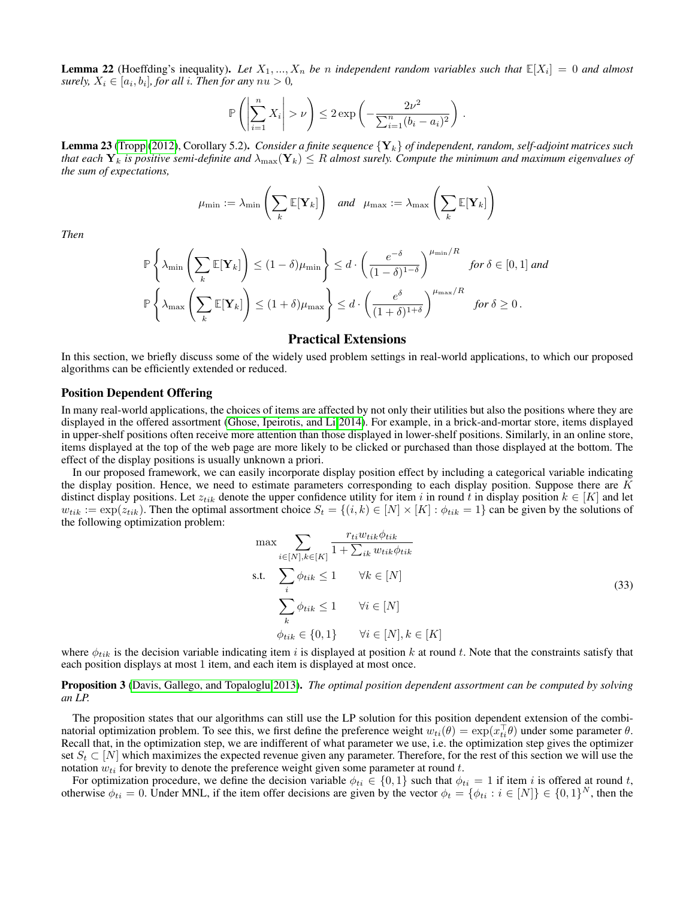<span id="page-38-0"></span>**Lemma 22** (Hoeffding's inequality). Let  $X_1, ..., X_n$  be *n* independent random variables such that  $\mathbb{E}[X_i] = 0$  and almost surely,  $X_i \in [a_i, b_i]$ , for all *i*. Then for any  $nu > 0$ ,

$$
\mathbb{P}\left(\left|\sum_{i=1}^n X_i\right| > \nu\right) \leq 2 \exp\left(-\frac{2\nu^2}{\sum_{i=1}^n (b_i - a_i)^2}\right).
$$

<span id="page-38-1"></span>Lemma 23 [\(Tropp](#page-8-9) [\(2012\)](#page-8-9), Corollary 5.2). *Consider a finite sequence* {Yk} *of independent, random, self-adjoint matrices such that each*  $Y_k$  *is positive semi-definite and*  $\lambda_{\max}(Y_k) \leq R$  *almost surely. Compute the minimum and maximum eigenvalues of the sum of expectations,*

$$
\mu_{\min} := \lambda_{\min}\left(\sum_{k} \mathbb{E}[\mathbf{Y}_{k}]\right) \quad and \quad \mu_{\max} := \lambda_{\max}\left(\sum_{k} \mathbb{E}[\mathbf{Y}_{k}]\right)
$$

*Then*

$$
\mathbb{P}\left\{\lambda_{\min}\left(\sum_{k} \mathbb{E}[\mathbf{Y}_{k}]\right) \leq (1-\delta)\mu_{\min}\right\} \leq d \cdot \left(\frac{e^{-\delta}}{(1-\delta)^{1-\delta}}\right)^{\mu_{\min}/R} \text{ for } \delta \in [0,1] \text{ and}
$$

$$
\mathbb{P}\left\{\lambda_{\max}\left(\sum_{k} \mathbb{E}[\mathbf{Y}_{k}]\right) \leq (1+\delta)\mu_{\max}\right\} \leq d \cdot \left(\frac{e^{\delta}}{(1+\delta)^{1+\delta}}\right)^{\mu_{\max}/R} \text{ for } \delta \geq 0.
$$

# Practical Extensions

In this section, we briefly discuss some of the widely used problem settings in real-world applications, to which our proposed algorithms can be efficiently extended or reduced.

# Position Dependent Offering

In many real-world applications, the choices of items are affected by not only their utilities but also the positions where they are displayed in the offered assortment [\(Ghose, Ipeirotis, and Li 2014\)](#page-7-30). For example, in a brick-and-mortar store, items displayed in upper-shelf positions often receive more attention than those displayed in lower-shelf positions. Similarly, in an online store, items displayed at the top of the web page are more likely to be clicked or purchased than those displayed at the bottom. The effect of the display positions is usually unknown a priori.

In our proposed framework, we can easily incorporate display position effect by including a categorical variable indicating the display position. Hence, we need to estimate parameters corresponding to each display position. Suppose there are  $K$ distinct display positions. Let  $z_{tik}$  denote the upper confidence utility for item i in round t in display position  $k \in [K]$  and let  $w_{tik} := \exp(z_{tik})$ . Then the optimal assortment choice  $S_t = \{(i,k) \in [N] \times [K] : \phi_{tik} = 1\}$  can be given by the solutions of the following optimization problem:

$$
\max \sum_{i \in [N], k \in [K]} \frac{r_{ti} w_{tik} \phi_{tik}}{1 + \sum_{ik} w_{tik} \phi_{tik}}
$$
  
s.t. 
$$
\sum_{i} \phi_{tik} \le 1 \qquad \forall k \in [N]
$$

$$
\sum_{k} \phi_{tik} \le 1 \qquad \forall i \in [N]
$$

$$
\phi_{tik} \in \{0, 1\} \qquad \forall i \in [N], k \in [K]
$$

$$
(33)
$$

where  $\phi_{tik}$  is the decision variable indicating item i is displayed at position k at round t. Note that the constraints satisfy that each position displays at most 1 item, and each item is displayed at most once.

Proposition 3 [\(Davis, Gallego, and Topaloglu 2013\)](#page-7-31). *The optimal position dependent assortment can be computed by solving an LP.*

The proposition states that our algorithms can still use the LP solution for this position dependent extension of the combinatorial optimization problem. To see this, we first define the preference weight  $w_{ti}(\theta) = \exp(x_{ti}^\top \theta)$  under some parameter  $\theta$ . Recall that, in the optimization step, we are indifferent of what parameter we use, i.e. the optimization step gives the optimizer set  $S_t \subset [N]$  which maximizes the expected revenue given any parameter. Therefore, for the rest of this section we will use the notation  $w_{ti}$  for brevity to denote the preference weight given some parameter at round t.

For optimization procedure, we define the decision variable  $\phi_{ti} \in \{0,1\}$  such that  $\phi_{ti} = 1$  if item i is offered at round t, otherwise  $\phi_{ti} = 0$ . Under MNL, if the item offer decisions are given by the vector  $\phi_t = \{\phi_{ti} : i \in [N]\} \in \{0,1\}^N$ , then the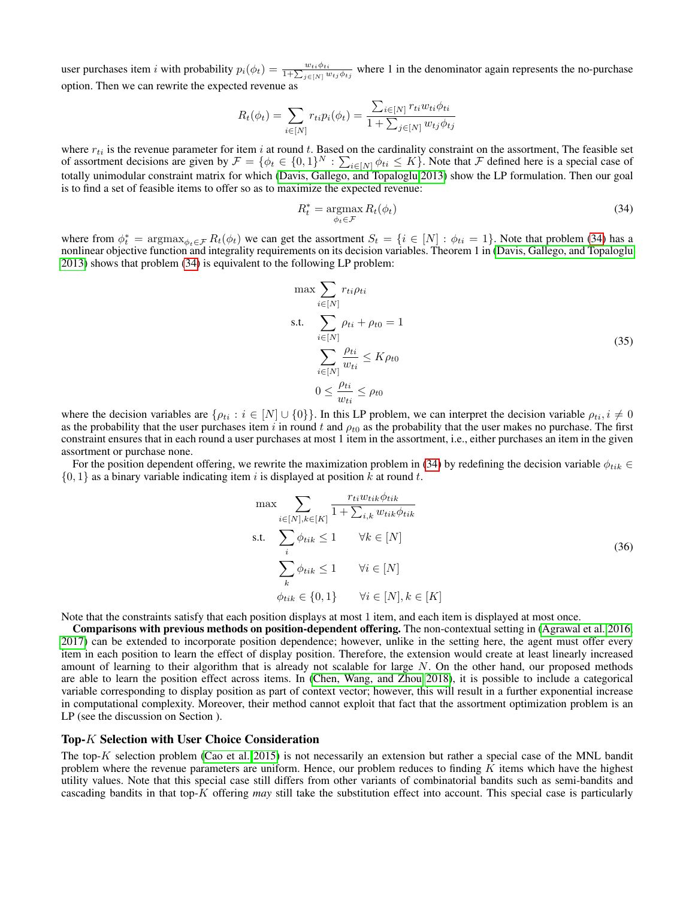user purchases item *i* with probability  $p_i(\phi_t) = \frac{w_{ti}\phi_{ti}}{1+\sum_{j\in[N]}w_{tj}\phi_{tj}}$  where 1 in the denominator again represents the no-purchase option. Then we can rewrite the expected revenue as

$$
R_t(\phi_t) = \sum_{i \in [N]} r_{ti} p_i(\phi_t) = \frac{\sum_{i \in [N]} r_{ti} w_{ti} \phi_{ti}}{1 + \sum_{j \in [N]} w_{tj} \phi_{tj}}
$$

where  $r_{ti}$  is the revenue parameter for item i at round t. Based on the cardinality constraint on the assortment, The feasible set of assortment decisions are given by  $\mathcal{F} = \{\phi_t \in \{0,1\}^N : \sum_{i \in [N]} \phi_{ti} \leq K\}$ . Note that  $\mathcal F$  defined here is a special case of totally unimodular constraint matrix for which [\(Davis, Gallego, and Topaloglu 2013\)](#page-7-31) show the LP formulation. Then our goal is to find a set of feasible items to offer so as to maximize the expected revenue:

<span id="page-39-0"></span>
$$
R_t^* = \underset{\phi_t \in \mathcal{F}}{\operatorname{argmax}} R_t(\phi_t) \tag{34}
$$

where from  $\phi_t^* = \arg \max_{\phi_t \in \mathcal{F}} R_t(\phi_t)$  we can get the assortment  $S_t = \{i \in [N] : \phi_{ti} = 1\}$ . Note that problem [\(34\)](#page-39-0) has a nonlinear objective function and integrality requirements on its decision variables. Theorem 1 in [\(Davis, Gallego, and Topaloglu](#page-7-31) [2013\)](#page-7-31) shows that problem [\(34\)](#page-39-0) is equivalent to the following LP problem:

$$
\max \sum_{i \in [N]} r_{ti} \rho_{ti}
$$
\n
$$
\text{s.t.} \sum_{i \in [N]} \rho_{ti} + \rho_{t0} = 1
$$
\n
$$
\sum_{i \in [N]} \frac{\rho_{ti}}{w_{ti}} \le K \rho_{t0}
$$
\n
$$
0 \le \frac{\rho_{ti}}{w_{ti}} \le \rho_{t0}
$$
\n(35)

where the decision variables are  $\{\rho_{ti} : i \in [N] \cup \{0\}\}\.$  In this LP problem, we can interpret the decision variable  $\rho_{ti}$ ,  $i \neq 0$ as the probability that the user purchases item i in round t and  $\rho_{t0}$  as the probability that the user makes no purchase. The first constraint ensures that in each round a user purchases at most 1 item in the assortment, i.e., either purchases an item in the given assortment or purchase none.

For the position dependent offering, we rewrite the maximization problem in [\(34\)](#page-39-0) by redefining the decision variable  $\phi_{tik}$  ∈  $\{0, 1\}$  as a binary variable indicating item i is displayed at position k at round t.

$$
\max \sum_{i \in [N], k \in [K]} \frac{r_{ti} w_{tik} \phi_{tik}}{1 + \sum_{i,k} w_{tik} \phi_{tik}}
$$
\ns.t. 
$$
\sum_{i} \phi_{tik} \le 1 \qquad \forall k \in [N]
$$
\n
$$
\sum_{k} \phi_{tik} \le 1 \qquad \forall i \in [N]
$$
\n
$$
\phi_{tik} \in \{0, 1\} \qquad \forall i \in [N], k \in [K]
$$
\n(36)

Note that the constraints satisfy that each position displays at most 1 item, and each item is displayed at most once.

Comparisons with previous methods on position-dependent offering. The non-contextual setting in [\(Agrawal et al. 2016,](#page-7-32) [2017\)](#page-7-4) can be extended to incorporate position dependence; however, unlike in the setting here, the agent must offer every item in each position to learn the effect of display position. Therefore, the extension would create at least linearly increased amount of learning to their algorithm that is already not scalable for large  $N$ . On the other hand, our proposed methods are able to learn the position effect across items. In [\(Chen, Wang, and Zhou 2018\)](#page-7-16), it is possible to include a categorical variable corresponding to display position as part of context vector; however, this will result in a further exponential increase in computational complexity. Moreover, their method cannot exploit that fact that the assortment optimization problem is an LP (see the discussion on Section ).

### Top-K Selection with User Choice Consideration

The top-K selection problem [\(Cao et al. 2015\)](#page-7-33) is not necessarily an extension but rather a special case of the MNL bandit problem where the revenue parameters are uniform. Hence, our problem reduces to finding  $K$  items which have the highest utility values. Note that this special case still differs from other variants of combinatorial bandits such as semi-bandits and cascading bandits in that top-K offering *may* still take the substitution effect into account. This special case is particularly